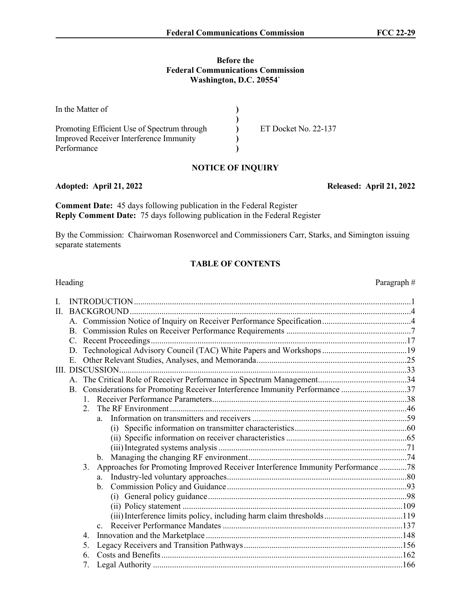#### **Before the Federal Communications Commission Washington, D.C. 20554`**

| In the Matter of                               |                      |
|------------------------------------------------|----------------------|
|                                                |                      |
| Promoting Efficient Use of Spectrum through    | ET Docket No. 22-137 |
| <b>Improved Receiver Interference Immunity</b> |                      |
| Performance                                    |                      |

## **NOTICE OF INQUIRY**

### **Adopted: April 21, 2022 Released: April 21, 2022**

**Comment Date:** 45 days following publication in the Federal Register **Reply Comment Date:** 75 days following publication in the Federal Register

By the Commission: Chairwoman Rosenworcel and Commissioners Carr, Starks, and Simington issuing separate statements

### **TABLE OF CONTENTS**

## Heading Paragraph  $#$ I. INTRODUCTION...................................................................................................................................1 II. BACKGROUND.....................................................................................................................................4 A. Commission Notice of Inquiry on Receiver Performance Specification..........................................4 B. Commission Rules on Receiver Performance Requirements ...........................................................7 C. Recent Proceedings.........................................................................................................................17 D. Technological Advisory Council (TAC) White Papers and Workshops ........................................19 E. Other Relevant Studies, Analyses, and Memoranda.......................................................................25 III. DISCUSSION........................................................................................................................................33 A. The Critical Role of Receiver Performance in Spectrum Management..........................................34 B. Considerations for Promoting Receiver Interference Immunity Performance ...............................37 1. Receiver Performance Parameters............................................................................................38 2. The RF Environment ................................................................................................................46 a. Information on transmitters and receivers .........................................................................59 (i) Specific information on transmitter characteristics.....................................................60 (ii) Specific information on receiver characteristics .........................................................65 (iii) Integrated systems analysis .........................................................................................71 b. Managing the changing RF environment...........................................................................74 3. Approaches for Promoting Improved Receiver Interference Immunity Performance .............78 a. Industry-led voluntary approaches.....................................................................................80 b. Commission Policy and Guidance.....................................................................................93 (i) General policy guidance..............................................................................................98 (ii) Policy statement ........................................................................................................109 (iii) Interference limits policy, including harm claim thresholds.....................................119 c. Receiver Performance Mandates .....................................................................................137 4. Innovation and the Marketplace .............................................................................................148 5. Legacy Receivers and Transition Pathways...........................................................................156 6. Costs and Benefits ..................................................................................................................162 7. Legal Authority ......................................................................................................................166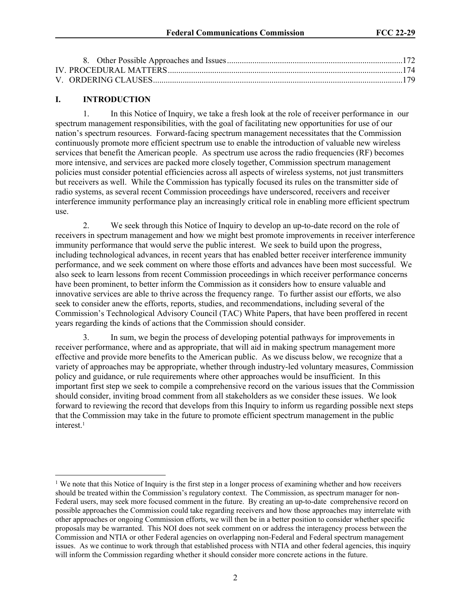# **I. INTRODUCTION**

1. In this Notice of Inquiry, we take a fresh look at the role of receiver performance in our spectrum management responsibilities, with the goal of facilitating new opportunities for use of our nation's spectrum resources. Forward-facing spectrum management necessitates that the Commission continuously promote more efficient spectrum use to enable the introduction of valuable new wireless services that benefit the American people. As spectrum use across the radio frequencies (RF) becomes more intensive, and services are packed more closely together, Commission spectrum management policies must consider potential efficiencies across all aspects of wireless systems, not just transmitters but receivers as well. While the Commission has typically focused its rules on the transmitter side of radio systems, as several recent Commission proceedings have underscored, receivers and receiver interference immunity performance play an increasingly critical role in enabling more efficient spectrum use.

2. We seek through this Notice of Inquiry to develop an up-to-date record on the role of receivers in spectrum management and how we might best promote improvements in receiver interference immunity performance that would serve the public interest. We seek to build upon the progress, including technological advances, in recent years that has enabled better receiver interference immunity performance, and we seek comment on where those efforts and advances have been most successful. We also seek to learn lessons from recent Commission proceedings in which receiver performance concerns have been prominent, to better inform the Commission as it considers how to ensure valuable and innovative services are able to thrive across the frequency range. To further assist our efforts, we also seek to consider anew the efforts, reports, studies, and recommendations, including several of the Commission's Technological Advisory Council (TAC) White Papers, that have been proffered in recent years regarding the kinds of actions that the Commission should consider.

In sum, we begin the process of developing potential pathways for improvements in receiver performance, where and as appropriate, that will aid in making spectrum management more effective and provide more benefits to the American public. As we discuss below, we recognize that a variety of approaches may be appropriate, whether through industry-led voluntary measures, Commission policy and guidance, or rule requirements where other approaches would be insufficient. In this important first step we seek to compile a comprehensive record on the various issues that the Commission should consider, inviting broad comment from all stakeholders as we consider these issues. We look forward to reviewing the record that develops from this Inquiry to inform us regarding possible next steps that the Commission may take in the future to promote efficient spectrum management in the public interest.<sup>1</sup>

<sup>&</sup>lt;sup>1</sup> We note that this Notice of Inquiry is the first step in a longer process of examining whether and how receivers should be treated within the Commission's regulatory context. The Commission, as spectrum manager for non-Federal users, may seek more focused comment in the future. By creating an up-to-date comprehensive record on possible approaches the Commission could take regarding receivers and how those approaches may interrelate with other approaches or ongoing Commission efforts, we will then be in a better position to consider whether specific proposals may be warranted. This NOI does not seek comment on or address the interagency process between the Commission and NTIA or other Federal agencies on overlapping non-Federal and Federal spectrum management issues. As we continue to work through that established process with NTIA and other federal agencies, this inquiry will inform the Commission regarding whether it should consider more concrete actions in the future.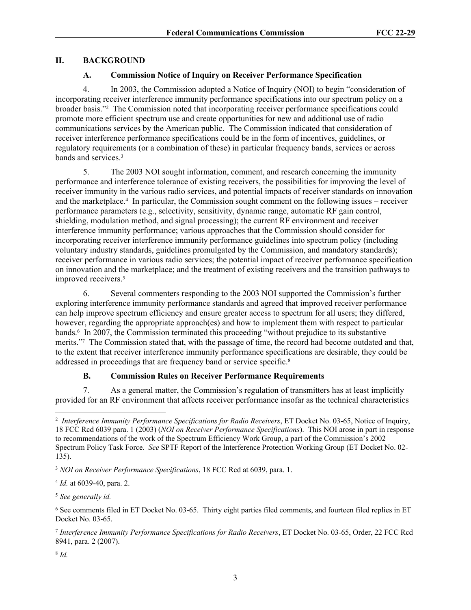## **II. BACKGROUND**

## **A. Commission Notice of Inquiry on Receiver Performance Specification**

4. In 2003, the Commission adopted a Notice of Inquiry (NOI) to begin "consideration of incorporating receiver interference immunity performance specifications into our spectrum policy on a broader basis."<sup>2</sup> The Commission noted that incorporating receiver performance specifications could promote more efficient spectrum use and create opportunities for new and additional use of radio communications services by the American public. The Commission indicated that consideration of receiver interference performance specifications could be in the form of incentives, guidelines, or regulatory requirements (or a combination of these) in particular frequency bands, services or across bands and services.<sup>3</sup>

5. The 2003 NOI sought information, comment, and research concerning the immunity performance and interference tolerance of existing receivers, the possibilities for improving the level of receiver immunity in the various radio services, and potential impacts of receiver standards on innovation and the marketplace.<sup>4</sup> In particular, the Commission sought comment on the following issues – receiver performance parameters (e.g., selectivity, sensitivity, dynamic range, automatic RF gain control, shielding, modulation method, and signal processing); the current RF environment and receiver interference immunity performance; various approaches that the Commission should consider for incorporating receiver interference immunity performance guidelines into spectrum policy (including voluntary industry standards, guidelines promulgated by the Commission, and mandatory standards); receiver performance in various radio services; the potential impact of receiver performance specification on innovation and the marketplace; and the treatment of existing receivers and the transition pathways to improved receivers.<sup>5</sup>

6. Several commenters responding to the 2003 NOI supported the Commission's further exploring interference immunity performance standards and agreed that improved receiver performance can help improve spectrum efficiency and ensure greater access to spectrum for all users; they differed, however, regarding the appropriate approach(es) and how to implement them with respect to particular bands.<sup>6</sup> In 2007, the Commission terminated this proceeding "without prejudice to its substantive merits."<sup>7</sup> The Commission stated that, with the passage of time, the record had become outdated and that, to the extent that receiver interference immunity performance specifications are desirable, they could be addressed in proceedings that are frequency band or service specific.<sup>8</sup>

## **B. Commission Rules on Receiver Performance Requirements**

7. As a general matter, the Commission's regulation of transmitters has at least implicitly provided for an RF environment that affects receiver performance insofar as the technical characteristics

4 *Id.* at 6039-40, para. 2.

<sup>5</sup> *See generally id.*

8 *Id.*

<sup>2</sup> *Interference Immunity Performance Specifications for Radio Receivers*, ET Docket No. 03-65, Notice of Inquiry, 18 FCC Rcd 6039 para. 1 (2003) (*NOI on Receiver Performance Specifications*). This NOI arose in part in response to recommendations of the work of the Spectrum Efficiency Work Group, a part of the Commission's 2002 Spectrum Policy Task Force. *See* SPTF Report of the Interference Protection Working Group (ET Docket No. 02- 135).

<sup>3</sup> *NOI on Receiver Performance Specifications*, 18 FCC Rcd at 6039, para. 1.

<sup>6</sup> See comments filed in ET Docket No. 03-65. Thirty eight parties filed comments, and fourteen filed replies in ET Docket No. 03-65.

<sup>7</sup> *Interference Immunity Performance Specifications for Radio Receivers*, ET Docket No. 03-65, Order, 22 FCC Rcd 8941, para. 2 (2007).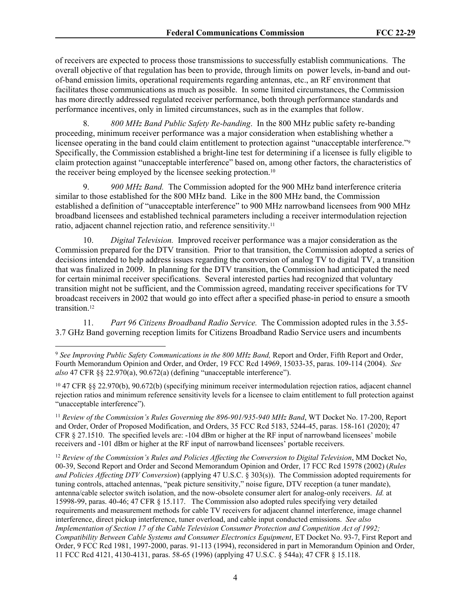of receivers are expected to process those transmissions to successfully establish communications. The overall objective of that regulation has been to provide, through limits on power levels, in-band and outof-band emission limits, operational requirements regarding antennas, etc., an RF environment that facilitates those communications as much as possible. In some limited circumstances, the Commission has more directly addressed regulated receiver performance, both through performance standards and performance incentives, only in limited circumstances, such as in the examples that follow.

8. *800 MHz Band Public Safety Re-banding*. In the 800 MHz public safety re-banding proceeding, minimum receiver performance was a major consideration when establishing whether a licensee operating in the band could claim entitlement to protection against "unacceptable interference."<sup>9</sup> Specifically, the Commission established a bright-line test for determining if a licensee is fully eligible to claim protection against "unacceptable interference" based on, among other factors, the characteristics of the receiver being employed by the licensee seeking protection.<sup>10</sup>

9. *900 MHz Band.* The Commission adopted for the 900 MHz band interference criteria similar to those established for the 800 MHz band. Like in the 800 MHz band, the Commission established a definition of "unacceptable interference" to 900 MHz narrowband licensees from 900 MHz broadband licensees and established technical parameters including a receiver intermodulation rejection ratio, adjacent channel rejection ratio, and reference sensitivity.<sup>11</sup>

10. *Digital Television.* Improved receiver performance was a major consideration as the Commission prepared for the DTV transition. Prior to that transition, the Commission adopted a series of decisions intended to help address issues regarding the conversion of analog TV to digital TV, a transition that was finalized in 2009. In planning for the DTV transition, the Commission had anticipated the need for certain minimal receiver specifications. Several interested parties had recognized that voluntary transition might not be sufficient, and the Commission agreed, mandating receiver specifications for TV broadcast receivers in 2002 that would go into effect after a specified phase-in period to ensure a smooth transition.<sup>12</sup>

11. *Part 96 Citizens Broadband Radio Service.* The Commission adopted rules in the 3.55- 3.7 GHz Band governing reception limits for Citizens Broadband Radio Service users and incumbents

<sup>12</sup> *Review of the Commission's Rules and Policies Affecting the Conversion to Digital Television*, MM Docket No, 00-39, Second Report and Order and Second Memorandum Opinion and Order, 17 FCC Rcd 15978 (2002) (*Rules and Policies Affecting DTV Conversion*) (applying 47 U.S.C. § 303(s)). The Commission adopted requirements for tuning controls, attached antennas, "peak picture sensitivity," noise figure, DTV reception (a tuner mandate), antenna/cable selector switch isolation, and the now-obsolete consumer alert for analog-only receivers. *Id.* at 15998-99, paras. 40-46; 47 CFR § 15.117. The Commission also adopted rules specifying very detailed requirements and measurement methods for cable TV receivers for adjacent channel interference, image channel interference, direct pickup interference, tuner overload, and cable input conducted emissions. *See also Implementation of Section 17 of the Cable Television Consumer Protection and Competition Act of 1992; Compatibility Between Cable Systems and Consumer Electronics Equipment*, ET Docket No. 93-7, First Report and Order, 9 FCC Rcd 1981, 1997-2000, paras. 91-113 (1994), reconsidered in part in Memorandum Opinion and Order, 11 FCC Rcd 4121, 4130-4131, paras. 58-65 (1996) (applying 47 U.S.C. § 544a); 47 CFR § 15.118.

<sup>9</sup> *See Improving Public Safety Communications in the 800 MHz Band,* Report and Order, Fifth Report and Order, Fourth Memorandum Opinion and Order, and Order, 19 FCC Rcd 14969, 15033-35, paras. 109-114 (2004). *See also* 47 CFR §§ 22.970(a), 90.672(a) (defining "unacceptable interference").

<sup>10</sup> 47 CFR §§ 22.970(b), 90.672(b) (specifying minimum receiver intermodulation rejection ratios, adjacent channel rejection ratios and minimum reference sensitivity levels for a licensee to claim entitlement to full protection against "unacceptable interference").

<sup>11</sup> *Review of the Commission's Rules Governing the 896-901/935-940 MHz Band*, WT Docket No. 17-200, Report and Order, Order of Proposed Modification, and Orders, 35 FCC Rcd 5183, 5244-45, paras. 158-161 (2020); 47 CFR § 27.1510. The specified levels are: -104 dBm or higher at the RF input of narrowband licensees' mobile receivers and -101 dBm or higher at the RF input of narrowband licensees' portable receivers.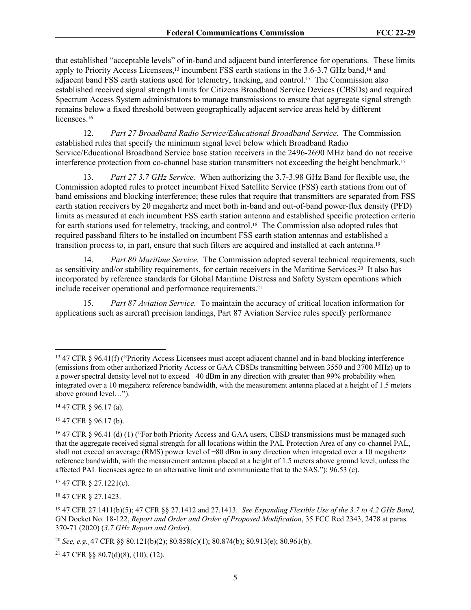that established "acceptable levels" of in-band and adjacent band interference for operations. These limits apply to Priority Access Licensees,<sup>13</sup> incumbent FSS earth stations in the 3.6-3.7 GHz band,<sup>14</sup> and adjacent band FSS earth stations used for telemetry, tracking, and control.15 The Commission also established received signal strength limits for Citizens Broadband Service Devices (CBSDs) and required Spectrum Access System administrators to manage transmissions to ensure that aggregate signal strength remains below a fixed threshold between geographically adjacent service areas held by different licensees<sup>16</sup>

12. *Part 27 Broadband Radio Service/Educational Broadband Service.* The Commission established rules that specify the minimum signal level below which Broadband Radio Service/Educational Broadband Service base station receivers in the 2496-2690 MHz band do not receive interference protection from co-channel base station transmitters not exceeding the height benchmark.<sup>17</sup>

13. *Part 27 3.7 GHz Service.* When authorizing the 3.7-3.98 GHz Band for flexible use, the Commission adopted rules to protect incumbent Fixed Satellite Service (FSS) earth stations from out of band emissions and blocking interference; these rules that require that transmitters are separated from FSS earth station receivers by 20 megahertz and meet both in-band and out-of-band power-flux density (PFD) limits as measured at each incumbent FSS earth station antenna and established specific protection criteria for earth stations used for telemetry, tracking, and control.<sup>18</sup> The Commission also adopted rules that required passband filters to be installed on incumbent FSS earth station antennas and established a transition process to, in part, ensure that such filters are acquired and installed at each antenna.<sup>19</sup>

14. *Part 80 Maritime Service.* The Commission adopted several technical requirements, such as sensitivity and/or stability requirements, for certain receivers in the Maritime Services.20 It also has incorporated by reference standards for Global Maritime Distress and Safety System operations which include receiver operational and performance requirements.<sup>21</sup>

15. *Part 87 Aviation Service.* To maintain the accuracy of critical location information for applications such as aircraft precision landings, Part 87 Aviation Service rules specify performance

<sup>14</sup> 47 CFR § 96.17 (a).

<sup>15</sup> 47 CFR § 96.17 (b).

<sup>17</sup> 47 CFR § 27.1221(c).

<sup>18</sup> 47 CFR § 27.1423.

21 47 CFR §§ 80.7(d)(8), (10), (12).

<sup>13</sup> 47 CFR § 96.41(f) ("Priority Access Licensees must accept adjacent channel and in-band blocking interference (emissions from other authorized Priority Access or GAA CBSDs transmitting between 3550 and 3700 MHz) up to a power spectral density level not to exceed −40 dBm in any direction with greater than 99% probability when integrated over a 10 megahertz reference bandwidth, with the measurement antenna placed at a height of 1.5 meters above ground level…").

<sup>16</sup> 47 CFR § 96.41 (d) (1) ("For both Priority Access and GAA users, CBSD transmissions must be managed such that the aggregate received signal strength for all locations within the PAL Protection Area of any co-channel PAL, shall not exceed an average (RMS) power level of −80 dBm in any direction when integrated over a 10 megahertz reference bandwidth, with the measurement antenna placed at a height of 1.5 meters above ground level, unless the affected PAL licensees agree to an alternative limit and communicate that to the SAS."); 96.53 (c).

<sup>19</sup> 47 CFR 27.1411(b)(5); 47 CFR §§ 27.1412 and 27.1413. *See Expanding Flexible Use of the 3.7 to 4.2 GHz Band,*  GN Docket No. 18-122, *Report and Order and Order of Proposed Modification*, 35 FCC Rcd 2343, 2478 at paras. 370-71 (2020) (*3.7 GHz Report and Order*).

<sup>20</sup> *See, e.g.¸*47 CFR §§ 80.121(b)(2); 80.858(c)(1); 80.874(b); 80.913(e); 80.961(b).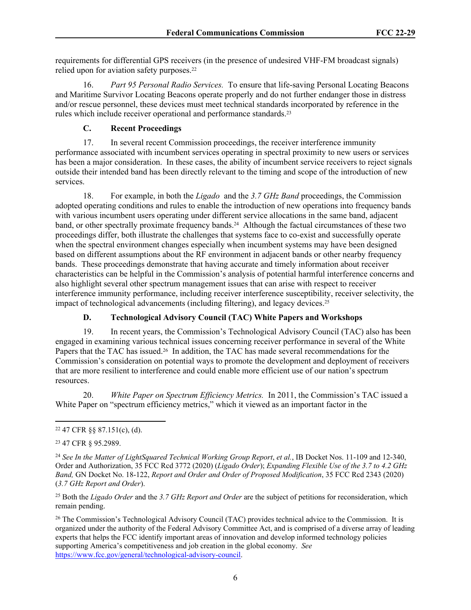requirements for differential GPS receivers (in the presence of undesired VHF-FM broadcast signals) relied upon for aviation safety purposes.<sup>22</sup>

16. *Part 95 Personal Radio Services.* To ensure that life-saving Personal Locating Beacons and Maritime Survivor Locating Beacons operate properly and do not further endanger those in distress and/or rescue personnel, these devices must meet technical standards incorporated by reference in the rules which include receiver operational and performance standards.<sup>23</sup>

## **C. Recent Proceedings**

17. In several recent Commission proceedings, the receiver interference immunity performance associated with incumbent services operating in spectral proximity to new users or services has been a major consideration. In these cases, the ability of incumbent service receivers to reject signals outside their intended band has been directly relevant to the timing and scope of the introduction of new services.

18. For example, in both the *Ligado* and the *3.7 GHz Band* proceedings, the Commission adopted operating conditions and rules to enable the introduction of new operations into frequency bands with various incumbent users operating under different service allocations in the same band, adjacent band, or other spectrally proximate frequency bands.<sup>24</sup> Although the factual circumstances of these two proceedings differ, both illustrate the challenges that systems face to co-exist and successfully operate when the spectral environment changes especially when incumbent systems may have been designed based on different assumptions about the RF environment in adjacent bands or other nearby frequency bands. These proceedings demonstrate that having accurate and timely information about receiver characteristics can be helpful in the Commission's analysis of potential harmful interference concerns and also highlight several other spectrum management issues that can arise with respect to receiver interference immunity performance, including receiver interference susceptibility, receiver selectivity, the impact of technological advancements (including filtering), and legacy devices.<sup>25</sup>

# **D. Technological Advisory Council (TAC) White Papers and Workshops**

19. In recent years, the Commission's Technological Advisory Council (TAC) also has been engaged in examining various technical issues concerning receiver performance in several of the White Papers that the TAC has issued.<sup>26</sup> In addition, the TAC has made several recommendations for the Commission's consideration on potential ways to promote the development and deployment of receivers that are more resilient to interference and could enable more efficient use of our nation's spectrum resources.

20. *White Paper on Spectrum Efficiency Metrics.* In 2011, the Commission's TAC issued a White Paper on "spectrum efficiency metrics," which it viewed as an important factor in the

<sup>25</sup> Both the *Ligado Order* and the *3.7 GHz Report and Order* are the subject of petitions for reconsideration, which remain pending.

<sup>26</sup> The Commission's Technological Advisory Council (TAC) provides technical advice to the Commission. It is organized under the authority of the Federal Advisory Committee Act, and is comprised of a diverse array of leading experts that helps the FCC identify important areas of innovation and develop informed technology policies supporting America's competitiveness and job creation in the global economy. *See*  <https://www.fcc.gov/general/technological-advisory-council>.

<sup>22</sup> 47 CFR §§ 87.151(c), (d).

<sup>23</sup> 47 CFR § 95.2989.

<sup>&</sup>lt;sup>24</sup> See In the Matter of LightSquared Technical Working Group Report, et al., IB Docket Nos. 11-109 and 12-340, Order and Authorization, 35 FCC Rcd 3772 (2020) (*Ligado Order*); *Expanding Flexible Use of the 3.7 to 4.2 GHz Band,* GN Docket No. 18-122, *Report and Order and Order of Proposed Modification*, 35 FCC Rcd 2343 (2020) (*3.7 GHz Report and Order*).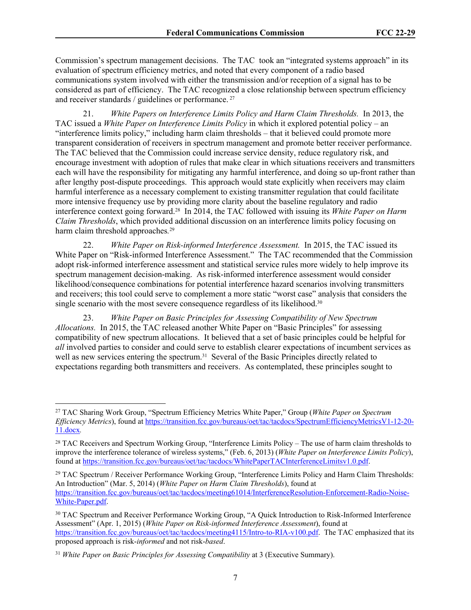Commission's spectrum management decisions. The TAC took an "integrated systems approach" in its evaluation of spectrum efficiency metrics, and noted that every component of a radio based communications system involved with either the transmission and/or reception of a signal has to be considered as part of efficiency. The TAC recognized a close relationship between spectrum efficiency and receiver standards / guidelines or performance.<sup>27</sup>

21. *White Papers on Interference Limits Policy and Harm Claim Thresholds.* In 2013, the TAC issued a *White Paper on Interference Limits Policy* in which it explored potential policy – an "interference limits policy," including harm claim thresholds – that it believed could promote more transparent consideration of receivers in spectrum management and promote better receiver performance. The TAC believed that the Commission could increase service density, reduce regulatory risk, and encourage investment with adoption of rules that make clear in which situations receivers and transmitters each will have the responsibility for mitigating any harmful interference, and doing so up-front rather than after lengthy post-dispute proceedings. This approach would state explicitly when receivers may claim harmful interference as a necessary complement to existing transmitter regulation that could facilitate more intensive frequency use by providing more clarity about the baseline regulatory and radio interference context going forward.28 In 2014, the TAC followed with issuing its *White Paper on Harm Claim Thresholds*, which provided additional discussion on an interference limits policy focusing on harm claim threshold approaches*.* 29

22. *White Paper on Risk-informed Interference Assessment.* In 2015, the TAC issued its White Paper on "Risk-informed Interference Assessment." The TAC recommended that the Commission adopt risk-informed interference assessment and statistical service rules more widely to help improve its spectrum management decision-making. As risk-informed interference assessment would consider likelihood/consequence combinations for potential interference hazard scenarios involving transmitters and receivers; this tool could serve to complement a more static "worst case" analysis that considers the single scenario with the most severe consequence regardless of its likelihood.<sup>30</sup>

23. *White Paper on Basic Principles for Assessing Compatibility of New Spectrum Allocations.* In 2015, the TAC released another White Paper on "Basic Principles" for assessing compatibility of new spectrum allocations. It believed that a set of basic principles could be helpful for *all* involved parties to consider and could serve to establish clearer expectations of incumbent services as well as new services entering the spectrum.<sup>31</sup> Several of the Basic Principles directly related to expectations regarding both transmitters and receivers. As contemplated, these principles sought to

<sup>29</sup> TAC Spectrum / Receiver Performance Working Group, "Interference Limits Policy and Harm Claim Thresholds: An Introduction" (Mar. 5, 2014) (*White Paper on Harm Claim Thresholds*), found at [https://transition.fcc.gov/bureaus/oet/tac/tacdocs/meeting61014/InterferenceResolution-Enforcement-Radio-Noise-](https://transition.fcc.gov/bureaus/oet/tac/tacdocs/meeting61014/InterferenceResolution-Enforcement-Radio-Noise-White-Paper.pdf)[White-Paper.pdf](https://transition.fcc.gov/bureaus/oet/tac/tacdocs/meeting61014/InterferenceResolution-Enforcement-Radio-Noise-White-Paper.pdf).

<sup>27</sup> TAC Sharing Work Group, "Spectrum Efficiency Metrics White Paper," Group (*White Paper on Spectrum Efficiency Metrics*), found at [https://transition.fcc.gov/bureaus/oet/tac/tacdocs/SpectrumEfficiencyMetricsV1-12-20-](https://transition.fcc.gov/bureaus/oet/tac/tacdocs/SpectrumEfficiencyMetricsV1-12-20-11.docx) [11.docx](https://transition.fcc.gov/bureaus/oet/tac/tacdocs/SpectrumEfficiencyMetricsV1-12-20-11.docx)*.*

<sup>&</sup>lt;sup>28</sup> TAC Receivers and Spectrum Working Group, "Interference Limits Policy – The use of harm claim thresholds to improve the interference tolerance of wireless systems," (Feb. 6, 2013) (*White Paper on Interference Limits Policy*), found at <https://transition.fcc.gov/bureaus/oet/tac/tacdocs/WhitePaperTACInterferenceLimitsv1.0.pdf>.

<sup>30</sup> TAC Spectrum and Receiver Performance Working Group, "A Quick Introduction to Risk-Informed Interference Assessment" (Apr. 1, 2015) (*White Paper on Risk-informed Interference Assessment*), found at [https://transition.fcc.gov/bureaus/oet/tac/tacdocs/meeting4115/Intro-to-RIA-v100.pdf.](https://transition.fcc.gov/bureaus/oet/tac/tacdocs/meeting4115/Intro-to-RIA-v100.pdf) The TAC emphasized that its proposed approach is risk-*informed* and not risk-*based*.

<sup>31</sup> *White Paper on Basic Principles for Assessing Compatibility* at 3 (Executive Summary).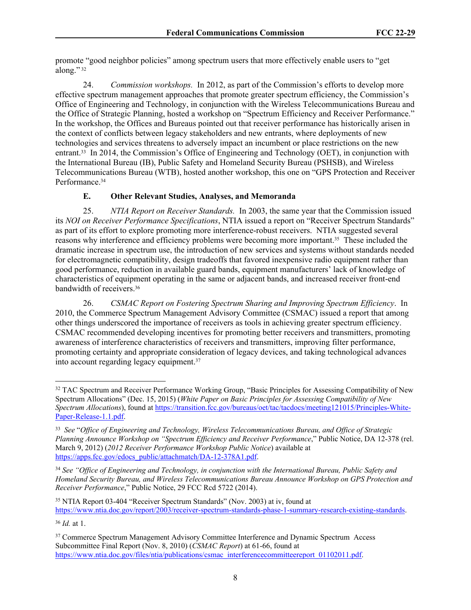promote "good neighbor policies" among spectrum users that more effectively enable users to "get along."<sup>32</sup>

24. *Commission workshops.* In 2012, as part of the Commission's efforts to develop more effective spectrum management approaches that promote greater spectrum efficiency, the Commission's Office of Engineering and Technology, in conjunction with the Wireless Telecommunications Bureau and the Office of Strategic Planning, hosted a workshop on "Spectrum Efficiency and Receiver Performance." In the workshop, the Offices and Bureaus pointed out that receiver performance has historically arisen in the context of conflicts between legacy stakeholders and new entrants, where deployments of new technologies and services threatens to adversely impact an incumbent or place restrictions on the new entrant.33 In 2014, the Commission's Office of Engineering and Technology (OET), in conjunction with the International Bureau (IB), Public Safety and Homeland Security Bureau (PSHSB), and Wireless Telecommunications Bureau (WTB), hosted another workshop, this one on "GPS Protection and Receiver Performance.<sup>34</sup>

## **E. Other Relevant Studies, Analyses, and Memoranda**

25. *NTIA Report on Receiver Standards.* In 2003, the same year that the Commission issued its *NOI on Receiver Performance Specifications*, NTIA issued a report on "Receiver Spectrum Standards" as part of its effort to explore promoting more interference-robust receivers. NTIA suggested several reasons why interference and efficiency problems were becoming more important.35 These included the dramatic increase in spectrum use, the introduction of new services and systems without standards needed for electromagnetic compatibility, design tradeoffs that favored inexpensive radio equipment rather than good performance, reduction in available guard bands, equipment manufacturers' lack of knowledge of characteristics of equipment operating in the same or adjacent bands, and increased receiver front-end bandwidth of receivers.<sup>36</sup>

26. *CSMAC Report on Fostering Spectrum Sharing and Improving Spectrum Efficiency*. In 2010, the Commerce Spectrum Management Advisory Committee (CSMAC) issued a report that among other things underscored the importance of receivers as tools in achieving greater spectrum efficiency. CSMAC recommended developing incentives for promoting better receivers and transmitters, promoting awareness of interference characteristics of receivers and transmitters, improving filter performance, promoting certainty and appropriate consideration of legacy devices, and taking technological advances into account regarding legacy equipment.<sup>37</sup>

<sup>36</sup> *Id.* at 1.

<sup>&</sup>lt;sup>32</sup> TAC Spectrum and Receiver Performance Working Group, "Basic Principles for Assessing Compatibility of New Spectrum Allocations" (Dec. 15, 2015) (*White Paper on Basic Principles for Assessing Compatibility of New Spectrum Allocations*), found at [https://transition.fcc.gov/bureaus/oet/tac/tacdocs/meeting121015/Principles-White-](https://transition.fcc.gov/bureaus/oet/tac/tacdocs/meeting121015/Principles-White-Paper-Release-1.1.pdf)[Paper-Release-1.1.pdf.](https://transition.fcc.gov/bureaus/oet/tac/tacdocs/meeting121015/Principles-White-Paper-Release-1.1.pdf)

<sup>33</sup> *See* "*Office of Engineering and Technology, Wireless Telecommunications Bureau, and Office of Strategic Planning Announce Workshop on "Spectrum Efficiency and Receiver Performance*," Public Notice, DA 12-378 (rel. March 9, 2012) (*2012 Receiver Performance Workshop Public Notice*) available at [https://apps.fcc.gov/edocs\\_public/attachmatch/DA-12-378A1.pdf.](https://apps.fcc.gov/edocs_public/attachmatch/DA-12-378A1.pdf)

<sup>34</sup> *See "Office of Engineering and Technology, in conjunction with the International Bureau, Public Safety and Homeland Security Bureau, and Wireless Telecommunications Bureau Announce Workshop on GPS Protection and Receiver Performance*," Public Notice, 29 FCC Rcd 5722 (2014).

<sup>35</sup> NTIA Report 03-404 "Receiver Spectrum Standards" (Nov. 2003) at iv, found at [https://www.ntia.doc.gov/report/2003/receiver-spectrum-standards-phase-1-summary-research-existing-standards.](https://www.ntia.doc.gov/report/2003/receiver-spectrum-standards-phase-1-summary-research-existing-standards)

<sup>&</sup>lt;sup>37</sup> Commerce Spectrum Management Advisory Committee Interference and Dynamic Spectrum Access Subcommittee Final Report (Nov. 8, 2010) (*CSMAC Report*) at 61-66, found at [https://www.ntia.doc.gov/files/ntia/publications/csmac\\_interferencecommitteereport\\_01102011.pdf](https://www.ntia.doc.gov/files/ntia/publications/csmac_interferencecommitteereport_01102011.pdf).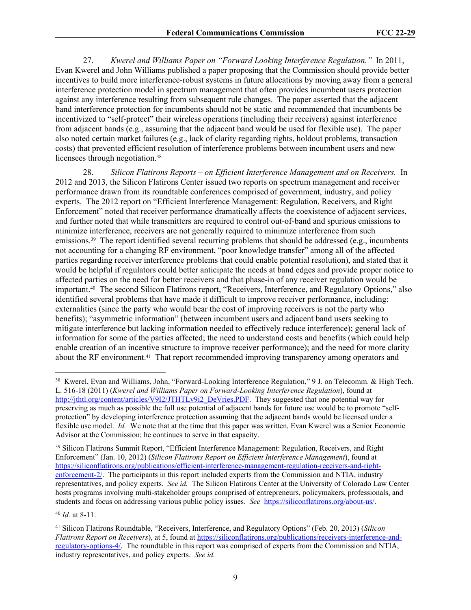27. *Kwerel and Williams Paper on "Forward Looking Interference Regulation."* In 2011, Evan Kwerel and John Williams published a paper proposing that the Commission should provide better incentives to build more interference-robust systems in future allocations by moving away from a general interference protection model in spectrum management that often provides incumbent users protection against any interference resulting from subsequent rule changes. The paper asserted that the adjacent band interference protection for incumbents should not be static and recommended that incumbents be incentivized to "self-protect" their wireless operations (including their receivers) against interference from adjacent bands (e.g., assuming that the adjacent band would be used for flexible use). The paper also noted certain market failures (e.g., lack of clarity regarding rights, holdout problems, transaction costs) that prevented efficient resolution of interference problems between incumbent users and new licensees through negotiation.<sup>38</sup>

28. *Silicon Flatirons Reports – on Efficient Interference Management and on Receivers.* In 2012 and 2013, the Silicon Flatirons Center issued two reports on spectrum management and receiver performance drawn from its roundtable conferences comprised of government, industry, and policy experts. The 2012 report on "Efficient Interference Management: Regulation, Receivers, and Right Enforcement" noted that receiver performance dramatically affects the coexistence of adjacent services, and further noted that while transmitters are required to control out-of-band and spurious emissions to minimize interference, receivers are not generally required to minimize interference from such emissions.<sup>39</sup> The report identified several recurring problems that should be addressed (e.g., incumbents not accounting for a changing RF environment, "poor knowledge transfer" among all of the affected parties regarding receiver interference problems that could enable potential resolution), and stated that it would be helpful if regulators could better anticipate the needs at band edges and provide proper notice to affected parties on the need for better receivers and that phase-in of any receiver regulation would be important.40 The second Silicon Flatirons report, "Receivers, Interference, and Regulatory Options," also identified several problems that have made it difficult to improve receiver performance, including: externalities (since the party who would bear the cost of improving receivers is not the party who benefits); "asymmetric information" (between incumbent users and adjacent band users seeking to mitigate interference but lacking information needed to effectively reduce interference); general lack of information for some of the parties affected; the need to understand costs and benefits (which could help enable creation of an incentive structure to improve receiver performance); and the need for more clarity about the RF environment.<sup>41</sup> That report recommended improving transparency among operators and

<sup>40</sup> *Id.* at 8-11.

<sup>38</sup> Kwerel, Evan and Williams, John, "Forward-Looking Interference Regulation," 9 J. on Telecomm. & High Tech. L. 516-18 (2011) (*Kwerel and Williams Paper on Forward-Looking Interference Regulation*), found at [http://jthtl.org/content/articles/V9I2/JTHTLv9i2\\_DeVries.PDF](http://jthtl.org/content/articles/V9I2/JTHTLv9i2_DeVries.PDF). They suggested that one potential way for preserving as much as possible the full use potential of adjacent bands for future use would be to promote "selfprotection" by developing interference protection assuming that the adjacent bands would be licensed under a flexible use model. *Id.* We note that at the time that this paper was written, Evan Kwerel was a Senior Economic Advisor at the Commission; he continues to serve in that capacity.

<sup>39</sup> Silicon Flatirons Summit Report, "Efficient Interference Management: Regulation, Receivers, and Right Enforcement" (Jan. 10, 2012) (*Silicon Flatirons Report on Efficient Interference Management*), found at [https://siliconflatirons.org/publications/efficient-interference-management-regulation-receivers-and-right](https://siliconflatirons.org/publications/efficient-interference-management-regulation-receivers-and-right-enforcement-2/)[enforcement-2/](https://siliconflatirons.org/publications/efficient-interference-management-regulation-receivers-and-right-enforcement-2/). The participants in this report included experts from the Commission and NTIA, industry representatives, and policy experts. *See id.* The Silicon Flatirons Center at the University of Colorado Law Center hosts programs involving multi-stakeholder groups comprised of entrepreneurs, policymakers, professionals, and students and focus on addressing various public policy issues. *See* [https://siliconflatirons.org/about-us/.](https://siliconflatirons.org/about-us/)

<sup>41</sup> Silicon Flatirons Roundtable, "Receivers, Interference, and Regulatory Options" (Feb. 20, 2013) (*Silicon Flatirons Report on Receivers*), at 5, found at [https://siliconflatirons.org/publications/receivers-interference-and](https://siliconflatirons.org/publications/receivers-interference-and-regulatory-options-4/)[regulatory-options-4/.](https://siliconflatirons.org/publications/receivers-interference-and-regulatory-options-4/) The roundtable in this report was comprised of experts from the Commission and NTIA, industry representatives, and policy experts. *See id.*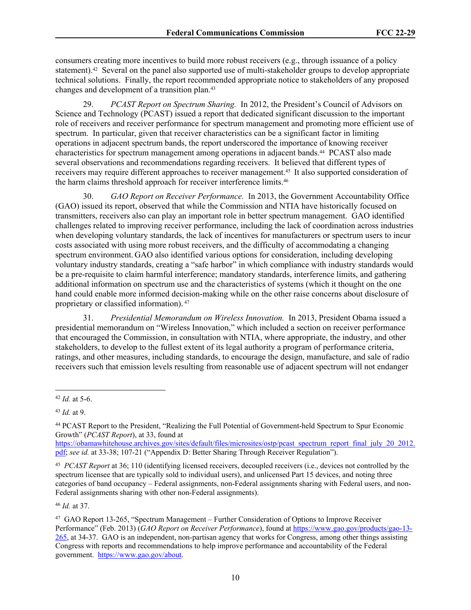consumers creating more incentives to build more robust receivers (e.g., through issuance of a policy statement).<sup>42</sup> Several on the panel also supported use of multi-stakeholder groups to develop appropriate technical solutions. Finally, the report recommended appropriate notice to stakeholders of any proposed changes and development of a transition plan.<sup>43</sup>

29. *PCAST Report on Spectrum Sharing.* In 2012, the President's Council of Advisors on Science and Technology (PCAST) issued a report that dedicated significant discussion to the important role of receivers and receiver performance for spectrum management and promoting more efficient use of spectrum. In particular, given that receiver characteristics can be a significant factor in limiting operations in adjacent spectrum bands, the report underscored the importance of knowing receiver characteristics for spectrum management among operations in adjacent bands.<sup>44</sup> PCAST also made several observations and recommendations regarding receivers. It believed that different types of receivers may require different approaches to receiver management.45 It also supported consideration of the harm claims threshold approach for receiver interference limits.<sup>46</sup>

30. *GAO Report on Receiver Performance.* In 2013, the Government Accountability Office (GAO) issued its report, observed that while the Commission and NTIA have historically focused on transmitters, receivers also can play an important role in better spectrum management. GAO identified challenges related to improving receiver performance, including the lack of coordination across industries when developing voluntary standards, the lack of incentives for manufacturers or spectrum users to incur costs associated with using more robust receivers, and the difficulty of accommodating a changing spectrum environment. GAO also identified various options for consideration, including developing voluntary industry standards, creating a "safe harbor" in which compliance with industry standards would be a pre-requisite to claim harmful interference; mandatory standards, interference limits, and gathering additional information on spectrum use and the characteristics of systems (which it thought on the one hand could enable more informed decision-making while on the other raise concerns about disclosure of proprietary or classified information).<sup>47</sup>

31. *Presidential Memorandum on Wireless Innovation.* In 2013, President Obama issued a presidential memorandum on "Wireless Innovation," which included a section on receiver performance that encouraged the Commission, in consultation with NTIA, where appropriate, the industry, and other stakeholders, to develop to the fullest extent of its legal authority a program of performance criteria, ratings, and other measures, including standards, to encourage the design, manufacture, and sale of radio receivers such that emission levels resulting from reasonable use of adjacent spectrum will not endanger

[https://obamawhitehouse.archives.gov/sites/default/files/microsites/ostp/pcast\\_spectrum\\_report\\_final\\_july\\_20\\_2012.](https://obamawhitehouse.archives.gov/sites/default/files/microsites/ostp/pcast_spectrum_report_final_july_20_2012.pdf) [pdf](https://obamawhitehouse.archives.gov/sites/default/files/microsites/ostp/pcast_spectrum_report_final_july_20_2012.pdf); *see id.* at 33-38; 107-21 ("Appendix D: Better Sharing Through Receiver Regulation").

45 *PCAST Report* at 36; 110 (identifying licensed receivers, decoupled receivers (i.e., devices not controlled by the spectrum licensee that are typically sold to individual users), and unlicensed Part 15 devices, and noting three categories of band occupancy – Federal assignments, non-Federal assignments sharing with Federal users, and non-Federal assignments sharing with other non-Federal assignments).

<sup>46</sup> *Id.* at 37.

<sup>47</sup> GAO Report 13-265, "Spectrum Management – Further Consideration of Options to Improve Receiver Performance" (Feb. 2013) (*GAO Report on Receiver Performance*), found at [https://www.gao.gov/products/gao-13-](https://www.gao.gov/products/gao-13-265) [265](https://www.gao.gov/products/gao-13-265), at 34-37. GAO is an independent, non-partisan agency that works for Congress, among other things assisting Congress with reports and recommendations to help improve performance and accountability of the Federal government. <https://www.gao.gov/about>.

<sup>42</sup> *Id.* at 5-6.

<sup>43</sup> *Id.* at 9.

<sup>44</sup> PCAST Report to the President, "Realizing the Full Potential of Government-held Spectrum to Spur Economic Growth" (*PCAST Report*), at 33, found at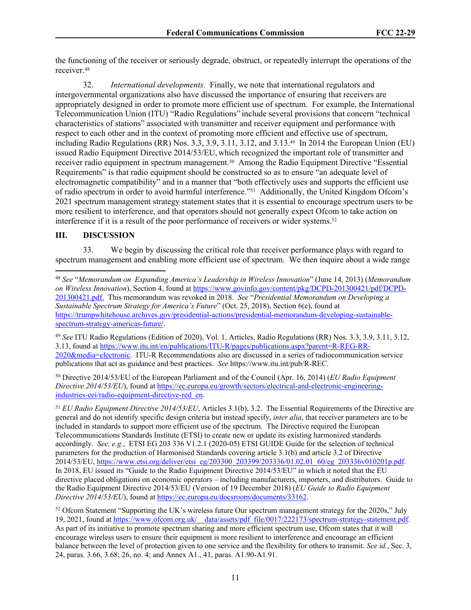the functioning of the receiver or seriously degrade, obstruct, or repeatedly interrupt the operations of the receiver.<sup>48</sup>

32. *International developments.* Finally, we note that international regulators and intergovernmental organizations also have discussed the importance of ensuring that receivers are appropriately designed in order to promote more efficient use of spectrum. For example, the International Telecommunication Union (ITU) "Radio Regulations" include several provisions that concern "technical characteristics of stations" associated with transmitter and receiver equipment and performance with respect to each other and in the context of promoting more efficient and effective use of spectrum, including Radio Regulations (RR) Nos. 3.3, 3.9, 3.11, 3.12, and 3.13.49 In 2014 the European Union (EU) issued Radio Equipment Directive 2014/53/EU, which recognized the important role of transmitter and receiver radio equipment in spectrum management.50 Among the Radio Equipment Directive "Essential Requirements" is that radio equipment should be constructed so as to ensure "an adequate level of electromagnetic compatibility" and in a manner that "both effectively uses and supports the efficient use of radio spectrum in order to avoid harmful interference."51 Additionally, the United Kingdom Ofcom's 2021 spectrum management strategy statement states that it is essential to encourage spectrum users to be more resilient to interference, and that operators should not generally expect Ofcom to take action on interference if it is a result of the poor performance of receivers or wider systems.<sup>52</sup>

#### **III. DISCUSSION**

33. We begin by discussing the critical role that receiver performance plays with regard to spectrum management and enabling more efficient use of spectrum. We then inquire about a wide range

<sup>49</sup> *See* ITU Radio Regulations (Edition of 2020), Vol. 1, Articles, Radio Regulations (RR) Nos. 3.3, 3.9, 3.11, 3.12, 3.13, found at [https://www.itu.int/en/publications/ITU-R/pages/publications.aspx?parent=R-REG-RR-](https://www.itu.int/en/publications/ITU-R/pages/publications.aspx?parent=R-REG-RR-2020&media=electronic)[2020&media=electronic](https://www.itu.int/en/publications/ITU-R/pages/publications.aspx?parent=R-REG-RR-2020&media=electronic). ITU-R Recommendations also are discussed in a series of radiocommunication service publications that act as guidance and best practices. *See* https://www.itu.int/pub/R-REC.

<sup>50</sup> Directive 2014/53/EU of the European Parliament and of the Council (Apr. 16, 2014) (*EU Radio Equipment Directive 2014/53/EU*), found at [https://ec.europa.eu/growth/sectors/electrical-and-electronic-engineering](https://ec.europa.eu/growth/sectors/electrical-and-electronic-engineering-industries-eei/radio-equipment-directive-red_en)[industries-eei/radio-equipment-directive-red\\_en.](https://ec.europa.eu/growth/sectors/electrical-and-electronic-engineering-industries-eei/radio-equipment-directive-red_en)

<sup>51</sup> *EU Radio Equipment Directive 2014/53/EU*, Articles 3.1(b), 3.2. The Essential Requirements of the Directive are general and do not identify specific design criteria but instead specify, *inter alia*, that receiver parameters are to be included in standards to support more efficient use of the spectrum. The Directive required the European Telecommunications Standards Institute (ETSI) to create new or update its existing harmonized standards accordingly. *See, e.g.*, ETSI EG 203 336 V1.2.1 (2020-05) ETSI GUIDE Guide for the selection of technical parameters for the production of Harmonised Standards covering article 3.1(b) and article 3.2 of Directive 2014/53/EU, [https://www.etsi.org/deliver/etsi\\_eg/203300\\_203399/203336/01.02.01\\_60/eg\\_203336v010201p.pdf.](https://www.etsi.org/deliver/etsi_eg/203300_203399/203336/01.02.01_60/eg_203336v010201p.pdf) In 2018, EU issued its "Guide to the Radio Equipment Directive 2014/53/EU" in which it noted that the EU directive placed obligations on economic operators – including manufacturers, importers, and distributors. Guide to the Radio Equipment Directive 2014/53/EU (Version of 19 December 2018) (*EU Guide to Radio Equipment Directive 2014/53/EU*), found at [https://ec.europa.eu/docsroom/documents/33162.](https://ec.europa.eu/docsroom/documents/33162)

<sup>52</sup> Ofcom Statement "Supporting the UK's wireless future Our spectrum management strategy for the 2020s," July 19, 2021, found at [https://www.ofcom.org.uk/\\_\\_data/assets/pdf\\_file/0017/222173/spectrum-strategy-statement.pdf.](https://www.ofcom.org.uk/__data/assets/pdf_file/0017/222173/spectrum-strategy-statement.pdf) As part of its initiative to promote spectrum sharing and more efficient spectrum use, Ofcom states that it will encourage wireless users to ensure their equipment is more resilient to interference and encourage an efficient balance between the level of protection given to one service and the flexibility for others to transmit. *See id.*, Sec. 3, 24, paras. 3.66, 3.68; 26, no. 4; and Annex A1., 41, paras. A1.90-A1.91.

<sup>48</sup> *See* "*Memorandum on Expanding America's Leadership in Wireless Innovation*" (June 14, 2013) (*Memorandum on Wireless Innovation*), Section 4, found at [https://www.govinfo.gov/content/pkg/DCPD-201300421/pdf/DCPD-](https://www.govinfo.gov/content/pkg/DCPD-201300421/pdf/DCPD-201300421.pdf)[201300421.pdf.](https://www.govinfo.gov/content/pkg/DCPD-201300421/pdf/DCPD-201300421.pdf) This memorandum was revoked in 2018. *See* "*Presidential Memorandum on Developing a Sustainable Spectrum Strategy for America's Future*" (Oct. 25, 2018), Section 6(e), found at [https://trumpwhitehouse.archives.gov/presidential-actions/presidential-memorandum-developing-sustainable](https://trumpwhitehouse.archives.gov/presidential-actions/presidential-memorandum-developing-sustainable-spectrum-strategy-americas-future/)[spectrum-strategy-americas-future/](https://trumpwhitehouse.archives.gov/presidential-actions/presidential-memorandum-developing-sustainable-spectrum-strategy-americas-future/).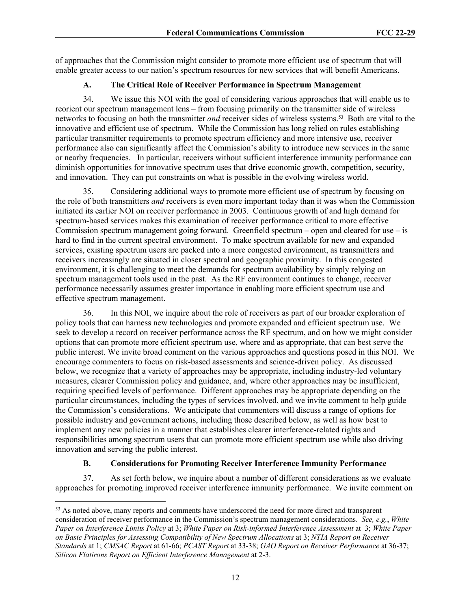of approaches that the Commission might consider to promote more efficient use of spectrum that will enable greater access to our nation's spectrum resources for new services that will benefit Americans.

### **A. The Critical Role of Receiver Performance in Spectrum Management**

34. We issue this NOI with the goal of considering various approaches that will enable us to reorient our spectrum management lens – from focusing primarily on the transmitter side of wireless networks to focusing on both the transmitter *and* receiver sides of wireless systems.53 Both are vital to the innovative and efficient use of spectrum. While the Commission has long relied on rules establishing particular transmitter requirements to promote spectrum efficiency and more intensive use, receiver performance also can significantly affect the Commission's ability to introduce new services in the same or nearby frequencies. In particular, receivers without sufficient interference immunity performance can diminish opportunities for innovative spectrum uses that drive economic growth, competition, security, and innovation. They can put constraints on what is possible in the evolving wireless world.

35. Considering additional ways to promote more efficient use of spectrum by focusing on the role of both transmitters *and* receivers is even more important today than it was when the Commission initiated its earlier NOI on receiver performance in 2003. Continuous growth of and high demand for spectrum-based services makes this examination of receiver performance critical to more effective Commission spectrum management going forward. Greenfield spectrum – open and cleared for use  $-$  is hard to find in the current spectral environment. To make spectrum available for new and expanded services, existing spectrum users are packed into a more congested environment, as transmitters and receivers increasingly are situated in closer spectral and geographic proximity. In this congested environment, it is challenging to meet the demands for spectrum availability by simply relying on spectrum management tools used in the past. As the RF environment continues to change, receiver performance necessarily assumes greater importance in enabling more efficient spectrum use and effective spectrum management.

36. In this NOI, we inquire about the role of receivers as part of our broader exploration of policy tools that can harness new technologies and promote expanded and efficient spectrum use. We seek to develop a record on receiver performance across the RF spectrum, and on how we might consider options that can promote more efficient spectrum use, where and as appropriate, that can best serve the public interest. We invite broad comment on the various approaches and questions posed in this NOI. We encourage commenters to focus on risk-based assessments and science-driven policy. As discussed below, we recognize that a variety of approaches may be appropriate, including industry-led voluntary measures, clearer Commission policy and guidance, and, where other approaches may be insufficient, requiring specified levels of performance. Different approaches may be appropriate depending on the particular circumstances, including the types of services involved, and we invite comment to help guide the Commission's considerations. We anticipate that commenters will discuss a range of options for possible industry and government actions, including those described below, as well as how best to implement any new policies in a manner that establishes clearer interference-related rights and responsibilities among spectrum users that can promote more efficient spectrum use while also driving innovation and serving the public interest.

## **B. Considerations for Promoting Receiver Interference Immunity Performance**

37. As set forth below, we inquire about a number of different considerations as we evaluate approaches for promoting improved receiver interference immunity performance. We invite comment on

<sup>&</sup>lt;sup>53</sup> As noted above, many reports and comments have underscored the need for more direct and transparent consideration of receiver performance in the Commission's spectrum management considerations. *See, e.g.*, *White Paper on Interference Limits Policy* at 3; *White Paper on Risk-informed Interference Assessment* at 3; *White Paper on Basic Principles for Assessing Compatibility of New Spectrum Allocations* at 3; *NTIA Report on Receiver Standards* at 1; *CMSAC Report* at 61-66; *PCAST Report* at 33-38; *GAO Report on Receiver Performance* at 36-37; *Silicon Flatirons Report on Efficient Interference Management* at 2-3.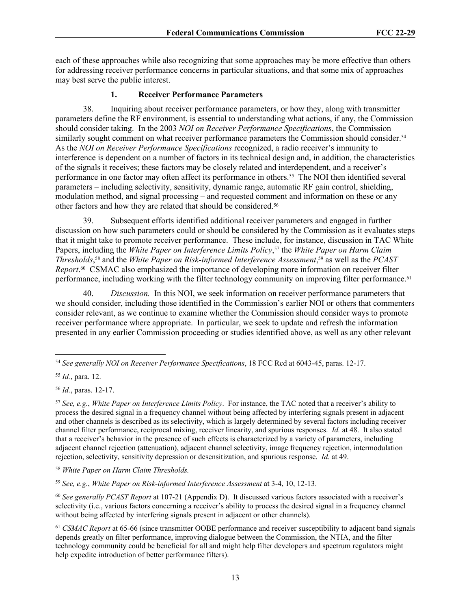each of these approaches while also recognizing that some approaches may be more effective than others for addressing receiver performance concerns in particular situations, and that some mix of approaches may best serve the public interest.

## **1. Receiver Performance Parameters**

38. Inquiring about receiver performance parameters, or how they, along with transmitter parameters define the RF environment, is essential to understanding what actions, if any, the Commission should consider taking. In the 2003 *NOI on Receiver Performance Specifications*, the Commission similarly sought comment on what receiver performance parameters the Commission should consider.<sup>54</sup> As the *NOI on Receiver Performance Specifications* recognized, a radio receiver's immunity to interference is dependent on a number of factors in its technical design and, in addition, the characteristics of the signals it receives; these factors may be closely related and interdependent, and a receiver's performance in one factor may often affect its performance in others.55 The NOI then identified several parameters – including selectivity, sensitivity, dynamic range, automatic RF gain control, shielding, modulation method, and signal processing – and requested comment and information on these or any other factors and how they are related that should be considered.<sup>56</sup>

39. Subsequent efforts identified additional receiver parameters and engaged in further discussion on how such parameters could or should be considered by the Commission as it evaluates steps that it might take to promote receiver performance. These include, for instance, discussion in TAC White Papers, including the *White Paper on Interference Limits Policy*, <sup>57</sup> the *White Paper on Harm Claim Thresholds*, <sup>58</sup> and the *White Paper on Risk-informed Interference Assessment*, <sup>59</sup> as well as the *PCAST Report*. <sup>60</sup> CSMAC also emphasized the importance of developing more information on receiver filter performance, including working with the filter technology community on improving filter performance.<sup>61</sup>

40. *Discussion.* In this NOI, we seek information on receiver performance parameters that we should consider, including those identified in the Commission's earlier NOI or others that commenters consider relevant, as we continue to examine whether the Commission should consider ways to promote receiver performance where appropriate. In particular, we seek to update and refresh the information presented in any earlier Commission proceeding or studies identified above, as well as any other relevant

<sup>58</sup> *White Paper on Harm Claim Thresholds.*

<sup>59</sup> *See, e.g.*, *White Paper on Risk-informed Interference Assessment* at 3-4, 10, 12-13.

<sup>60</sup> *See generally PCAST Report* at 107-21 (Appendix D). It discussed various factors associated with a receiver's selectivity (i.e., various factors concerning a receiver's ability to process the desired signal in a frequency channel without being affected by interfering signals present in adjacent or other channels).

<sup>54</sup> *See generally NOI on Receiver Performance Specifications*, 18 FCC Rcd at 6043-45, paras. 12-17.

<sup>55</sup> *Id.*, para. 12.

<sup>56</sup> *Id.*, paras. 12-17.

<sup>57</sup> *See, e.g.*, *White Paper on Interference Limits Policy*. For instance, the TAC noted that a receiver's ability to process the desired signal in a frequency channel without being affected by interfering signals present in adjacent and other channels is described as its selectivity, which is largely determined by several factors including receiver channel filter performance, reciprocal mixing, receiver linearity, and spurious responses. *Id.* at 48. It also stated that a receiver's behavior in the presence of such effects is characterized by a variety of parameters, including adjacent channel rejection (attenuation), adjacent channel selectivity, image frequency rejection, intermodulation rejection, selectivity, sensitivity depression or desensitization, and spurious response. *Id.* at 49.

<sup>61</sup> *CSMAC Report* at 65-66 (since transmitter OOBE performance and receiver susceptibility to adjacent band signals depends greatly on filter performance, improving dialogue between the Commission, the NTIA, and the filter technology community could be beneficial for all and might help filter developers and spectrum regulators might help expedite introduction of better performance filters).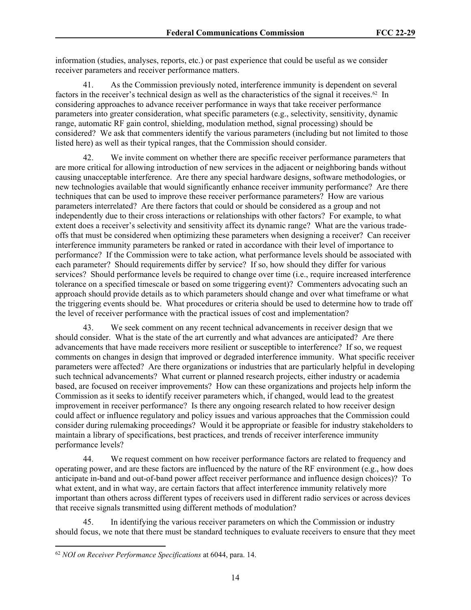information (studies, analyses, reports, etc.) or past experience that could be useful as we consider receiver parameters and receiver performance matters.

41. As the Commission previously noted, interference immunity is dependent on several factors in the receiver's technical design as well as the characteristics of the signal it receives.62 In considering approaches to advance receiver performance in ways that take receiver performance parameters into greater consideration, what specific parameters (e.g., selectivity, sensitivity, dynamic range, automatic RF gain control, shielding, modulation method, signal processing) should be considered? We ask that commenters identify the various parameters (including but not limited to those listed here) as well as their typical ranges, that the Commission should consider.

42. We invite comment on whether there are specific receiver performance parameters that are more critical for allowing introduction of new services in the adjacent or neighboring bands without causing unacceptable interference. Are there any special hardware designs, software methodologies, or new technologies available that would significantly enhance receiver immunity performance? Are there techniques that can be used to improve these receiver performance parameters? How are various parameters interrelated? Are there factors that could or should be considered as a group and not independently due to their cross interactions or relationships with other factors? For example, to what extent does a receiver's selectivity and sensitivity affect its dynamic range? What are the various tradeoffs that must be considered when optimizing these parameters when designing a receiver? Can receiver interference immunity parameters be ranked or rated in accordance with their level of importance to performance? If the Commission were to take action, what performance levels should be associated with each parameter? Should requirements differ by service? If so, how should they differ for various services? Should performance levels be required to change over time (i.e., require increased interference tolerance on a specified timescale or based on some triggering event)? Commenters advocating such an approach should provide details as to which parameters should change and over what timeframe or what the triggering events should be. What procedures or criteria should be used to determine how to trade off the level of receiver performance with the practical issues of cost and implementation?

43. We seek comment on any recent technical advancements in receiver design that we should consider. What is the state of the art currently and what advances are anticipated? Are there advancements that have made receivers more resilient or susceptible to interference? If so, we request comments on changes in design that improved or degraded interference immunity. What specific receiver parameters were affected? Are there organizations or industries that are particularly helpful in developing such technical advancements? What current or planned research projects, either industry or academia based, are focused on receiver improvements? How can these organizations and projects help inform the Commission as it seeks to identify receiver parameters which, if changed, would lead to the greatest improvement in receiver performance? Is there any ongoing research related to how receiver design could affect or influence regulatory and policy issues and various approaches that the Commission could consider during rulemaking proceedings? Would it be appropriate or feasible for industry stakeholders to maintain a library of specifications, best practices, and trends of receiver interference immunity performance levels?

44. We request comment on how receiver performance factors are related to frequency and operating power, and are these factors are influenced by the nature of the RF environment (e.g., how does anticipate in-band and out-of-band power affect receiver performance and influence design choices)? To what extent, and in what way, are certain factors that affect interference immunity relatively more important than others across different types of receivers used in different radio services or across devices that receive signals transmitted using different methods of modulation?

45. In identifying the various receiver parameters on which the Commission or industry should focus, we note that there must be standard techniques to evaluate receivers to ensure that they meet

<sup>62</sup> *NOI on Receiver Performance Specifications* at 6044, para. 14.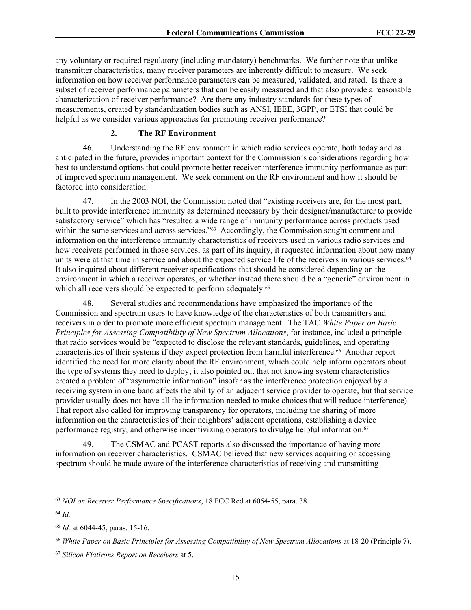any voluntary or required regulatory (including mandatory) benchmarks. We further note that unlike transmitter characteristics, many receiver parameters are inherently difficult to measure. We seek information on how receiver performance parameters can be measured, validated, and rated. Is there a subset of receiver performance parameters that can be easily measured and that also provide a reasonable characterization of receiver performance? Are there any industry standards for these types of measurements, created by standardization bodies such as ANSI, IEEE, 3GPP, or ETSI that could be helpful as we consider various approaches for promoting receiver performance?

### **2. The RF Environment**

46. Understanding the RF environment in which radio services operate, both today and as anticipated in the future, provides important context for the Commission's considerations regarding how best to understand options that could promote better receiver interference immunity performance as part of improved spectrum management. We seek comment on the RF environment and how it should be factored into consideration.

47. In the 2003 NOI, the Commission noted that "existing receivers are, for the most part, built to provide interference immunity as determined necessary by their designer/manufacturer to provide satisfactory service" which has "resulted a wide range of immunity performance across products used within the same services and across services."<sup>63</sup> Accordingly, the Commission sought comment and information on the interference immunity characteristics of receivers used in various radio services and how receivers performed in those services; as part of its inquiry, it requested information about how many units were at that time in service and about the expected service life of the receivers in various services.<sup>64</sup> It also inquired about different receiver specifications that should be considered depending on the environment in which a receiver operates, or whether instead there should be a "generic" environment in which all receivers should be expected to perform adequately.<sup>65</sup>

48. Several studies and recommendations have emphasized the importance of the Commission and spectrum users to have knowledge of the characteristics of both transmitters and receivers in order to promote more efficient spectrum management. The TAC *White Paper on Basic Principles for Assessing Compatibility of New Spectrum Allocations*, for instance, included a principle that radio services would be "expected to disclose the relevant standards, guidelines, and operating characteristics of their systems if they expect protection from harmful interference.66 Another report identified the need for more clarity about the RF environment, which could help inform operators about the type of systems they need to deploy; it also pointed out that not knowing system characteristics created a problem of "asymmetric information" insofar as the interference protection enjoyed by a receiving system in one band affects the ability of an adjacent service provider to operate, but that service provider usually does not have all the information needed to make choices that will reduce interference). That report also called for improving transparency for operators, including the sharing of more information on the characteristics of their neighbors' adjacent operations, establishing a device performance registry, and otherwise incentivizing operators to divulge helpful information.<sup>67</sup>

49. The CSMAC and PCAST reports also discussed the importance of having more information on receiver characteristics. CSMAC believed that new services acquiring or accessing spectrum should be made aware of the interference characteristics of receiving and transmitting

<sup>63</sup> *NOI on Receiver Performance Specifications*, 18 FCC Rcd at 6054-55, para. 38.

<sup>64</sup> *Id.* 

<sup>65</sup> *Id.* at 6044-45, paras. 15-16.

<sup>66</sup> *White Paper on Basic Principles for Assessing Compatibility of New Spectrum Allocations* at 18-20 (Principle 7).

<sup>67</sup> *Silicon Flatirons Report on Receivers* at 5.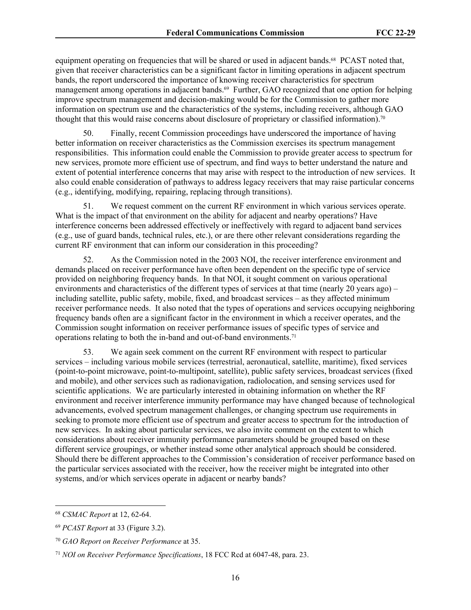equipment operating on frequencies that will be shared or used in adjacent bands.<sup>68</sup> PCAST noted that, given that receiver characteristics can be a significant factor in limiting operations in adjacent spectrum bands, the report underscored the importance of knowing receiver characteristics for spectrum management among operations in adjacent bands.<sup>69</sup> Further, GAO recognized that one option for helping improve spectrum management and decision-making would be for the Commission to gather more information on spectrum use and the characteristics of the systems, including receivers, although GAO thought that this would raise concerns about disclosure of proprietary or classified information).<sup>70</sup>

50. Finally, recent Commission proceedings have underscored the importance of having better information on receiver characteristics as the Commission exercises its spectrum management responsibilities. This information could enable the Commission to provide greater access to spectrum for new services, promote more efficient use of spectrum, and find ways to better understand the nature and extent of potential interference concerns that may arise with respect to the introduction of new services. It also could enable consideration of pathways to address legacy receivers that may raise particular concerns (e.g., identifying, modifying, repairing, replacing through transitions).

51. We request comment on the current RF environment in which various services operate. What is the impact of that environment on the ability for adjacent and nearby operations? Have interference concerns been addressed effectively or ineffectively with regard to adjacent band services (e.g., use of guard bands, technical rules, etc.), or are there other relevant considerations regarding the current RF environment that can inform our consideration in this proceeding?

52. As the Commission noted in the 2003 NOI, the receiver interference environment and demands placed on receiver performance have often been dependent on the specific type of service provided on neighboring frequency bands. In that NOI, it sought comment on various operational environments and characteristics of the different types of services at that time (nearly 20 years ago) – including satellite, public safety, mobile, fixed, and broadcast services – as they affected minimum receiver performance needs. It also noted that the types of operations and services occupying neighboring frequency bands often are a significant factor in the environment in which a receiver operates, and the Commission sought information on receiver performance issues of specific types of service and operations relating to both the in-band and out-of-band environments.<sup>71</sup>

53. We again seek comment on the current RF environment with respect to particular services – including various mobile services (terrestrial, aeronautical, satellite, maritime), fixed services (point-to-point microwave, point-to-multipoint, satellite), public safety services, broadcast services (fixed and mobile), and other services such as radionavigation, radiolocation, and sensing services used for scientific applications. We are particularly interested in obtaining information on whether the RF environment and receiver interference immunity performance may have changed because of technological advancements, evolved spectrum management challenges, or changing spectrum use requirements in seeking to promote more efficient use of spectrum and greater access to spectrum for the introduction of new services. In asking about particular services, we also invite comment on the extent to which considerations about receiver immunity performance parameters should be grouped based on these different service groupings, or whether instead some other analytical approach should be considered. Should there be different approaches to the Commission's consideration of receiver performance based on the particular services associated with the receiver, how the receiver might be integrated into other systems, and/or which services operate in adjacent or nearby bands?

<sup>68</sup> *CSMAC Report* at 12, 62-64.

<sup>69</sup> *PCAST Report* at 33 (Figure 3.2).

<sup>70</sup> *GAO Report on Receiver Performance* at 35.

<sup>71</sup> *NOI on Receiver Performance Specifications*, 18 FCC Rcd at 6047-48, para. 23.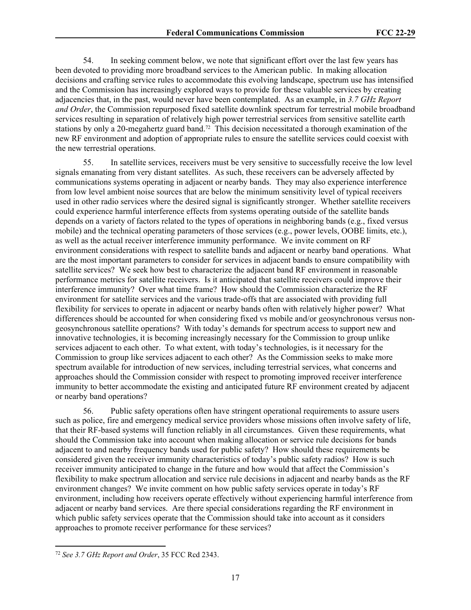54. In seeking comment below, we note that significant effort over the last few years has been devoted to providing more broadband services to the American public. In making allocation decisions and crafting service rules to accommodate this evolving landscape, spectrum use has intensified and the Commission has increasingly explored ways to provide for these valuable services by creating adjacencies that, in the past, would never have been contemplated. As an example, in *3.7 GHz Report and Order*, the Commission repurposed fixed satellite downlink spectrum for terrestrial mobile broadband services resulting in separation of relatively high power terrestrial services from sensitive satellite earth stations by only a 20-megahertz guard band.72 This decision necessitated a thorough examination of the new RF environment and adoption of appropriate rules to ensure the satellite services could coexist with the new terrestrial operations.

55. In satellite services, receivers must be very sensitive to successfully receive the low level signals emanating from very distant satellites. As such, these receivers can be adversely affected by communications systems operating in adjacent or nearby bands. They may also experience interference from low level ambient noise sources that are below the minimum sensitivity level of typical receivers used in other radio services where the desired signal is significantly stronger. Whether satellite receivers could experience harmful interference effects from systems operating outside of the satellite bands depends on a variety of factors related to the types of operations in neighboring bands (e.g., fixed versus mobile) and the technical operating parameters of those services (e.g., power levels, OOBE limits, etc.), as well as the actual receiver interference immunity performance. We invite comment on RF environment considerations with respect to satellite bands and adjacent or nearby band operations. What are the most important parameters to consider for services in adjacent bands to ensure compatibility with satellite services? We seek how best to characterize the adjacent band RF environment in reasonable performance metrics for satellite receivers. Is it anticipated that satellite receivers could improve their interference immunity? Over what time frame? How should the Commission characterize the RF environment for satellite services and the various trade-offs that are associated with providing full flexibility for services to operate in adjacent or nearby bands often with relatively higher power? What differences should be accounted for when considering fixed vs mobile and/or geosynchronous versus nongeosynchronous satellite operations? With today's demands for spectrum access to support new and innovative technologies, it is becoming increasingly necessary for the Commission to group unlike services adjacent to each other. To what extent, with today's technologies, is it necessary for the Commission to group like services adjacent to each other? As the Commission seeks to make more spectrum available for introduction of new services, including terrestrial services, what concerns and approaches should the Commission consider with respect to promoting improved receiver interference immunity to better accommodate the existing and anticipated future RF environment created by adjacent or nearby band operations?

56. Public safety operations often have stringent operational requirements to assure users such as police, fire and emergency medical service providers whose missions often involve safety of life, that their RF-based systems will function reliably in all circumstances. Given these requirements, what should the Commission take into account when making allocation or service rule decisions for bands adjacent to and nearby frequency bands used for public safety? How should these requirements be considered given the receiver immunity characteristics of today's public safety radios? How is such receiver immunity anticipated to change in the future and how would that affect the Commission's flexibility to make spectrum allocation and service rule decisions in adjacent and nearby bands as the RF environment changes? We invite comment on how public safety services operate in today's RF environment, including how receivers operate effectively without experiencing harmful interference from adjacent or nearby band services. Are there special considerations regarding the RF environment in which public safety services operate that the Commission should take into account as it considers approaches to promote receiver performance for these services?

<sup>72</sup> *See 3.7 GHz Report and Order*, 35 FCC Rcd 2343.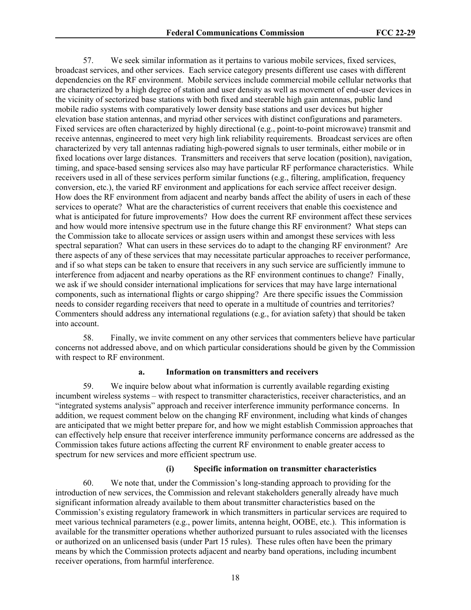57. We seek similar information as it pertains to various mobile services, fixed services, broadcast services, and other services. Each service category presents different use cases with different dependencies on the RF environment. Mobile services include commercial mobile cellular networks that are characterized by a high degree of station and user density as well as movement of end-user devices in the vicinity of sectorized base stations with both fixed and steerable high gain antennas, public land mobile radio systems with comparatively lower density base stations and user devices but higher elevation base station antennas, and myriad other services with distinct configurations and parameters. Fixed services are often characterized by highly directional (e.g., point-to-point microwave) transmit and receive antennas, engineered to meet very high link reliability requirements. Broadcast services are often characterized by very tall antennas radiating high-powered signals to user terminals, either mobile or in fixed locations over large distances. Transmitters and receivers that serve location (position), navigation, timing, and space-based sensing services also may have particular RF performance characteristics. While receivers used in all of these services perform similar functions (e.g., filtering, amplification, frequency conversion, etc.), the varied RF environment and applications for each service affect receiver design. How does the RF environment from adjacent and nearby bands affect the ability of users in each of these services to operate? What are the characteristics of current receivers that enable this coexistence and what is anticipated for future improvements? How does the current RF environment affect these services and how would more intensive spectrum use in the future change this RF environment? What steps can the Commission take to allocate services or assign users within and amongst these services with less spectral separation? What can users in these services do to adapt to the changing RF environment? Are there aspects of any of these services that may necessitate particular approaches to receiver performance, and if so what steps can be taken to ensure that receivers in any such service are sufficiently immune to interference from adjacent and nearby operations as the RF environment continues to change? Finally, we ask if we should consider international implications for services that may have large international components, such as international flights or cargo shipping? Are there specific issues the Commission needs to consider regarding receivers that need to operate in a multitude of countries and territories? Commenters should address any international regulations (e.g., for aviation safety) that should be taken into account.

58. Finally, we invite comment on any other services that commenters believe have particular concerns not addressed above, and on which particular considerations should be given by the Commission with respect to RF environment.

#### **a. Information on transmitters and receivers**

59. We inquire below about what information is currently available regarding existing incumbent wireless systems – with respect to transmitter characteristics, receiver characteristics, and an "integrated systems analysis" approach and receiver interference immunity performance concerns. In addition, we request comment below on the changing RF environment, including what kinds of changes are anticipated that we might better prepare for, and how we might establish Commission approaches that can effectively help ensure that receiver interference immunity performance concerns are addressed as the Commission takes future actions affecting the current RF environment to enable greater access to spectrum for new services and more efficient spectrum use.

#### **(i) Specific information on transmitter characteristics**

60. We note that, under the Commission's long-standing approach to providing for the introduction of new services, the Commission and relevant stakeholders generally already have much significant information already available to them about transmitter characteristics based on the Commission's existing regulatory framework in which transmitters in particular services are required to meet various technical parameters (e.g., power limits, antenna height, OOBE, etc.). This information is available for the transmitter operations whether authorized pursuant to rules associated with the licenses or authorized on an unlicensed basis (under Part 15 rules). These rules often have been the primary means by which the Commission protects adjacent and nearby band operations, including incumbent receiver operations, from harmful interference.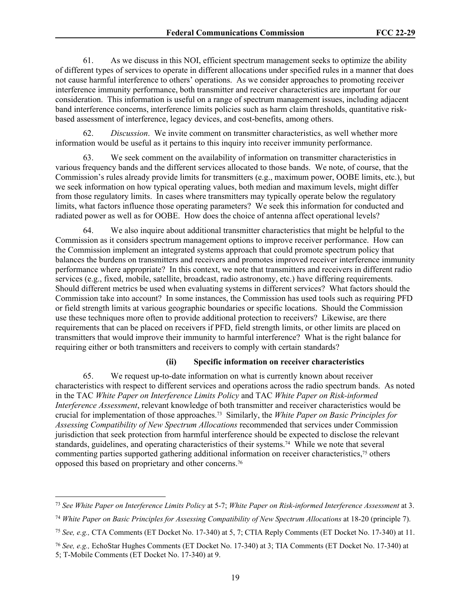61. As we discuss in this NOI, efficient spectrum management seeks to optimize the ability of different types of services to operate in different allocations under specified rules in a manner that does not cause harmful interference to others' operations. As we consider approaches to promoting receiver interference immunity performance, both transmitter and receiver characteristics are important for our consideration. This information is useful on a range of spectrum management issues, including adjacent band interference concerns, interference limits policies such as harm claim thresholds, quantitative riskbased assessment of interference, legacy devices, and cost-benefits, among others.

62. *Discussion*. We invite comment on transmitter characteristics, as well whether more information would be useful as it pertains to this inquiry into receiver immunity performance.

63. We seek comment on the availability of information on transmitter characteristics in various frequency bands and the different services allocated to those bands. We note, of course, that the Commission's rules already provide limits for transmitters (e.g., maximum power, OOBE limits, etc.), but we seek information on how typical operating values, both median and maximum levels, might differ from those regulatory limits. In cases where transmitters may typically operate below the regulatory limits, what factors influence those operating parameters? We seek this information for conducted and radiated power as well as for OOBE. How does the choice of antenna affect operational levels?

64. We also inquire about additional transmitter characteristics that might be helpful to the Commission as it considers spectrum management options to improve receiver performance. How can the Commission implement an integrated systems approach that could promote spectrum policy that balances the burdens on transmitters and receivers and promotes improved receiver interference immunity performance where appropriate? In this context, we note that transmitters and receivers in different radio services (e.g., fixed, mobile, satellite, broadcast, radio astronomy, etc.) have differing requirements. Should different metrics be used when evaluating systems in different services? What factors should the Commission take into account? In some instances, the Commission has used tools such as requiring PFD or field strength limits at various geographic boundaries or specific locations. Should the Commission use these techniques more often to provide additional protection to receivers? Likewise, are there requirements that can be placed on receivers if PFD, field strength limits, or other limits are placed on transmitters that would improve their immunity to harmful interference? What is the right balance for requiring either or both transmitters and receivers to comply with certain standards?

#### **(ii) Specific information on receiver characteristics**

65. We request up-to-date information on what is currently known about receiver characteristics with respect to different services and operations across the radio spectrum bands. As noted in the TAC *White Paper on Interference Limits Policy* and TAC *White Paper on Risk-informed Interference Assessment*, relevant knowledge of both transmitter and receiver characteristics would be crucial for implementation of those approaches.73 Similarly, the *White Paper on Basic Principles for Assessing Compatibility of New Spectrum Allocations* recommended that services under Commission jurisdiction that seek protection from harmful interference should be expected to disclose the relevant standards, guidelines, and operating characteristics of their systems.74 While we note that several commenting parties supported gathering additional information on receiver characteristics,<sup>75</sup> others opposed this based on proprietary and other concerns.<sup>76</sup>

<sup>73</sup> *See White Paper on Interference Limits Policy* at 5-7; *White Paper on Risk-informed Interference Assessment* at 3.

<sup>74</sup> *White Paper on Basic Principles for Assessing Compatibility of New Spectrum Allocations* at 18-20 (principle 7).

<sup>75</sup> *See, e.g.,* CTA Comments (ET Docket No. 17-340) at 5, 7; CTIA Reply Comments (ET Docket No. 17-340) at 11.

<sup>76</sup> *See, e.g.,* EchoStar Hughes Comments (ET Docket No. 17-340) at 3; TIA Comments (ET Docket No. 17-340) at 5; T-Mobile Comments (ET Docket No. 17-340) at 9.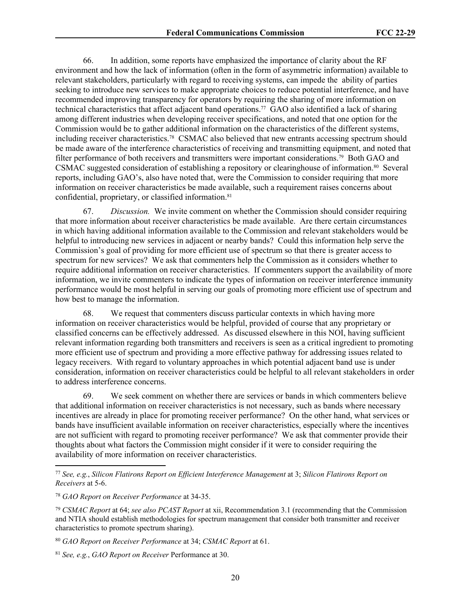66. In addition, some reports have emphasized the importance of clarity about the RF environment and how the lack of information (often in the form of asymmetric information) available to relevant stakeholders, particularly with regard to receiving systems, can impede the ability of parties seeking to introduce new services to make appropriate choices to reduce potential interference, and have recommended improving transparency for operators by requiring the sharing of more information on technical characteristics that affect adjacent band operations.77 GAO also identified a lack of sharing among different industries when developing receiver specifications, and noted that one option for the Commission would be to gather additional information on the characteristics of the different systems, including receiver characteristics.78 CSMAC also believed that new entrants accessing spectrum should be made aware of the interference characteristics of receiving and transmitting equipment, and noted that filter performance of both receivers and transmitters were important considerations.79 Both GAO and CSMAC suggested consideration of establishing a repository or clearinghouse of information.80 Several reports, including GAO's, also have noted that, were the Commission to consider requiring that more information on receiver characteristics be made available, such a requirement raises concerns about confidential, proprietary, or classified information.<sup>81</sup>

67. *Discussion.* We invite comment on whether the Commission should consider requiring that more information about receiver characteristics be made available. Are there certain circumstances in which having additional information available to the Commission and relevant stakeholders would be helpful to introducing new services in adjacent or nearby bands? Could this information help serve the Commission's goal of providing for more efficient use of spectrum so that there is greater access to spectrum for new services? We ask that commenters help the Commission as it considers whether to require additional information on receiver characteristics. If commenters support the availability of more information, we invite commenters to indicate the types of information on receiver interference immunity performance would be most helpful in serving our goals of promoting more efficient use of spectrum and how best to manage the information.

68. We request that commenters discuss particular contexts in which having more information on receiver characteristics would be helpful, provided of course that any proprietary or classified concerns can be effectively addressed. As discussed elsewhere in this NOI, having sufficient relevant information regarding both transmitters and receivers is seen as a critical ingredient to promoting more efficient use of spectrum and providing a more effective pathway for addressing issues related to legacy receivers. With regard to voluntary approaches in which potential adjacent band use is under consideration, information on receiver characteristics could be helpful to all relevant stakeholders in order to address interference concerns.

69. We seek comment on whether there are services or bands in which commenters believe that additional information on receiver characteristics is not necessary, such as bands where necessary incentives are already in place for promoting receiver performance? On the other hand, what services or bands have insufficient available information on receiver characteristics, especially where the incentives are not sufficient with regard to promoting receiver performance? We ask that commenter provide their thoughts about what factors the Commission might consider if it were to consider requiring the availability of more information on receiver characteristics.

<sup>77</sup> *See, e.g.*, *Silicon Flatirons Report on Efficient Interference Management* at 3; *Silicon Flatirons Report on Receivers* at 5-6.

<sup>78</sup> *GAO Report on Receiver Performance* at 34-35.

<sup>79</sup> *CSMAC Report* at 64; *see also PCAST Report* at xii, Recommendation 3.1 (recommending that the Commission and NTIA should establish methodologies for spectrum management that consider both transmitter and receiver characteristics to promote spectrum sharing).

<sup>80</sup> *GAO Report on Receiver Performance* at 34; *CSMAC Report* at 61.

<sup>81</sup> *See, e.g.*, *GAO Report on Receiver* Performance at 30.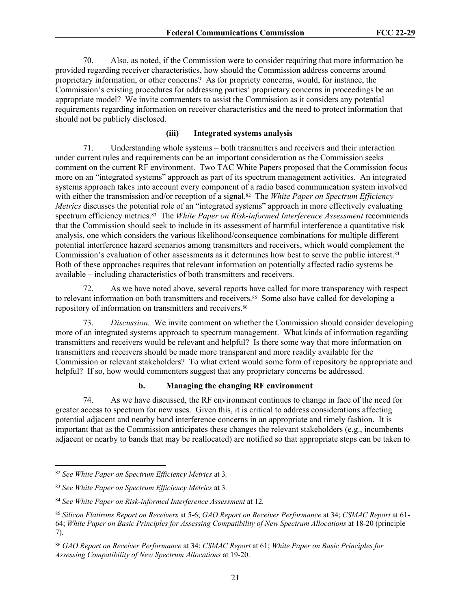70. Also, as noted, if the Commission were to consider requiring that more information be provided regarding receiver characteristics, how should the Commission address concerns around proprietary information, or other concerns? As for propriety concerns, would, for instance, the Commission's existing procedures for addressing parties' proprietary concerns in proceedings be an appropriate model? We invite commenters to assist the Commission as it considers any potential requirements regarding information on receiver characteristics and the need to protect information that should not be publicly disclosed.

### **(iii) Integrated systems analysis**

71. Understanding whole systems – both transmitters and receivers and their interaction under current rules and requirements can be an important consideration as the Commission seeks comment on the current RF environment. Two TAC White Papers proposed that the Commission focus more on an "integrated systems" approach as part of its spectrum management activities. An integrated systems approach takes into account every component of a radio based communication system involved with either the transmission and/or reception of a signal.<sup>82</sup> The *White Paper on Spectrum Efficiency Metrics* discusses the potential role of an "integrated systems" approach in more effectively evaluating spectrum efficiency metrics.83 The *White Paper on Risk-informed Interference Assessment* recommends that the Commission should seek to include in its assessment of harmful interference a quantitative risk analysis, one which considers the various likelihood/consequence combinations for multiple different potential interference hazard scenarios among transmitters and receivers, which would complement the Commission's evaluation of other assessments as it determines how best to serve the public interest.<sup>84</sup> Both of these approaches requires that relevant information on potentially affected radio systems be available – including characteristics of both transmitters and receivers.

72. As we have noted above, several reports have called for more transparency with respect to relevant information on both transmitters and receivers.<sup>85</sup> Some also have called for developing a repository of information on transmitters and receivers.<sup>86</sup>

73. *Discussion.* We invite comment on whether the Commission should consider developing more of an integrated systems approach to spectrum management. What kinds of information regarding transmitters and receivers would be relevant and helpful? Is there some way that more information on transmitters and receivers should be made more transparent and more readily available for the Commission or relevant stakeholders? To what extent would some form of repository be appropriate and helpful? If so, how would commenters suggest that any proprietary concerns be addressed.

### **b. Managing the changing RF environment**

74. As we have discussed, the RF environment continues to change in face of the need for greater access to spectrum for new uses. Given this, it is critical to address considerations affecting potential adjacent and nearby band interference concerns in an appropriate and timely fashion. It is important that as the Commission anticipates these changes the relevant stakeholders (e.g., incumbents adjacent or nearby to bands that may be reallocated) are notified so that appropriate steps can be taken to

<sup>82</sup> *See White Paper on Spectrum Efficiency Metrics* at 3*.*

<sup>83</sup> *See White Paper on Spectrum Efficiency Metrics* at 3*.*

<sup>84</sup> *See White Paper on Risk-informed Interference Assessment* at 12*.*

<sup>85</sup> *Silicon Flatirons Report on Receivers* at 5-6; *GAO Report on Receiver Performance* at 34; *CSMAC Report* at 61- 64; *White Paper on Basic Principles for Assessing Compatibility of New Spectrum Allocations* at 18-20 (principle 7).

<sup>86</sup> *GAO Report on Receiver Performance* at 34; *CSMAC Report* at 61; *White Paper on Basic Principles for Assessing Compatibility of New Spectrum Allocations* at 19-20.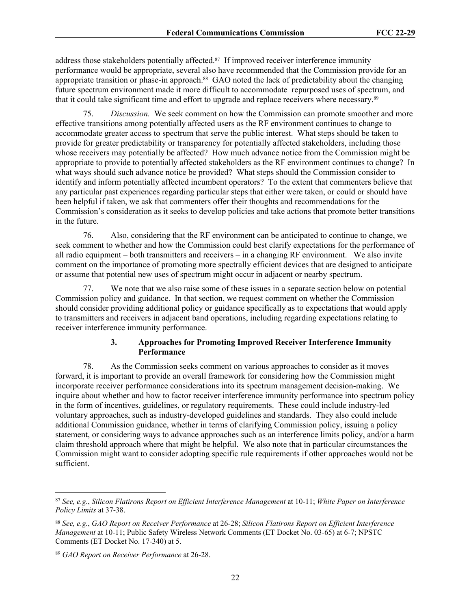address those stakeholders potentially affected.<sup>87</sup> If improved receiver interference immunity performance would be appropriate, several also have recommended that the Commission provide for an appropriate transition or phase-in approach.88 GAO noted the lack of predictability about the changing future spectrum environment made it more difficult to accommodate repurposed uses of spectrum, and that it could take significant time and effort to upgrade and replace receivers where necessary.<sup>89</sup>

75. *Discussion.* We seek comment on how the Commission can promote smoother and more effective transitions among potentially affected users as the RF environment continues to change to accommodate greater access to spectrum that serve the public interest. What steps should be taken to provide for greater predictability or transparency for potentially affected stakeholders, including those whose receivers may potentially be affected? How much advance notice from the Commission might be appropriate to provide to potentially affected stakeholders as the RF environment continues to change? In what ways should such advance notice be provided? What steps should the Commission consider to identify and inform potentially affected incumbent operators? To the extent that commenters believe that any particular past experiences regarding particular steps that either were taken, or could or should have been helpful if taken, we ask that commenters offer their thoughts and recommendations for the Commission's consideration as it seeks to develop policies and take actions that promote better transitions in the future.

76. Also, considering that the RF environment can be anticipated to continue to change, we seek comment to whether and how the Commission could best clarify expectations for the performance of all radio equipment – both transmitters and receivers – in a changing RF environment. We also invite comment on the importance of promoting more spectrally efficient devices that are designed to anticipate or assume that potential new uses of spectrum might occur in adjacent or nearby spectrum.

77. We note that we also raise some of these issues in a separate section below on potential Commission policy and guidance. In that section, we request comment on whether the Commission should consider providing additional policy or guidance specifically as to expectations that would apply to transmitters and receivers in adjacent band operations, including regarding expectations relating to receiver interference immunity performance.

### **3. Approaches for Promoting Improved Receiver Interference Immunity Performance**

78. As the Commission seeks comment on various approaches to consider as it moves forward, it is important to provide an overall framework for considering how the Commission might incorporate receiver performance considerations into its spectrum management decision-making. We inquire about whether and how to factor receiver interference immunity performance into spectrum policy in the form of incentives, guidelines, or regulatory requirements. These could include industry-led voluntary approaches, such as industry-developed guidelines and standards. They also could include additional Commission guidance, whether in terms of clarifying Commission policy, issuing a policy statement, or considering ways to advance approaches such as an interference limits policy, and/or a harm claim threshold approach where that might be helpful. We also note that in particular circumstances the Commission might want to consider adopting specific rule requirements if other approaches would not be sufficient.

<sup>87</sup> *See, e.g.*, *Silicon Flatirons Report on Efficient Interference Management* at 10-11; *White Paper on Interference Policy Limits* at 37-38.

<sup>88</sup> *See, e.g.*, *GAO Report on Receiver Performance* at 26-28; *Silicon Flatirons Report on Efficient Interference Management* at 10-11; Public Safety Wireless Network Comments (ET Docket No. 03-65) at 6-7; NPSTC Comments (ET Docket No. 17-340) at 5.

<sup>89</sup> *GAO Report on Receiver Performance* at 26-28.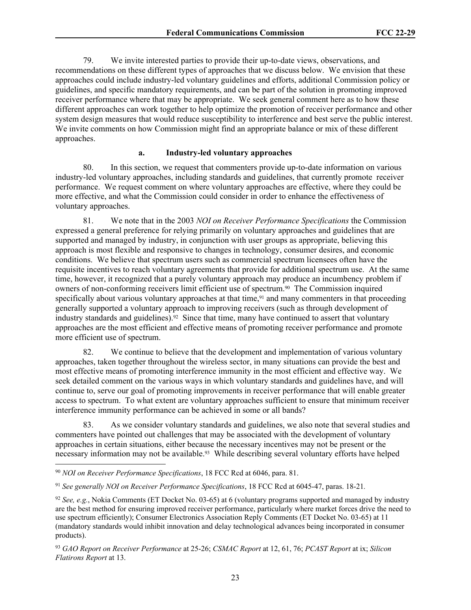79. We invite interested parties to provide their up-to-date views, observations, and recommendations on these different types of approaches that we discuss below. We envision that these approaches could include industry-led voluntary guidelines and efforts, additional Commission policy or guidelines, and specific mandatory requirements, and can be part of the solution in promoting improved receiver performance where that may be appropriate. We seek general comment here as to how these different approaches can work together to help optimize the promotion of receiver performance and other system design measures that would reduce susceptibility to interference and best serve the public interest. We invite comments on how Commission might find an appropriate balance or mix of these different approaches.

### **a. Industry-led voluntary approaches**

80. In this section, we request that commenters provide up-to-date information on various industry-led voluntary approaches, including standards and guidelines, that currently promote receiver performance. We request comment on where voluntary approaches are effective, where they could be more effective, and what the Commission could consider in order to enhance the effectiveness of voluntary approaches.

81. We note that in the 2003 *NOI on Receiver Performance Specifications* the Commission expressed a general preference for relying primarily on voluntary approaches and guidelines that are supported and managed by industry, in conjunction with user groups as appropriate, believing this approach is most flexible and responsive to changes in technology, consumer desires, and economic conditions. We believe that spectrum users such as commercial spectrum licensees often have the requisite incentives to reach voluntary agreements that provide for additional spectrum use. At the same time, however, it recognized that a purely voluntary approach may produce an incumbency problem if owners of non-conforming receivers limit efficient use of spectrum.<sup>90</sup> The Commission inquired specifically about various voluntary approaches at that time,<sup>91</sup> and many commenters in that proceeding generally supported a voluntary approach to improving receivers (such as through development of industry standards and guidelines).<sup>92</sup> Since that time, many have continued to assert that voluntary approaches are the most efficient and effective means of promoting receiver performance and promote more efficient use of spectrum.

82. We continue to believe that the development and implementation of various voluntary approaches, taken together throughout the wireless sector, in many situations can provide the best and most effective means of promoting interference immunity in the most efficient and effective way. We seek detailed comment on the various ways in which voluntary standards and guidelines have, and will continue to, serve our goal of promoting improvements in receiver performance that will enable greater access to spectrum. To what extent are voluntary approaches sufficient to ensure that minimum receiver interference immunity performance can be achieved in some or all bands?

83. As we consider voluntary standards and guidelines, we also note that several studies and commenters have pointed out challenges that may be associated with the development of voluntary approaches in certain situations, either because the necessary incentives may not be present or the necessary information may not be available.<sup>93</sup> While describing several voluntary efforts have helped

<sup>90</sup> *NOI on Receiver Performance Specifications*, 18 FCC Rcd at 6046, para. 81.

<sup>91</sup> *See generally NOI on Receiver Performance Specifications*, 18 FCC Rcd at 6045-47, paras. 18-21*.* 

<sup>92</sup> *See, e.g.*, Nokia Comments (ET Docket No. 03-65) at 6 (voluntary programs supported and managed by industry are the best method for ensuring improved receiver performance, particularly where market forces drive the need to use spectrum efficiently); Consumer Electronics Association Reply Comments (ET Docket No. 03-65) at 11 (mandatory standards would inhibit innovation and delay technological advances being incorporated in consumer products).

<sup>93</sup> *GAO Report on Receiver Performance* at 25-26; *CSMAC Report* at 12, 61, 76; *PCAST Report* at ix; *Silicon Flatirons Report* at 13.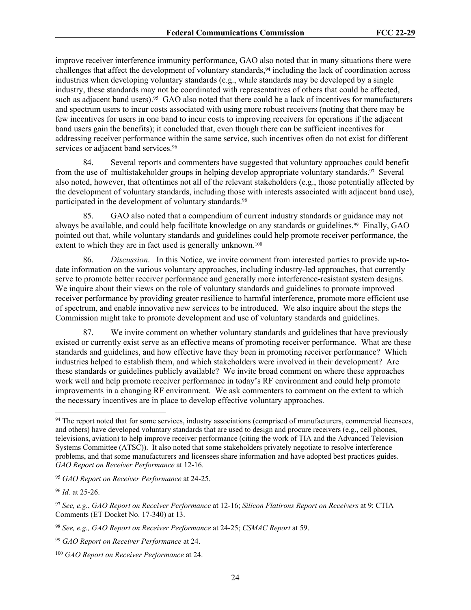improve receiver interference immunity performance, GAO also noted that in many situations there were challenges that affect the development of voluntary standards,94 including the lack of coordination across industries when developing voluntary standards (e.g., while standards may be developed by a single industry, these standards may not be coordinated with representatives of others that could be affected, such as adjacent band users).<sup>95</sup> GAO also noted that there could be a lack of incentives for manufacturers and spectrum users to incur costs associated with using more robust receivers (noting that there may be few incentives for users in one band to incur costs to improving receivers for operations if the adjacent band users gain the benefits); it concluded that, even though there can be sufficient incentives for addressing receiver performance within the same service, such incentives often do not exist for different services or adjacent band services.<sup>96</sup>

84. Several reports and commenters have suggested that voluntary approaches could benefit from the use of multistakeholder groups in helping develop appropriate voluntary standards.97 Several also noted, however, that oftentimes not all of the relevant stakeholders (e.g., those potentially affected by the development of voluntary standards, including those with interests associated with adjacent band use), participated in the development of voluntary standards.<sup>98</sup>

85. GAO also noted that a compendium of current industry standards or guidance may not always be available, and could help facilitate knowledge on any standards or guidelines.99 Finally, GAO pointed out that, while voluntary standards and guidelines could help promote receiver performance, the extent to which they are in fact used is generally unknown.<sup>100</sup>

86. *Discussion*. In this Notice, we invite comment from interested parties to provide up-todate information on the various voluntary approaches, including industry-led approaches, that currently serve to promote better receiver performance and generally more interference-resistant system designs. We inquire about their views on the role of voluntary standards and guidelines to promote improved receiver performance by providing greater resilience to harmful interference, promote more efficient use of spectrum, and enable innovative new services to be introduced. We also inquire about the steps the Commission might take to promote development and use of voluntary standards and guidelines.

87. We invite comment on whether voluntary standards and guidelines that have previously existed or currently exist serve as an effective means of promoting receiver performance. What are these standards and guidelines, and how effective have they been in promoting receiver performance? Which industries helped to establish them, and which stakeholders were involved in their development? Are these standards or guidelines publicly available? We invite broad comment on where these approaches work well and help promote receiver performance in today's RF environment and could help promote improvements in a changing RF environment. We ask commenters to comment on the extent to which the necessary incentives are in place to develop effective voluntary approaches.

<sup>&</sup>lt;sup>94</sup> The report noted that for some services, industry associations (comprised of manufacturers, commercial licensees, and others) have developed voluntary standards that are used to design and procure receivers (e.g., cell phones, televisions, aviation) to help improve receiver performance (citing the work of TIA and the Advanced Television Systems Committee (ATSC)). It also noted that some stakeholders privately negotiate to resolve interference problems, and that some manufacturers and licensees share information and have adopted best practices guides. *GAO Report on Receiver Performance* at 12-16.

<sup>95</sup> *GAO Report on Receiver Performance* at 24-25.

<sup>96</sup> *Id.* at 25-26.

<sup>97</sup> *See, e.g.*, *GAO Report on Receiver Performance* at 12-16; *Silicon Flatirons Report on Receivers* at 9; CTIA Comments (ET Docket No. 17-340) at 13.

<sup>98</sup> *See, e.g., GAO Report on Receiver Performance* at 24-25; *CSMAC Report* at 59.

<sup>99</sup> *GAO Report on Receiver Performance* at 24.

<sup>100</sup> *GAO Report on Receiver Performance* at 24.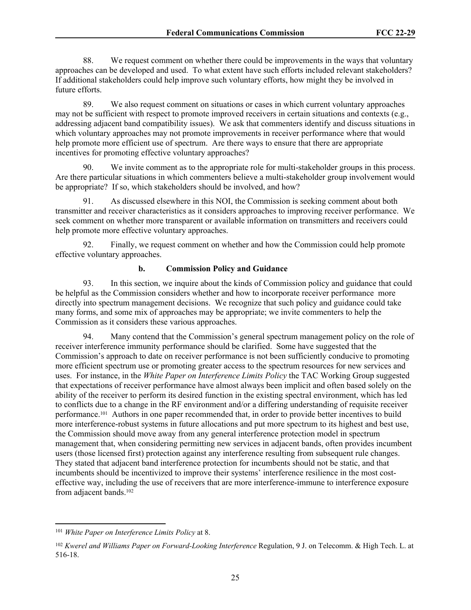88. We request comment on whether there could be improvements in the ways that voluntary approaches can be developed and used. To what extent have such efforts included relevant stakeholders? If additional stakeholders could help improve such voluntary efforts, how might they be involved in future efforts.

89. We also request comment on situations or cases in which current voluntary approaches may not be sufficient with respect to promote improved receivers in certain situations and contexts (e.g., addressing adjacent band compatibility issues). We ask that commenters identify and discuss situations in which voluntary approaches may not promote improvements in receiver performance where that would help promote more efficient use of spectrum. Are there ways to ensure that there are appropriate incentives for promoting effective voluntary approaches?

90. We invite comment as to the appropriate role for multi-stakeholder groups in this process. Are there particular situations in which commenters believe a multi-stakeholder group involvement would be appropriate? If so, which stakeholders should be involved, and how?

91. As discussed elsewhere in this NOI, the Commission is seeking comment about both transmitter and receiver characteristics as it considers approaches to improving receiver performance. We seek comment on whether more transparent or available information on transmitters and receivers could help promote more effective voluntary approaches.

92. Finally, we request comment on whether and how the Commission could help promote effective voluntary approaches.

### **b. Commission Policy and Guidance**

93. In this section, we inquire about the kinds of Commission policy and guidance that could be helpful as the Commission considers whether and how to incorporate receiver performance more directly into spectrum management decisions. We recognize that such policy and guidance could take many forms, and some mix of approaches may be appropriate; we invite commenters to help the Commission as it considers these various approaches.

94. Many contend that the Commission's general spectrum management policy on the role of receiver interference immunity performance should be clarified. Some have suggested that the Commission's approach to date on receiver performance is not been sufficiently conducive to promoting more efficient spectrum use or promoting greater access to the spectrum resources for new services and uses. For instance, in the *White Paper on Interference Limits Policy* the TAC Working Group suggested that expectations of receiver performance have almost always been implicit and often based solely on the ability of the receiver to perform its desired function in the existing spectral environment, which has led to conflicts due to a change in the RF environment and/or a differing understanding of requisite receiver performance.101 Authors in one paper recommended that, in order to provide better incentives to build more interference-robust systems in future allocations and put more spectrum to its highest and best use, the Commission should move away from any general interference protection model in spectrum management that, when considering permitting new services in adjacent bands, often provides incumbent users (those licensed first) protection against any interference resulting from subsequent rule changes. They stated that adjacent band interference protection for incumbents should not be static, and that incumbents should be incentivized to improve their systems' interference resilience in the most costeffective way, including the use of receivers that are more interference-immune to interference exposure from adjacent bands.<sup>102</sup>

<sup>101</sup> *White Paper on Interference Limits Policy* at 8.

<sup>102</sup> *Kwerel and Williams Paper on Forward-Looking Interference* Regulation, 9 J. on Telecomm. & High Tech. L. at 516-18.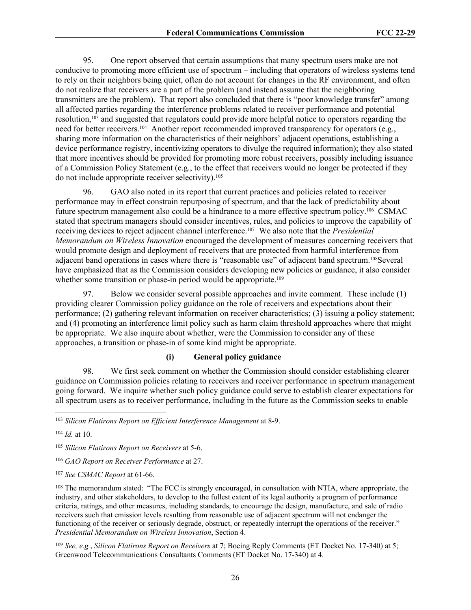95. One report observed that certain assumptions that many spectrum users make are not conducive to promoting more efficient use of spectrum – including that operators of wireless systems tend to rely on their neighbors being quiet, often do not account for changes in the RF environment, and often do not realize that receivers are a part of the problem (and instead assume that the neighboring transmitters are the problem). That report also concluded that there is "poor knowledge transfer" among all affected parties regarding the interference problems related to receiver performance and potential resolution,103 and suggested that regulators could provide more helpful notice to operators regarding the need for better receivers.<sup>104</sup> Another report recommended improved transparency for operators (e.g., sharing more information on the characteristics of their neighbors' adjacent operations, establishing a device performance registry, incentivizing operators to divulge the required information); they also stated that more incentives should be provided for promoting more robust receivers, possibly including issuance of a Commission Policy Statement (e.g., to the effect that receivers would no longer be protected if they do not include appropriate receiver selectivity).<sup>105</sup>

96. GAO also noted in its report that current practices and policies related to receiver performance may in effect constrain repurposing of spectrum, and that the lack of predictability about future spectrum management also could be a hindrance to a more effective spectrum policy.106 CSMAC stated that spectrum managers should consider incentives, rules, and policies to improve the capability of receiving devices to reject adjacent channel interference.107 We also note that the *Presidential Memorandum on Wireless Innovation* encouraged the development of measures concerning receivers that would promote design and deployment of receivers that are protected from harmful interference from adjacent band operations in cases where there is "reasonable use" of adjacent band spectrum.108Several have emphasized that as the Commission considers developing new policies or guidance, it also consider whether some transition or phase-in period would be appropriate.<sup>109</sup>

97. Below we consider several possible approaches and invite comment. These include (1) providing clearer Commission policy guidance on the role of receivers and expectations about their performance; (2) gathering relevant information on receiver characteristics; (3) issuing a policy statement; and (4) promoting an interference limit policy such as harm claim threshold approaches where that might be appropriate. We also inquire about whether, were the Commission to consider any of these approaches, a transition or phase-in of some kind might be appropriate.

### **(i) General policy guidance**

98. We first seek comment on whether the Commission should consider establishing clearer guidance on Commission policies relating to receivers and receiver performance in spectrum management going forward. We inquire whether such policy guidance could serve to establish clearer expectations for all spectrum users as to receiver performance, including in the future as the Commission seeks to enable

<sup>104</sup> *Id.* at 10.

<sup>105</sup> *Silicon Flatirons Report on Receivers* at 5-6.

<sup>108</sup> The memorandum stated: "The FCC is strongly encouraged, in consultation with NTIA, where appropriate, the industry, and other stakeholders, to develop to the fullest extent of its legal authority a program of performance criteria, ratings, and other measures, including standards, to encourage the design, manufacture, and sale of radio receivers such that emission levels resulting from reasonable use of adjacent spectrum will not endanger the functioning of the receiver or seriously degrade, obstruct, or repeatedly interrupt the operations of the receiver." *Presidential Memorandum on Wireless Innovation*, Section 4.

<sup>109</sup> *See, e.g.*, *Silicon Flatirons Report on Receivers* at 7; Boeing Reply Comments (ET Docket No. 17-340) at 5; Greenwood Telecommunications Consultants Comments (ET Docket No. 17-340) at 4.

<sup>103</sup> *Silicon Flatirons Report on Efficient Interference Management* at 8-9.

<sup>106</sup> *GAO Report on Receiver Performance* at 27.

<sup>107</sup> *See CSMAC Report* at 61-66.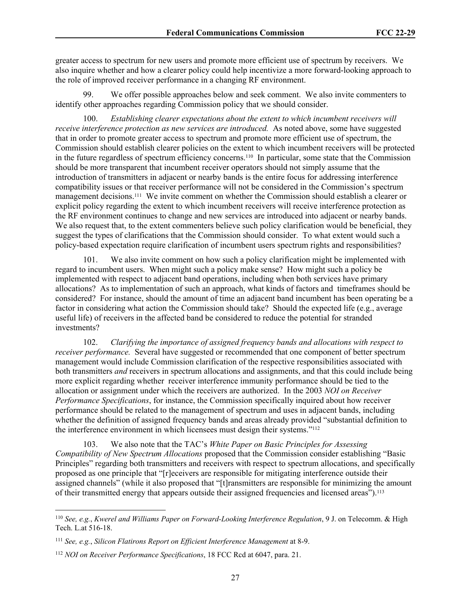greater access to spectrum for new users and promote more efficient use of spectrum by receivers. We also inquire whether and how a clearer policy could help incentivize a more forward-looking approach to the role of improved receiver performance in a changing RF environment.

We offer possible approaches below and seek comment. We also invite commenters to identify other approaches regarding Commission policy that we should consider.

100. *Establishing clearer expectations about the extent to which incumbent receivers will receive interference protection as new services are introduced.* As noted above, some have suggested that in order to promote greater access to spectrum and promote more efficient use of spectrum, the Commission should establish clearer policies on the extent to which incumbent receivers will be protected in the future regardless of spectrum efficiency concerns.110 In particular, some state that the Commission should be more transparent that incumbent receiver operators should not simply assume that the introduction of transmitters in adjacent or nearby bands is the entire focus for addressing interference compatibility issues or that receiver performance will not be considered in the Commission's spectrum management decisions.111 We invite comment on whether the Commission should establish a clearer or explicit policy regarding the extent to which incumbent receivers will receive interference protection as the RF environment continues to change and new services are introduced into adjacent or nearby bands. We also request that, to the extent commenters believe such policy clarification would be beneficial, they suggest the types of clarifications that the Commission should consider. To what extent would such a policy-based expectation require clarification of incumbent users spectrum rights and responsibilities?

101. We also invite comment on how such a policy clarification might be implemented with regard to incumbent users. When might such a policy make sense? How might such a policy be implemented with respect to adjacent band operations, including when both services have primary allocations? As to implementation of such an approach, what kinds of factors and timeframes should be considered? For instance, should the amount of time an adjacent band incumbent has been operating be a factor in considering what action the Commission should take? Should the expected life (e.g., average useful life) of receivers in the affected band be considered to reduce the potential for stranded investments?

102. *Clarifying the importance of assigned frequency bands and allocations with respect to receiver performance.* Several have suggested or recommended that one component of better spectrum management would include Commission clarification of the respective responsibilities associated with both transmitters *and* receivers in spectrum allocations and assignments, and that this could include being more explicit regarding whether receiver interference immunity performance should be tied to the allocation or assignment under which the receivers are authorized. In the 2003 *NOI on Receiver Performance Specifications*, for instance, the Commission specifically inquired about how receiver performance should be related to the management of spectrum and uses in adjacent bands, including whether the definition of assigned frequency bands and areas already provided "substantial definition to the interference environment in which licensees must design their systems."<sup>112</sup>

103. We also note that the TAC's *White Paper on Basic Principles for Assessing Compatibility of New Spectrum Allocations* proposed that the Commission consider establishing "Basic Principles" regarding both transmitters and receivers with respect to spectrum allocations, and specifically proposed as one principle that "[r]eceivers are responsible for mitigating interference outside their assigned channels" (while it also proposed that "[t]ransmitters are responsible for minimizing the amount of their transmitted energy that appears outside their assigned frequencies and licensed areas").<sup>113</sup>

<sup>110</sup> *See, e.g.*, *Kwerel and Williams Paper on Forward-Looking Interference Regulation*, 9 J. on Telecomm. & High Tech. L.at 516-18.

<sup>111</sup> *See, e.g.*, *Silicon Flatirons Report on Efficient Interference Management* at 8-9.

<sup>112</sup> *NOI on Receiver Performance Specifications*, 18 FCC Rcd at 6047, para. 21.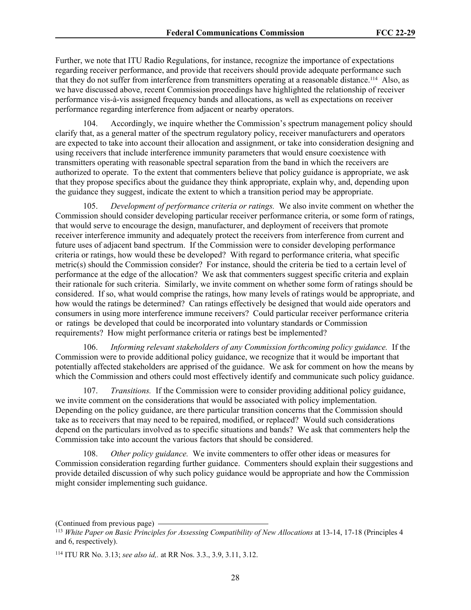Further, we note that ITU Radio Regulations, for instance, recognize the importance of expectations regarding receiver performance, and provide that receivers should provide adequate performance such that they do not suffer from interference from transmitters operating at a reasonable distance.114 Also, as we have discussed above, recent Commission proceedings have highlighted the relationship of receiver performance vis-à-vis assigned frequency bands and allocations, as well as expectations on receiver performance regarding interference from adjacent or nearby operators.

104. Accordingly, we inquire whether the Commission's spectrum management policy should clarify that, as a general matter of the spectrum regulatory policy, receiver manufacturers and operators are expected to take into account their allocation and assignment, or take into consideration designing and using receivers that include interference immunity parameters that would ensure coexistence with transmitters operating with reasonable spectral separation from the band in which the receivers are authorized to operate. To the extent that commenters believe that policy guidance is appropriate, we ask that they propose specifics about the guidance they think appropriate, explain why, and, depending upon the guidance they suggest, indicate the extent to which a transition period may be appropriate.

105. *Development of performance criteria or ratings.* We also invite comment on whether the Commission should consider developing particular receiver performance criteria, or some form of ratings, that would serve to encourage the design, manufacturer, and deployment of receivers that promote receiver interference immunity and adequately protect the receivers from interference from current and future uses of adjacent band spectrum. If the Commission were to consider developing performance criteria or ratings, how would these be developed? With regard to performance criteria, what specific metric(s) should the Commission consider? For instance, should the criteria be tied to a certain level of performance at the edge of the allocation? We ask that commenters suggest specific criteria and explain their rationale for such criteria. Similarly, we invite comment on whether some form of ratings should be considered. If so, what would comprise the ratings, how many levels of ratings would be appropriate, and how would the ratings be determined? Can ratings effectively be designed that would aide operators and consumers in using more interference immune receivers? Could particular receiver performance criteria or ratings be developed that could be incorporated into voluntary standards or Commission requirements? How might performance criteria or ratings best be implemented?

106. *Informing relevant stakeholders of any Commission forthcoming policy guidance.* If the Commission were to provide additional policy guidance, we recognize that it would be important that potentially affected stakeholders are apprised of the guidance. We ask for comment on how the means by which the Commission and others could most effectively identify and communicate such policy guidance.

107. *Transitions.* If the Commission were to consider providing additional policy guidance, we invite comment on the considerations that would be associated with policy implementation. Depending on the policy guidance, are there particular transition concerns that the Commission should take as to receivers that may need to be repaired, modified, or replaced? Would such considerations depend on the particulars involved as to specific situations and bands? We ask that commenters help the Commission take into account the various factors that should be considered.

108. *Other policy guidance.* We invite commenters to offer other ideas or measures for Commission consideration regarding further guidance. Commenters should explain their suggestions and provide detailed discussion of why such policy guidance would be appropriate and how the Commission might consider implementing such guidance.

<sup>(</sup>Continued from previous page)

<sup>113</sup> *White Paper on Basic Principles for Assessing Compatibility of New Allocations* at 13-14, 17-18 (Principles 4 and 6, respectively).

<sup>114</sup> ITU RR No. 3.13; *see also id,.* at RR Nos. 3.3., 3.9, 3.11, 3.12.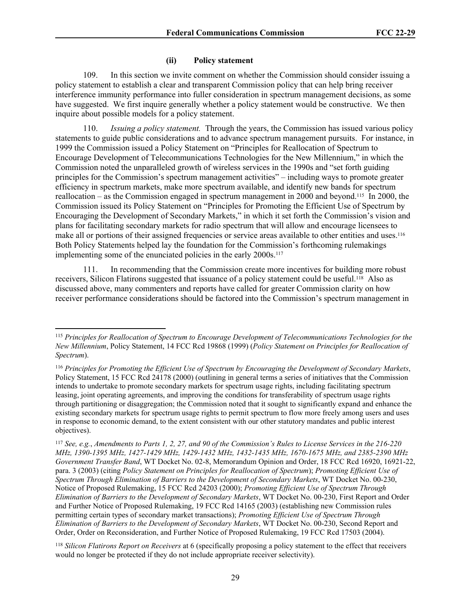### **(ii) Policy statement**

109. In this section we invite comment on whether the Commission should consider issuing a policy statement to establish a clear and transparent Commission policy that can help bring receiver interference immunity performance into fuller consideration in spectrum management decisions, as some have suggested. We first inquire generally whether a policy statement would be constructive. We then inquire about possible models for a policy statement.

*Issuing a policy statement.* Through the years, the Commission has issued various policy statements to guide public considerations and to advance spectrum management pursuits. For instance, in 1999 the Commission issued a Policy Statement on "Principles for Reallocation of Spectrum to Encourage Development of Telecommunications Technologies for the New Millennium," in which the Commission noted the unparalleled growth of wireless services in the 1990s and "set forth guiding principles for the Commission's spectrum management activities" – including ways to promote greater efficiency in spectrum markets, make more spectrum available, and identify new bands for spectrum reallocation – as the Commission engaged in spectrum management in 2000 and beyond.115 In 2000, the Commission issued its Policy Statement on "Principles for Promoting the Efficient Use of Spectrum by Encouraging the Development of Secondary Markets," in which it set forth the Commission's vision and plans for facilitating secondary markets for radio spectrum that will allow and encourage licensees to make all or portions of their assigned frequencies or service areas available to other entities and uses.<sup>116</sup> Both Policy Statements helped lay the foundation for the Commission's forthcoming rulemakings implementing some of the enunciated policies in the early 2000s.<sup>117</sup>

111. In recommending that the Commission create more incentives for building more robust receivers, Silicon Flatirons suggested that issuance of a policy statement could be useful.<sup>118</sup> Also as discussed above, many commenters and reports have called for greater Commission clarity on how receiver performance considerations should be factored into the Commission's spectrum management in

<sup>115</sup> *Principles for Reallocation of Spectrum to Encourage Development of Telecommunications Technologies for the New Millennium*, Policy Statement, 14 FCC Rcd 19868 (1999) (*Policy Statement on Principles for Reallocation of Spectrum*).

<sup>116</sup> *Principles for Promoting the Efficient Use of Spectrum by Encouraging the Development of Secondary Markets*, Policy Statement, 15 FCC Rcd 24178 (2000) (outlining in general terms a series of initiatives that the Commission intends to undertake to promote secondary markets for spectrum usage rights, including facilitating spectrum leasing, joint operating agreements, and improving the conditions for transferability of spectrum usage rights through partitioning or disaggregation; the Commission noted that it sought to significantly expand and enhance the existing secondary markets for spectrum usage rights to permit spectrum to flow more freely among users and uses in response to economic demand, to the extent consistent with our other statutory mandates and public interest objectives).

<sup>117</sup> *See, e.g.*, *Amendments to Parts 1, 2, 27, and 90 of the Commission's Rules to License Services in the 216-220 MHz, 1390-1395 MHz, 1427-1429 MHz, 1429-1432 MHz, 1432-1435 MHz, 1670-1675 MHz, and 2385-2390 MHz Government Transfer Band*, WT Docket No. 02-8, Memorandum Opinion and Order, 18 FCC Rcd 16920, 16921-22, para. 3 (2003) (citing *Policy Statement on Principles for Reallocation of Spectrum*); *Promoting Efficient Use of Spectrum Through Elimination of Barriers to the Development of Secondary Markets*, WT Docket No. 00-230, Notice of Proposed Rulemaking, 15 FCC Rcd 24203 (2000); *Promoting Efficient Use of Spectrum Through Elimination of Barriers to the Development of Secondary Markets*, WT Docket No. 00-230, First Report and Order and Further Notice of Proposed Rulemaking, 19 FCC Rcd 14165 (2003) (establishing new Commission rules permitting certain types of secondary market transactions); *Promoting Efficient Use of Spectrum Through Elimination of Barriers to the Development of Secondary Markets*, WT Docket No. 00-230, Second Report and Order, Order on Reconsideration, and Further Notice of Proposed Rulemaking, 19 FCC Rcd 17503 (2004).

<sup>118</sup> *Silicon Flatirons Report on Receivers* at 6 (specifically proposing a policy statement to the effect that receivers would no longer be protected if they do not include appropriate receiver selectivity).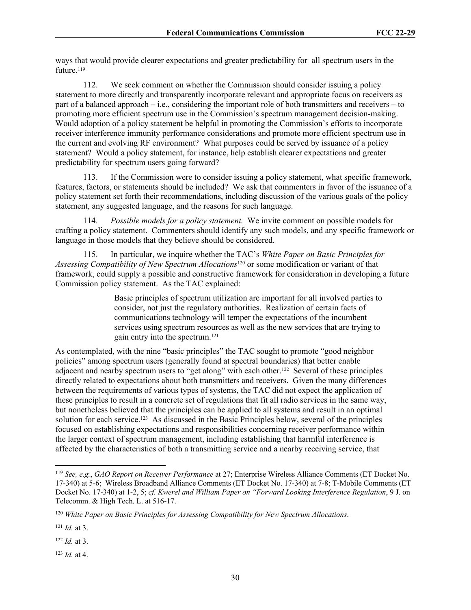ways that would provide clearer expectations and greater predictability for all spectrum users in the future.<sup>119</sup>

112. We seek comment on whether the Commission should consider issuing a policy statement to more directly and transparently incorporate relevant and appropriate focus on receivers as part of a balanced approach – i.e., considering the important role of both transmitters and receivers – to promoting more efficient spectrum use in the Commission's spectrum management decision-making. Would adoption of a policy statement be helpful in promoting the Commission's efforts to incorporate receiver interference immunity performance considerations and promote more efficient spectrum use in the current and evolving RF environment? What purposes could be served by issuance of a policy statement? Would a policy statement, for instance, help establish clearer expectations and greater predictability for spectrum users going forward?

113. If the Commission were to consider issuing a policy statement, what specific framework, features, factors, or statements should be included? We ask that commenters in favor of the issuance of a policy statement set forth their recommendations, including discussion of the various goals of the policy statement, any suggested language, and the reasons for such language.

114. *Possible models for a policy statement.* We invite comment on possible models for crafting a policy statement. Commenters should identify any such models, and any specific framework or language in those models that they believe should be considered.

115. In particular, we inquire whether the TAC's *White Paper on Basic Principles for Assessing Compatibility of New Spectrum Allocations*120 or some modification or variant of that framework, could supply a possible and constructive framework for consideration in developing a future Commission policy statement. As the TAC explained:

> Basic principles of spectrum utilization are important for all involved parties to consider, not just the regulatory authorities. Realization of certain facts of communications technology will temper the expectations of the incumbent services using spectrum resources as well as the new services that are trying to gain entry into the spectrum.<sup>121</sup>

As contemplated, with the nine "basic principles" the TAC sought to promote "good neighbor policies" among spectrum users (generally found at spectral boundaries) that better enable adjacent and nearby spectrum users to "get along" with each other.<sup>122</sup> Several of these principles directly related to expectations about both transmitters and receivers. Given the many differences between the requirements of various types of systems, the TAC did not expect the application of these principles to result in a concrete set of regulations that fit all radio services in the same way, but nonetheless believed that the principles can be applied to all systems and result in an optimal solution for each service.<sup>123</sup> As discussed in the Basic Principles below, several of the principles focused on establishing expectations and responsibilities concerning receiver performance within the larger context of spectrum management, including establishing that harmful interference is affected by the characteristics of both a transmitting service and a nearby receiving service, that

<sup>122</sup> *Id.* at 3.

<sup>123</sup> *Id.* at 4.

<sup>119</sup> *See, e.g.*, *GAO Report on Receiver Performance* at 27; Enterprise Wireless Alliance Comments (ET Docket No. 17-340) at 5-6; Wireless Broadband Alliance Comments (ET Docket No. 17-340) at 7-8; T-Mobile Comments (ET Docket No. 17-340) at 1-2, 5; *cf. Kwerel and William Paper on "Forward Looking Interference Regulation*, 9 J. on Telecomm. & High Tech. L. at 516-17.

<sup>120</sup> *White Paper on Basic Principles for Assessing Compatibility for New Spectrum Allocations*.

<sup>121</sup> *Id.* at 3.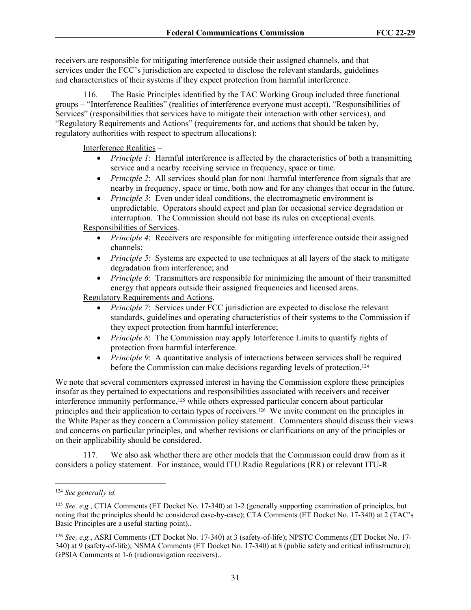receivers are responsible for mitigating interference outside their assigned channels, and that services under the FCC's jurisdiction are expected to disclose the relevant standards, guidelines and characteristics of their systems if they expect protection from harmful interference.

116. The Basic Principles identified by the TAC Working Group included three functional groups – "Interference Realities" (realities of interference everyone must accept), "Responsibilities of Services" (responsibilities that services have to mitigate their interaction with other services), and "Regulatory Requirements and Actions" (requirements for, and actions that should be taken by, regulatory authorities with respect to spectrum allocations):

Interference Realities –

- *Principle 1*: Harmful interference is affected by the characteristics of both a transmitting service and a nearby receiving service in frequency, space or time.
- *● Principle 2*: All services should plan for non□harmful interference from signals that are nearby in frequency, space or time, both now and for any changes that occur in the future.
- *Principle 3*: Even under ideal conditions, the electromagnetic environment is unpredictable. Operators should expect and plan for occasional service degradation or interruption. The Commission should not base its rules on exceptional events.

Responsibilities of Services.

- *Principle 4*: Receivers are responsible for mitigating interference outside their assigned channels;
- *Principle 5*: Systems are expected to use techniques at all layers of the stack to mitigate degradation from interference; and
- *Principle 6*: Transmitters are responsible for minimizing the amount of their transmitted energy that appears outside their assigned frequencies and licensed areas.

Regulatory Requirements and Actions.

- *Principle 7*: Services under FCC jurisdiction are expected to disclose the relevant standards, guidelines and operating characteristics of their systems to the Commission if they expect protection from harmful interference;
- *Principle 8*: The Commission may apply Interference Limits to quantify rights of protection from harmful interference.
- *Principle 9*: A quantitative analysis of interactions between services shall be required before the Commission can make decisions regarding levels of protection.<sup>124</sup>

We note that several commenters expressed interest in having the Commission explore these principles insofar as they pertained to expectations and responsibilities associated with receivers and receiver interference immunity performance,<sup>125</sup> while others expressed particular concern about particular principles and their application to certain types of receivers.126 We invite comment on the principles in the White Paper as they concern a Commission policy statement. Commenters should discuss their views and concerns on particular principles, and whether revisions or clarifications on any of the principles or on their applicability should be considered.

117. We also ask whether there are other models that the Commission could draw from as it considers a policy statement. For instance, would ITU Radio Regulations (RR) or relevant ITU-R

<sup>124</sup> *See generally id.* 

<sup>125</sup> *See, e.g.*, CTIA Comments (ET Docket No. 17-340) at 1-2 (generally supporting examination of principles, but noting that the principles should be considered case-by-case); CTA Comments (ET Docket No. 17-340) at 2 (TAC's Basic Principles are a useful starting point)..

<sup>126</sup> *See, e.g.*, ASRI Comments (ET Docket No. 17-340) at 3 (safety-of-life); NPSTC Comments (ET Docket No. 17- 340) at 9 (safety-of-life); NSMA Comments (ET Docket No. 17-340) at 8 (public safety and critical infrastructure); GPSIA Comments at 1-6 (radionavigation receivers)..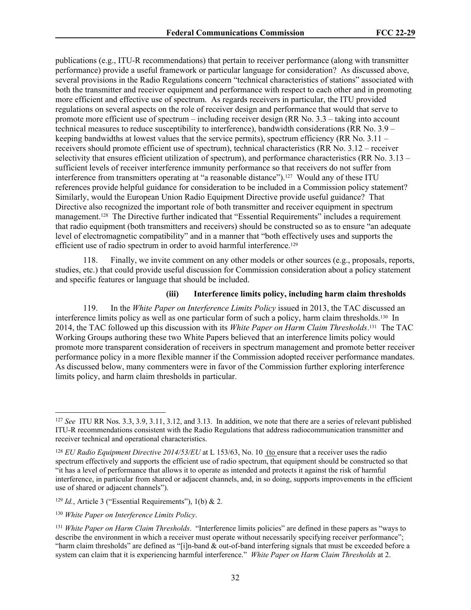publications (e.g., ITU-R recommendations) that pertain to receiver performance (along with transmitter performance) provide a useful framework or particular language for consideration? As discussed above, several provisions in the Radio Regulations concern "technical characteristics of stations" associated with both the transmitter and receiver equipment and performance with respect to each other and in promoting more efficient and effective use of spectrum. As regards receivers in particular, the ITU provided regulations on several aspects on the role of receiver design and performance that would that serve to promote more efficient use of spectrum – including receiver design (RR No. 3.3 – taking into account technical measures to reduce susceptibility to interference), bandwidth considerations (RR No. 3.9 – keeping bandwidths at lowest values that the service permits), spectrum efficiency (RR No.  $3.11$ receivers should promote efficient use of spectrum), technical characteristics (RR No. 3.12 – receiver selectivity that ensures efficient utilization of spectrum), and performance characteristics (RR No. 3.13 – sufficient levels of receiver interference immunity performance so that receivers do not suffer from interference from transmitters operating at "a reasonable distance").127 Would any of these ITU references provide helpful guidance for consideration to be included in a Commission policy statement? Similarly, would the European Union Radio Equipment Directive provide useful guidance? That Directive also recognized the important role of both transmitter and receiver equipment in spectrum management.<sup>128</sup> The Directive further indicated that "Essential Requirements" includes a requirement that radio equipment (both transmitters and receivers) should be constructed so as to ensure "an adequate level of electromagnetic compatibility" and in a manner that "both effectively uses and supports the efficient use of radio spectrum in order to avoid harmful interference.<sup>129</sup>

118. Finally, we invite comment on any other models or other sources (e.g., proposals, reports, studies, etc.) that could provide useful discussion for Commission consideration about a policy statement and specific features or language that should be included.

#### **(iii) Interference limits policy, including harm claim thresholds**

119. In the *White Paper on Interference Limits Policy* issued in 2013, the TAC discussed an interference limits policy as well as one particular form of such a policy, harm claim thresholds.<sup>130</sup> In 2014, the TAC followed up this discussion with its *White Paper on Harm Claim Thresholds*. <sup>131</sup> The TAC Working Groups authoring these two White Papers believed that an interference limits policy would promote more transparent consideration of receivers in spectrum management and promote better receiver performance policy in a more flexible manner if the Commission adopted receiver performance mandates. As discussed below, many commenters were in favor of the Commission further exploring interference limits policy, and harm claim thresholds in particular.

<sup>127</sup> *See* ITU RR Nos. 3.3, 3.9, 3.11, 3.12, and 3.13. In addition, we note that there are a series of relevant published ITU-R recommendations consistent with the Radio Regulations that address radiocommunication transmitter and receiver technical and operational characteristics.

<sup>128</sup> *EU Radio Equipment Directive 2014/53/EU* at L 153/63, No. 10 (to ensure that a receiver uses the radio spectrum effectively and supports the efficient use of radio spectrum, that equipment should be constructed so that "it has a level of performance that allows it to operate as intended and protects it against the risk of harmful interference, in particular from shared or adjacent channels, and, in so doing, supports improvements in the efficient use of shared or adjacent channels").

<sup>129</sup> *Id.*, Article 3 ("Essential Requirements"), 1(b) & 2.

<sup>130</sup> *White Paper on Interference Limits Policy*.

<sup>131</sup> *White Paper on Harm Claim Thresholds*. "Interference limits policies" are defined in these papers as "ways to describe the environment in which a receiver must operate without necessarily specifying receiver performance"; "harm claim thresholds" are defined as "[i]n-band & out-of-band interfering signals that must be exceeded before a system can claim that it is experiencing harmful interference." *White Paper on Harm Claim Thresholds* at 2.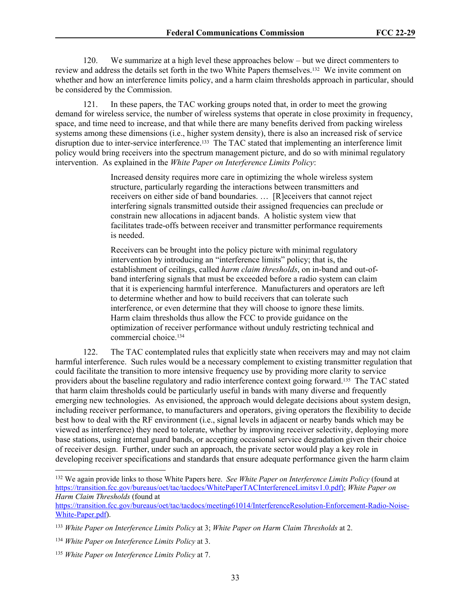120. We summarize at a high level these approaches below – but we direct commenters to review and address the details set forth in the two White Papers themselves.132 We invite comment on whether and how an interference limits policy, and a harm claim thresholds approach in particular, should be considered by the Commission.

121. In these papers, the TAC working groups noted that, in order to meet the growing demand for wireless service, the number of wireless systems that operate in close proximity in frequency, space, and time need to increase, and that while there are many benefits derived from packing wireless systems among these dimensions (i.e., higher system density), there is also an increased risk of service disruption due to inter-service interference.133 The TAC stated that implementing an interference limit policy would bring receivers into the spectrum management picture, and do so with minimal regulatory intervention. As explained in the *White Paper on Interference Limits Policy*:

> Increased density requires more care in optimizing the whole wireless system structure, particularly regarding the interactions between transmitters and receivers on either side of band boundaries. … [R]eceivers that cannot reject interfering signals transmitted outside their assigned frequencies can preclude or constrain new allocations in adjacent bands. A holistic system view that facilitates trade-offs between receiver and transmitter performance requirements is needed.

> Receivers can be brought into the policy picture with minimal regulatory intervention by introducing an "interference limits" policy; that is, the establishment of ceilings, called *harm claim thresholds*, on in-band and out-ofband interfering signals that must be exceeded before a radio system can claim that it is experiencing harmful interference. Manufacturers and operators are left to determine whether and how to build receivers that can tolerate such interference, or even determine that they will choose to ignore these limits. Harm claim thresholds thus allow the FCC to provide guidance on the optimization of receiver performance without unduly restricting technical and commercial choice.<sup>134</sup>

122. The TAC contemplated rules that explicitly state when receivers may and may not claim harmful interference. Such rules would be a necessary complement to existing transmitter regulation that could facilitate the transition to more intensive frequency use by providing more clarity to service providers about the baseline regulatory and radio interference context going forward.135 The TAC stated that harm claim thresholds could be particularly useful in bands with many diverse and frequently emerging new technologies. As envisioned, the approach would delegate decisions about system design, including receiver performance, to manufacturers and operators, giving operators the flexibility to decide best how to deal with the RF environment (i.e., signal levels in adjacent or nearby bands which may be viewed as interference) they need to tolerate, whether by improving receiver selectivity, deploying more base stations, using internal guard bands, or accepting occasional service degradation given their choice of receiver design. Further, under such an approach, the private sector would play a key role in developing receiver specifications and standards that ensure adequate performance given the harm claim

<sup>132</sup> We again provide links to those White Papers here. *See White Paper on Interference Limits Policy* (found at [https://transition.fcc.gov/bureaus/oet/tac/tacdocs/WhitePaperTACInterferenceLimitsv1.0.pdf\)](https://transition.fcc.gov/bureaus/oet/tac/tacdocs/WhitePaperTACInterferenceLimitsv1.0.pdf); *White Paper on Harm Claim Thresholds* (found at

[https://transition.fcc.gov/bureaus/oet/tac/tacdocs/meeting61014/InterferenceResolution-Enforcement-Radio-Noise-](https://transition.fcc.gov/bureaus/oet/tac/tacdocs/meeting61014/InterferenceResolution-Enforcement-Radio-Noise-White-Paper.pdf)[White-Paper.pdf](https://transition.fcc.gov/bureaus/oet/tac/tacdocs/meeting61014/InterferenceResolution-Enforcement-Radio-Noise-White-Paper.pdf)).

<sup>133</sup> *White Paper on Interference Limits Policy* at 3; *White Paper on Harm Claim Thresholds* at 2.

<sup>134</sup> *White Paper on Interference Limits Policy* at 3.

<sup>135</sup> *White Paper on Interference Limits Policy* at 7.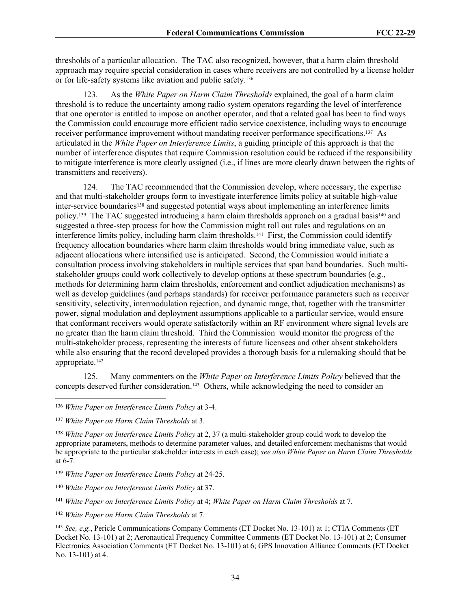thresholds of a particular allocation. The TAC also recognized, however, that a harm claim threshold approach may require special consideration in cases where receivers are not controlled by a license holder or for life-safety systems like aviation and public safety.<sup>136</sup>

123. As the *White Paper on Harm Claim Thresholds* explained, the goal of a harm claim threshold is to reduce the uncertainty among radio system operators regarding the level of interference that one operator is entitled to impose on another operator, and that a related goal has been to find ways the Commission could encourage more efficient radio service coexistence, including ways to encourage receiver performance improvement without mandating receiver performance specifications.137 As articulated in the *White Paper on Interference Limits*, a guiding principle of this approach is that the number of interference disputes that require Commission resolution could be reduced if the responsibility to mitigate interference is more clearly assigned (i.e., if lines are more clearly drawn between the rights of transmitters and receivers).

124. The TAC recommended that the Commission develop, where necessary, the expertise and that multi-stakeholder groups form to investigate interference limits policy at suitable high-value inter-service boundaries138 and suggested potential ways about implementing an interference limits policy.<sup>139</sup> The TAC suggested introducing a harm claim thresholds approach on a gradual basis<sup>140</sup> and suggested a three-step process for how the Commission might roll out rules and regulations on an interference limits policy, including harm claim thresholds.<sup>141</sup> First, the Commission could identify frequency allocation boundaries where harm claim thresholds would bring immediate value, such as adjacent allocations where intensified use is anticipated. Second, the Commission would initiate a consultation process involving stakeholders in multiple services that span band boundaries. Such multistakeholder groups could work collectively to develop options at these spectrum boundaries (e.g., methods for determining harm claim thresholds, enforcement and conflict adjudication mechanisms) as well as develop guidelines (and perhaps standards) for receiver performance parameters such as receiver sensitivity, selectivity, intermodulation rejection, and dynamic range, that, together with the transmitter power, signal modulation and deployment assumptions applicable to a particular service, would ensure that conformant receivers would operate satisfactorily within an RF environment where signal levels are no greater than the harm claim threshold. Third the Commission would monitor the progress of the multi-stakeholder process, representing the interests of future licensees and other absent stakeholders while also ensuring that the record developed provides a thorough basis for a rulemaking should that be appropriate.<sup>142</sup>

125. Many commenters on the *White Paper on Interference Limits Policy* believed that the concepts deserved further consideration.<sup>143</sup> Others, while acknowledging the need to consider an

<sup>136</sup> *White Paper on Interference Limits Policy* at 3-4.

<sup>137</sup> *White Paper on Harm Claim Thresholds* at 3.

<sup>138</sup> *White Paper on Interference Limits Policy* at 2, 37 (a multi-stakeholder group could work to develop the appropriate parameters, methods to determine parameter values, and detailed enforcement mechanisms that would be appropriate to the particular stakeholder interests in each case); *see also White Paper on Harm Claim Thresholds*  at 6-7.

<sup>139</sup> *White Paper on Interference Limits Policy* at 24-25.

<sup>140</sup> *White Paper on Interference Limits Policy* at 37.

<sup>141</sup> *White Paper on Interference Limits Policy* at 4; *White Paper on Harm Claim Thresholds* at 7.

<sup>142</sup> *White Paper on Harm Claim Thresholds* at 7.

<sup>143</sup> *See, e.g.*, Pericle Communications Company Comments (ET Docket No. 13-101) at 1; CTIA Comments (ET Docket No. 13-101) at 2; Aeronautical Frequency Committee Comments (ET Docket No. 13-101) at 2; Consumer Electronics Association Comments (ET Docket No. 13-101) at 6; GPS Innovation Alliance Comments (ET Docket No. 13-101) at 4.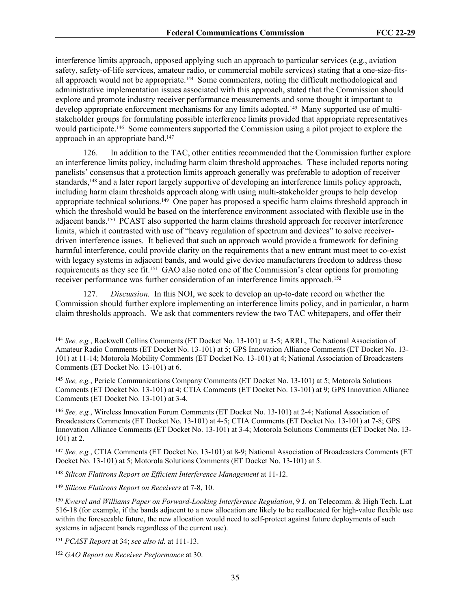interference limits approach, opposed applying such an approach to particular services (e.g., aviation safety, safety-of-life services, amateur radio, or commercial mobile services) stating that a one-size-fitsall approach would not be appropriate.144 Some commenters, noting the difficult methodological and administrative implementation issues associated with this approach, stated that the Commission should explore and promote industry receiver performance measurements and some thought it important to develop appropriate enforcement mechanisms for any limits adopted.145 Many supported use of multistakeholder groups for formulating possible interference limits provided that appropriate representatives would participate.146 Some commenters supported the Commission using a pilot project to explore the approach in an appropriate band.<sup>147</sup>

126. In addition to the TAC, other entities recommended that the Commission further explore an interference limits policy, including harm claim threshold approaches. These included reports noting panelists' consensus that a protection limits approach generally was preferable to adoption of receiver standards,148 and a later report largely supportive of developing an interference limits policy approach, including harm claim thresholds approach along with using multi-stakeholder groups to help develop appropriate technical solutions.149 One paper has proposed a specific harm claims threshold approach in which the threshold would be based on the interference environment associated with flexible use in the adjacent bands.150 PCAST also supported the harm claims threshold approach for receiver interference limits, which it contrasted with use of "heavy regulation of spectrum and devices" to solve receiverdriven interference issues. It believed that such an approach would provide a framework for defining harmful interference, could provide clarity on the requirements that a new entrant must meet to co-exist with legacy systems in adjacent bands, and would give device manufacturers freedom to address those requirements as they see fit.151 GAO also noted one of the Commission's clear options for promoting receiver performance was further consideration of an interference limits approach.<sup>152</sup>

127. *Discussion.* In this NOI, we seek to develop an up-to-date record on whether the Commission should further explore implementing an interference limits policy, and in particular, a harm claim thresholds approach. We ask that commenters review the two TAC whitepapers, and offer their

<sup>144</sup> *See, e.g.*, Rockwell Collins Comments (ET Docket No. 13-101) at 3-5; ARRL, The National Association of Amateur Radio Comments (ET Docket No. 13-101) at 5; GPS Innovation Alliance Comments (ET Docket No. 13- 101) at 11-14; Motorola Mobility Comments (ET Docket No. 13-101) at 4; National Association of Broadcasters Comments (ET Docket No. 13-101) at 6.

<sup>145</sup> *See, e.g.*, Pericle Communications Company Comments (ET Docket No. 13-101) at 5; Motorola Solutions Comments (ET Docket No. 13-101) at 4; CTIA Comments (ET Docket No. 13-101) at 9; GPS Innovation Alliance Comments (ET Docket No. 13-101) at 3-4.

<sup>146</sup> *See, e.g.*, Wireless Innovation Forum Comments (ET Docket No. 13-101) at 2-4; National Association of Broadcasters Comments (ET Docket No. 13-101) at 4-5; CTIA Comments (ET Docket No. 13-101) at 7-8; GPS Innovation Alliance Comments (ET Docket No. 13-101) at 3-4; Motorola Solutions Comments (ET Docket No. 13- 101) at 2.

<sup>147</sup> *See, e.g.*, CTIA Comments (ET Docket No. 13-101) at 8-9; National Association of Broadcasters Comments (ET Docket No. 13-101) at 5; Motorola Solutions Comments (ET Docket No. 13-101) at 5.

<sup>&</sup>lt;sup>148</sup> Silicon Flatirons Report on Efficient Interference Management at 11-12.

<sup>149</sup> *Silicon Flatirons Report on Receivers* at 7-8, 10.

<sup>150</sup> *Kwerel and Williams Paper on Forward-Looking Interference Regulation*, 9 J. on Telecomm. & High Tech. L.at 516-18 (for example, if the bands adjacent to a new allocation are likely to be reallocated for high-value flexible use within the foreseeable future, the new allocation would need to self-protect against future deployments of such systems in adjacent bands regardless of the current use).

<sup>151</sup> *PCAST Report* at 34; *see also id.* at 111-13.

<sup>152</sup> *GAO Report on Receiver Performance* at 30.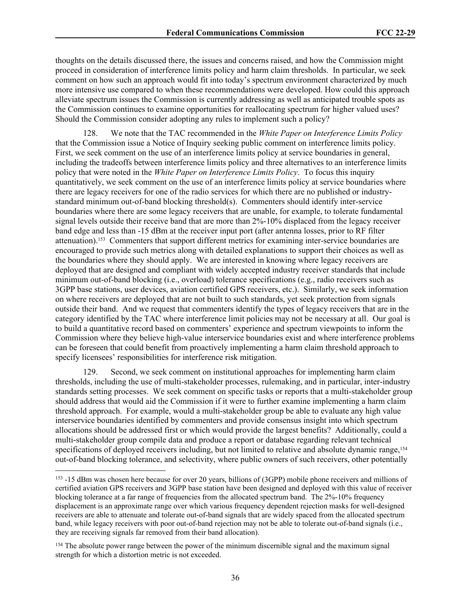thoughts on the details discussed there, the issues and concerns raised, and how the Commission might proceed in consideration of interference limits policy and harm claim thresholds. In particular, we seek comment on how such an approach would fit into today's spectrum environment characterized by much more intensive use compared to when these recommendations were developed. How could this approach alleviate spectrum issues the Commission is currently addressing as well as anticipated trouble spots as the Commission continues to examine opportunities for reallocating spectrum for higher valued uses? Should the Commission consider adopting any rules to implement such a policy?

128. We note that the TAC recommended in the *White Paper on Interference Limits Policy* that the Commission issue a Notice of Inquiry seeking public comment on interference limits policy. First, we seek comment on the use of an interference limits policy at service boundaries in general, including the tradeoffs between interference limits policy and three alternatives to an interference limits policy that were noted in the *White Paper on Interference Limits Policy*. To focus this inquiry quantitatively, we seek comment on the use of an interference limits policy at service boundaries where there are legacy receivers for one of the radio services for which there are no published or industrystandard minimum out-of-band blocking threshold(s). Commenters should identify inter-service boundaries where there are some legacy receivers that are unable, for example, to tolerate fundamental signal levels outside their receive band that are more than 2%-10% displaced from the legacy receiver band edge and less than -15 dBm at the receiver input port (after antenna losses, prior to RF filter attenuation).153 Commenters that support different metrics for examining inter-service boundaries are encouraged to provide such metrics along with detailed explanations to support their choices as well as the boundaries where they should apply. We are interested in knowing where legacy receivers are deployed that are designed and compliant with widely accepted industry receiver standards that include minimum out-of-band blocking (i.e., overload) tolerance specifications (e.g., radio receivers such as 3GPP base stations, user devices, aviation certified GPS receivers, etc.). Similarly, we seek information on where receivers are deployed that are not built to such standards, yet seek protection from signals outside their band. And we request that commenters identify the types of legacy receivers that are in the category identified by the TAC where interference limit policies may not be necessary at all. Our goal is to build a quantitative record based on commenters' experience and spectrum viewpoints to inform the Commission where they believe high-value interservice boundaries exist and where interference problems can be foreseen that could benefit from proactively implementing a harm claim threshold approach to specify licensees' responsibilities for interference risk mitigation.

Second, we seek comment on institutional approaches for implementing harm claim thresholds, including the use of multi-stakeholder processes, rulemaking, and in particular, inter-industry standards setting processes. We seek comment on specific tasks or reports that a multi-stakeholder group should address that would aid the Commission if it were to further examine implementing a harm claim threshold approach. For example, would a multi-stakeholder group be able to evaluate any high value interservice boundaries identified by commenters and provide consensus insight into which spectrum allocations should be addressed first or which would provide the largest benefits? Additionally, could a multi-stakeholder group compile data and produce a report or database regarding relevant technical specifications of deployed receivers including, but not limited to relative and absolute dynamic range, <sup>154</sup> out-of-band blocking tolerance, and selectivity, where public owners of such receivers, other potentially

<sup>153</sup> -15 dBm was chosen here because for over 20 years, billions of (3GPP) mobile phone receivers and millions of certified aviation GPS receivers and 3GPP base station have been designed and deployed with this value of receiver blocking tolerance at a far range of frequencies from the allocated spectrum band. The 2%-10% frequency displacement is an approximate range over which various frequency dependent rejection masks for well-designed receivers are able to attenuate and tolerate out-of-band signals that are widely spaced from the allocated spectrum band, while legacy receivers with poor out-of-band rejection may not be able to tolerate out-of-band signals (i.e., they are receiving signals far removed from their band allocation).

<sup>&</sup>lt;sup>154</sup> The absolute power range between the power of the minimum discernible signal and the maximum signal strength for which a distortion metric is not exceeded.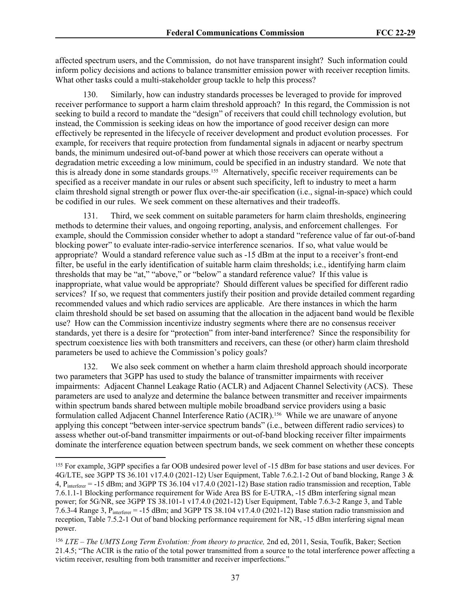affected spectrum users, and the Commission, do not have transparent insight? Such information could inform policy decisions and actions to balance transmitter emission power with receiver reception limits. What other tasks could a multi-stakeholder group tackle to help this process?

130. Similarly, how can industry standards processes be leveraged to provide for improved receiver performance to support a harm claim threshold approach? In this regard, the Commission is not seeking to build a record to mandate the "design" of receivers that could chill technology evolution, but instead, the Commission is seeking ideas on how the importance of good receiver design can more effectively be represented in the lifecycle of receiver development and product evolution processes. For example, for receivers that require protection from fundamental signals in adjacent or nearby spectrum bands, the minimum undesired out-of-band power at which those receivers can operate without a degradation metric exceeding a low minimum, could be specified in an industry standard. We note that this is already done in some standards groups.155 Alternatively, specific receiver requirements can be specified as a receiver mandate in our rules or absent such specificity, left to industry to meet a harm claim threshold signal strength or power flux over-the-air specification (i.e., signal-in-space) which could be codified in our rules. We seek comment on these alternatives and their tradeoffs.

131. Third, we seek comment on suitable parameters for harm claim thresholds, engineering methods to determine their values, and ongoing reporting, analysis, and enforcement challenges. For example, should the Commission consider whether to adopt a standard "reference value of far out-of-band blocking power" to evaluate inter-radio-service interference scenarios. If so, what value would be appropriate? Would a standard reference value such as -15 dBm at the input to a receiver's front-end filter, be useful in the early identification of suitable harm claim thresholds; i.e., identifying harm claim thresholds that may be "at," "above," or "below" a standard reference value? If this value is inappropriate, what value would be appropriate? Should different values be specified for different radio services? If so, we request that commenters justify their position and provide detailed comment regarding recommended values and which radio services are applicable. Are there instances in which the harm claim threshold should be set based on assuming that the allocation in the adjacent band would be flexible use? How can the Commission incentivize industry segments where there are no consensus receiver standards, yet there is a desire for "protection" from inter-band interference? Since the responsibility for spectrum coexistence lies with both transmitters and receivers, can these (or other) harm claim threshold parameters be used to achieve the Commission's policy goals?

132. We also seek comment on whether a harm claim threshold approach should incorporate two parameters that 3GPP has used to study the balance of transmitter impairments with receiver impairments: Adjacent Channel Leakage Ratio (ACLR) and Adjacent Channel Selectivity (ACS). These parameters are used to analyze and determine the balance between transmitter and receiver impairments within spectrum bands shared between multiple mobile broadband service providers using a basic formulation called Adjacent Channel Interference Ratio (ACIR).156 While we are unaware of anyone applying this concept "between inter-service spectrum bands" (i.e., between different radio services) to assess whether out-of-band transmitter impairments or out-of-band blocking receiver filter impairments dominate the interference equation between spectrum bands, we seek comment on whether these concepts

<sup>155</sup> For example, 3GPP specifies a far OOB undesired power level of -15 dBm for base stations and user devices. For 4G/LTE, see 3GPP TS 36.101 v17.4.0 (2021-12) User Equipment, Table 7.6.2.1-2 Out of band blocking, Range 3 &  $4, P_{interferer} = -15$  dBm; and 3GPP TS 36.104 v17.4.0 (2021-12) Base station radio transmission and reception, Table 7.6.1.1-1 Blocking performance requirement for Wide Area BS for E-UTRA, -15 dBm interfering signal mean power; for 5G/NR, see 3GPP TS 38.101-1 v17.4.0 (2021-12) User Equipment, Table 7.6.3-2 Range 3, and Table 7.6.3-4 Range 3, Pinterferer = -15 dBm; and 3GPP TS 38.104 v17.4.0 (2021-12) Base station radio transmission and reception, Table 7.5.2-1 Out of band blocking performance requirement for NR, -15 dBm interfering signal mean power.

<sup>156</sup> *LTE – The UMTS Long Term Evolution: from theory to practice,* 2nd ed, 2011, Sesia, Toufik, Baker; Section 21.4.5; "The ACIR is the ratio of the total power transmitted from a source to the total interference power affecting a victim receiver, resulting from both transmitter and receiver imperfections."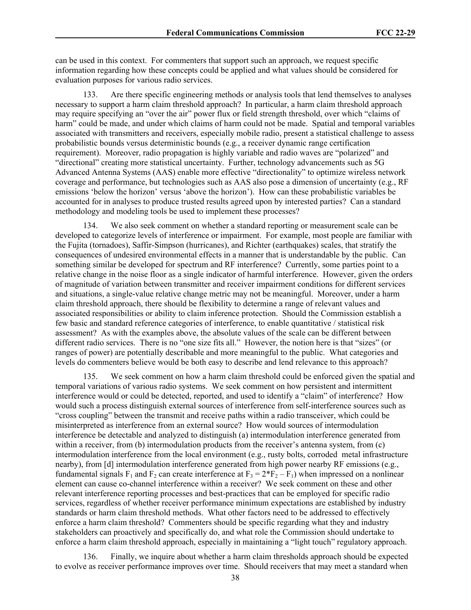can be used in this context. For commenters that support such an approach, we request specific information regarding how these concepts could be applied and what values should be considered for evaluation purposes for various radio services.

133. Are there specific engineering methods or analysis tools that lend themselves to analyses necessary to support a harm claim threshold approach? In particular, a harm claim threshold approach may require specifying an "over the air" power flux or field strength threshold, over which "claims of harm" could be made, and under which claims of harm could not be made. Spatial and temporal variables associated with transmitters and receivers, especially mobile radio, present a statistical challenge to assess probabilistic bounds versus deterministic bounds (e.g., a receiver dynamic range certification requirement). Moreover, radio propagation is highly variable and radio waves are "polarized" and "directional" creating more statistical uncertainty. Further, technology advancements such as 5G Advanced Antenna Systems (AAS) enable more effective "directionality" to optimize wireless network coverage and performance, but technologies such as AAS also pose a dimension of uncertainty (e.g., RF emissions 'below the horizon' versus 'above the horizon'). How can these probabilistic variables be accounted for in analyses to produce trusted results agreed upon by interested parties? Can a standard methodology and modeling tools be used to implement these processes?

We also seek comment on whether a standard reporting or measurement scale can be developed to categorize levels of interference or impairment. For example, most people are familiar with the Fujita (tornadoes), Saffir-Simpson (hurricanes), and Richter (earthquakes) scales, that stratify the consequences of undesired environmental effects in a manner that is understandable by the public. Can something similar be developed for spectrum and RF interference? Currently, some parties point to a relative change in the noise floor as a single indicator of harmful interference. However, given the orders of magnitude of variation between transmitter and receiver impairment conditions for different services and situations, a single-value relative change metric may not be meaningful. Moreover, under a harm claim threshold approach, there should be flexibility to determine a range of relevant values and associated responsibilities or ability to claim inference protection. Should the Commission establish a few basic and standard reference categories of interference, to enable quantitative / statistical risk assessment? As with the examples above, the absolute values of the scale can be different between different radio services. There is no "one size fits all." However, the notion here is that "sizes" (or ranges of power) are potentially describable and more meaningful to the public. What categories and levels do commenters believe would be both easy to describe and lend relevance to this approach?

135. We seek comment on how a harm claim threshold could be enforced given the spatial and temporal variations of various radio systems. We seek comment on how persistent and intermittent interference would or could be detected, reported, and used to identify a "claim" of interference? How would such a process distinguish external sources of interference from self-interference sources such as "cross coupling" between the transmit and receive paths within a radio transceiver, which could be misinterpreted as interference from an external source? How would sources of intermodulation interference be detectable and analyzed to distinguish (a) intermodulation interference generated from within a receiver, from (b) intermodulation products from the receiver's antenna system, from (c) intermodulation interference from the local environment (e.g., rusty bolts, corroded metal infrastructure nearby), from [d] intermodulation interference generated from high power nearby RF emissions (e.g., fundamental signals  $F_1$  and  $F_2$  can create interference at  $F_3 = 2*F_2 - F_1$ ) when impressed on a nonlinear element can cause co-channel interference within a receiver? We seek comment on these and other relevant interference reporting processes and best-practices that can be employed for specific radio services, regardless of whether receiver performance minimum expectations are established by industry standards or harm claim threshold methods. What other factors need to be addressed to effectively enforce a harm claim threshold? Commenters should be specific regarding what they and industry stakeholders can proactively and specifically do, and what role the Commission should undertake to enforce a harm claim threshold approach, especially in maintaining a "light touch" regulatory approach.

136. Finally, we inquire about whether a harm claim thresholds approach should be expected to evolve as receiver performance improves over time. Should receivers that may meet a standard when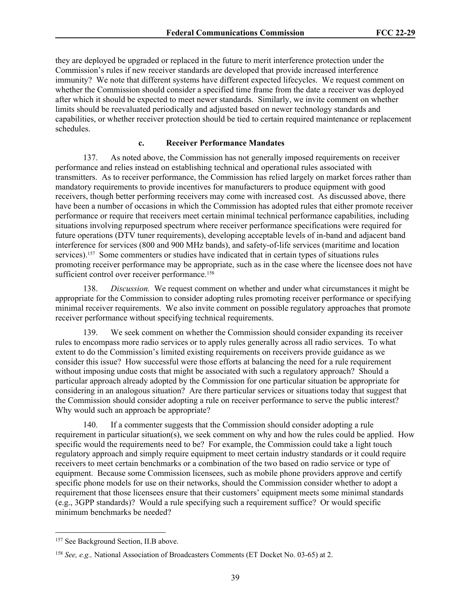they are deployed be upgraded or replaced in the future to merit interference protection under the Commission's rules if new receiver standards are developed that provide increased interference immunity? We note that different systems have different expected lifecycles. We request comment on whether the Commission should consider a specified time frame from the date a receiver was deployed after which it should be expected to meet newer standards. Similarly, we invite comment on whether limits should be reevaluated periodically and adjusted based on newer technology standards and capabilities, or whether receiver protection should be tied to certain required maintenance or replacement schedules.

### **c. Receiver Performance Mandates**

137. As noted above, the Commission has not generally imposed requirements on receiver performance and relies instead on establishing technical and operational rules associated with transmitters. As to receiver performance, the Commission has relied largely on market forces rather than mandatory requirements to provide incentives for manufacturers to produce equipment with good receivers, though better performing receivers may come with increased cost. As discussed above, there have been a number of occasions in which the Commission has adopted rules that either promote receiver performance or require that receivers meet certain minimal technical performance capabilities, including situations involving repurposed spectrum where receiver performance specifications were required for future operations (DTV tuner requirements), developing acceptable levels of in-band and adjacent band interference for services (800 and 900 MHz bands), and safety-of-life services (maritime and location services).157 Some commenters or studies have indicated that in certain types of situations rules promoting receiver performance may be appropriate, such as in the case where the licensee does not have sufficient control over receiver performance.<sup>158</sup>

138. *Discussion.* We request comment on whether and under what circumstances it might be appropriate for the Commission to consider adopting rules promoting receiver performance or specifying minimal receiver requirements. We also invite comment on possible regulatory approaches that promote receiver performance without specifying technical requirements.

139. We seek comment on whether the Commission should consider expanding its receiver rules to encompass more radio services or to apply rules generally across all radio services. To what extent to do the Commission's limited existing requirements on receivers provide guidance as we consider this issue? How successful were those efforts at balancing the need for a rule requirement without imposing undue costs that might be associated with such a regulatory approach? Should a particular approach already adopted by the Commission for one particular situation be appropriate for considering in an analogous situation? Are there particular services or situations today that suggest that the Commission should consider adopting a rule on receiver performance to serve the public interest? Why would such an approach be appropriate?

140. If a commenter suggests that the Commission should consider adopting a rule requirement in particular situation(s), we seek comment on why and how the rules could be applied. How specific would the requirements need to be? For example, the Commission could take a light touch regulatory approach and simply require equipment to meet certain industry standards or it could require receivers to meet certain benchmarks or a combination of the two based on radio service or type of equipment. Because some Commission licensees, such as mobile phone providers approve and certify specific phone models for use on their networks, should the Commission consider whether to adopt a requirement that those licensees ensure that their customers' equipment meets some minimal standards (e.g., 3GPP standards)? Would a rule specifying such a requirement suffice? Or would specific minimum benchmarks be needed?

<sup>157</sup> See Background Section, II.B above.

<sup>158</sup> *See, e.g.,* National Association of Broadcasters Comments (ET Docket No. 03-65) at 2.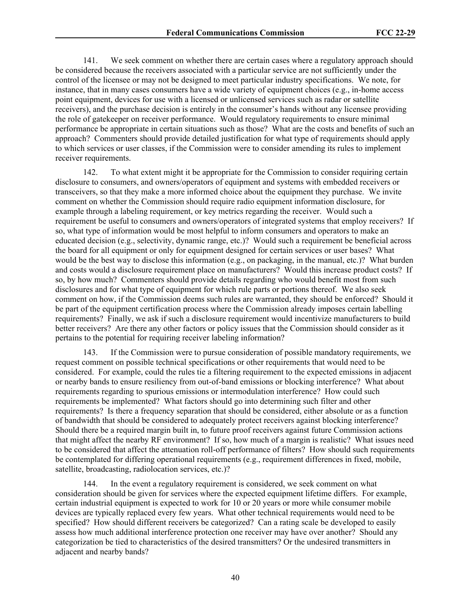141. We seek comment on whether there are certain cases where a regulatory approach should be considered because the receivers associated with a particular service are not sufficiently under the control of the licensee or may not be designed to meet particular industry specifications. We note, for instance, that in many cases consumers have a wide variety of equipment choices (e.g., in-home access point equipment, devices for use with a licensed or unlicensed services such as radar or satellite receivers), and the purchase decision is entirely in the consumer's hands without any licensee providing the role of gatekeeper on receiver performance. Would regulatory requirements to ensure minimal performance be appropriate in certain situations such as those? What are the costs and benefits of such an approach? Commenters should provide detailed justification for what type of requirements should apply to which services or user classes, if the Commission were to consider amending its rules to implement receiver requirements.

142. To what extent might it be appropriate for the Commission to consider requiring certain disclosure to consumers, and owners/operators of equipment and systems with embedded receivers or transceivers, so that they make a more informed choice about the equipment they purchase. We invite comment on whether the Commission should require radio equipment information disclosure, for example through a labeling requirement, or key metrics regarding the receiver. Would such a requirement be useful to consumers and owners/operators of integrated systems that employ receivers? If so, what type of information would be most helpful to inform consumers and operators to make an educated decision (e.g., selectivity, dynamic range, etc.)? Would such a requirement be beneficial across the board for all equipment or only for equipment designed for certain services or user bases? What would be the best way to disclose this information (e.g., on packaging, in the manual, etc.)? What burden and costs would a disclosure requirement place on manufacturers? Would this increase product costs? If so, by how much? Commenters should provide details regarding who would benefit most from such disclosures and for what type of equipment for which rule parts or portions thereof. We also seek comment on how, if the Commission deems such rules are warranted, they should be enforced? Should it be part of the equipment certification process where the Commission already imposes certain labelling requirements? Finally, we ask if such a disclosure requirement would incentivize manufacturers to build better receivers? Are there any other factors or policy issues that the Commission should consider as it pertains to the potential for requiring receiver labeling information?

143. If the Commission were to pursue consideration of possible mandatory requirements, we request comment on possible technical specifications or other requirements that would need to be considered. For example, could the rules tie a filtering requirement to the expected emissions in adjacent or nearby bands to ensure resiliency from out-of-band emissions or blocking interference? What about requirements regarding to spurious emissions or intermodulation interference? How could such requirements be implemented? What factors should go into determining such filter and other requirements? Is there a frequency separation that should be considered, either absolute or as a function of bandwidth that should be considered to adequately protect receivers against blocking interference? Should there be a required margin built in, to future proof receivers against future Commission actions that might affect the nearby RF environment? If so, how much of a margin is realistic? What issues need to be considered that affect the attenuation roll-off performance of filters? How should such requirements be contemplated for differing operational requirements (e.g., requirement differences in fixed, mobile, satellite, broadcasting, radiolocation services, etc.)?

144. In the event a regulatory requirement is considered, we seek comment on what consideration should be given for services where the expected equipment lifetime differs. For example, certain industrial equipment is expected to work for 10 or 20 years or more while consumer mobile devices are typically replaced every few years. What other technical requirements would need to be specified? How should different receivers be categorized? Can a rating scale be developed to easily assess how much additional interference protection one receiver may have over another? Should any categorization be tied to characteristics of the desired transmitters? Or the undesired transmitters in adiacent and nearby bands?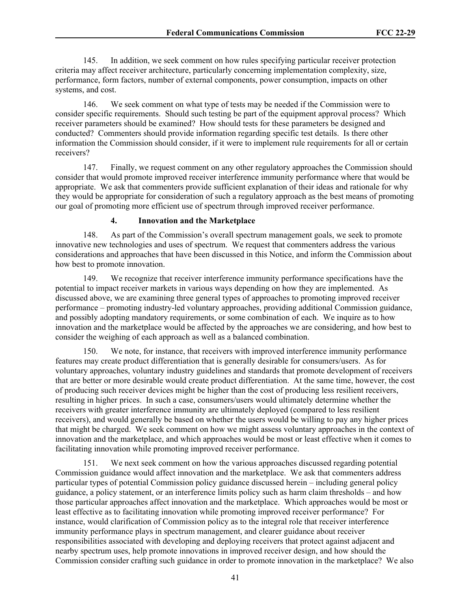145. In addition, we seek comment on how rules specifying particular receiver protection criteria may affect receiver architecture, particularly concerning implementation complexity, size, performance, form factors, number of external components, power consumption, impacts on other systems, and cost.

146. We seek comment on what type of tests may be needed if the Commission were to consider specific requirements. Should such testing be part of the equipment approval process? Which receiver parameters should be examined? How should tests for these parameters be designed and conducted? Commenters should provide information regarding specific test details. Is there other information the Commission should consider, if it were to implement rule requirements for all or certain receivers?

147. Finally, we request comment on any other regulatory approaches the Commission should consider that would promote improved receiver interference immunity performance where that would be appropriate. We ask that commenters provide sufficient explanation of their ideas and rationale for why they would be appropriate for consideration of such a regulatory approach as the best means of promoting our goal of promoting more efficient use of spectrum through improved receiver performance.

### **4. Innovation and the Marketplace**

148. As part of the Commission's overall spectrum management goals, we seek to promote innovative new technologies and uses of spectrum. We request that commenters address the various considerations and approaches that have been discussed in this Notice, and inform the Commission about how best to promote innovation.

149. We recognize that receiver interference immunity performance specifications have the potential to impact receiver markets in various ways depending on how they are implemented. As discussed above, we are examining three general types of approaches to promoting improved receiver performance – promoting industry-led voluntary approaches, providing additional Commission guidance, and possibly adopting mandatory requirements, or some combination of each. We inquire as to how innovation and the marketplace would be affected by the approaches we are considering, and how best to consider the weighing of each approach as well as a balanced combination.

150. We note, for instance, that receivers with improved interference immunity performance features may create product differentiation that is generally desirable for consumers/users. As for voluntary approaches, voluntary industry guidelines and standards that promote development of receivers that are better or more desirable would create product differentiation. At the same time, however, the cost of producing such receiver devices might be higher than the cost of producing less resilient receivers, resulting in higher prices. In such a case, consumers/users would ultimately determine whether the receivers with greater interference immunity are ultimately deployed (compared to less resilient receivers), and would generally be based on whether the users would be willing to pay any higher prices that might be charged. We seek comment on how we might assess voluntary approaches in the context of innovation and the marketplace, and which approaches would be most or least effective when it comes to facilitating innovation while promoting improved receiver performance.

151. We next seek comment on how the various approaches discussed regarding potential Commission guidance would affect innovation and the marketplace. We ask that commenters address particular types of potential Commission policy guidance discussed herein – including general policy guidance, a policy statement, or an interference limits policy such as harm claim thresholds – and how those particular approaches affect innovation and the marketplace. Which approaches would be most or least effective as to facilitating innovation while promoting improved receiver performance? For instance, would clarification of Commission policy as to the integral role that receiver interference immunity performance plays in spectrum management, and clearer guidance about receiver responsibilities associated with developing and deploying receivers that protect against adjacent and nearby spectrum uses, help promote innovations in improved receiver design, and how should the Commission consider crafting such guidance in order to promote innovation in the marketplace? We also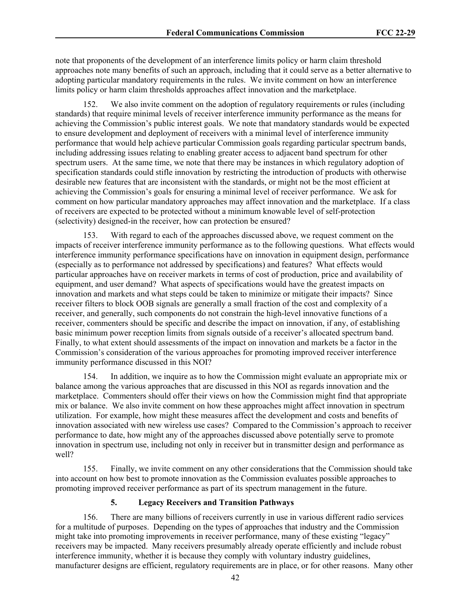note that proponents of the development of an interference limits policy or harm claim threshold approaches note many benefits of such an approach, including that it could serve as a better alternative to adopting particular mandatory requirements in the rules. We invite comment on how an interference limits policy or harm claim thresholds approaches affect innovation and the marketplace.

152. We also invite comment on the adoption of regulatory requirements or rules (including standards) that require minimal levels of receiver interference immunity performance as the means for achieving the Commission's public interest goals. We note that mandatory standards would be expected to ensure development and deployment of receivers with a minimal level of interference immunity performance that would help achieve particular Commission goals regarding particular spectrum bands, including addressing issues relating to enabling greater access to adjacent band spectrum for other spectrum users. At the same time, we note that there may be instances in which regulatory adoption of specification standards could stifle innovation by restricting the introduction of products with otherwise desirable new features that are inconsistent with the standards, or might not be the most efficient at achieving the Commission's goals for ensuring a minimal level of receiver performance. We ask for comment on how particular mandatory approaches may affect innovation and the marketplace. If a class of receivers are expected to be protected without a minimum knowable level of self-protection (selectivity) designed-in the receiver, how can protection be ensured?

153. With regard to each of the approaches discussed above, we request comment on the impacts of receiver interference immunity performance as to the following questions. What effects would interference immunity performance specifications have on innovation in equipment design, performance (especially as to performance not addressed by specifications) and features? What effects would particular approaches have on receiver markets in terms of cost of production, price and availability of equipment, and user demand? What aspects of specifications would have the greatest impacts on innovation and markets and what steps could be taken to minimize or mitigate their impacts? Since receiver filters to block OOB signals are generally a small fraction of the cost and complexity of a receiver, and generally, such components do not constrain the high-level innovative functions of a receiver, commenters should be specific and describe the impact on innovation, if any, of establishing basic minimum power reception limits from signals outside of a receiver's allocated spectrum band. Finally, to what extent should assessments of the impact on innovation and markets be a factor in the Commission's consideration of the various approaches for promoting improved receiver interference immunity performance discussed in this NOI?

154. In addition, we inquire as to how the Commission might evaluate an appropriate mix or balance among the various approaches that are discussed in this NOI as regards innovation and the marketplace. Commenters should offer their views on how the Commission might find that appropriate mix or balance. We also invite comment on how these approaches might affect innovation in spectrum utilization. For example, how might these measures affect the development and costs and benefits of innovation associated with new wireless use cases? Compared to the Commission's approach to receiver performance to date, how might any of the approaches discussed above potentially serve to promote innovation in spectrum use, including not only in receiver but in transmitter design and performance as well?

155. Finally, we invite comment on any other considerations that the Commission should take into account on how best to promote innovation as the Commission evaluates possible approaches to promoting improved receiver performance as part of its spectrum management in the future.

### **5. Legacy Receivers and Transition Pathways**

156. There are many billions of receivers currently in use in various different radio services for a multitude of purposes. Depending on the types of approaches that industry and the Commission might take into promoting improvements in receiver performance, many of these existing "legacy" receivers may be impacted. Many receivers presumably already operate efficiently and include robust interference immunity, whether it is because they comply with voluntary industry guidelines, manufacturer designs are efficient, regulatory requirements are in place, or for other reasons. Many other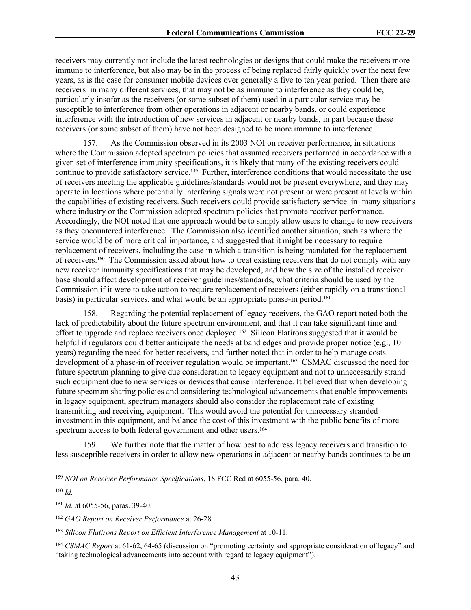receivers may currently not include the latest technologies or designs that could make the receivers more immune to interference, but also may be in the process of being replaced fairly quickly over the next few years, as is the case for consumer mobile devices over generally a five to ten year period. Then there are receivers in many different services, that may not be as immune to interference as they could be, particularly insofar as the receivers (or some subset of them) used in a particular service may be susceptible to interference from other operations in adjacent or nearby bands, or could experience interference with the introduction of new services in adjacent or nearby bands, in part because these receivers (or some subset of them) have not been designed to be more immune to interference.

157. As the Commission observed in its 2003 NOI on receiver performance, in situations where the Commission adopted spectrum policies that assumed receivers performed in accordance with a given set of interference immunity specifications, it is likely that many of the existing receivers could continue to provide satisfactory service.<sup>159</sup> Further, interference conditions that would necessitate the use of receivers meeting the applicable guidelines/standards would not be present everywhere, and they may operate in locations where potentially interfering signals were not present or were present at levels within the capabilities of existing receivers. Such receivers could provide satisfactory service. in many situations where industry or the Commission adopted spectrum policies that promote receiver performance. Accordingly, the NOI noted that one approach would be to simply allow users to change to new receivers as they encountered interference. The Commission also identified another situation, such as where the service would be of more critical importance, and suggested that it might be necessary to require replacement of receivers, including the case in which a transition is being mandated for the replacement of receivers.160 The Commission asked about how to treat existing receivers that do not comply with any new receiver immunity specifications that may be developed, and how the size of the installed receiver base should affect development of receiver guidelines/standards, what criteria should be used by the Commission if it were to take action to require replacement of receivers (either rapidly on a transitional basis) in particular services, and what would be an appropriate phase-in period.<sup>161</sup>

158. Regarding the potential replacement of legacy receivers, the GAO report noted both the lack of predictability about the future spectrum environment, and that it can take significant time and effort to upgrade and replace receivers once deployed.162 Silicon Flatirons suggested that it would be helpful if regulators could better anticipate the needs at band edges and provide proper notice (e.g., 10) years) regarding the need for better receivers, and further noted that in order to help manage costs development of a phase-in of receiver regulation would be important.<sup>163</sup> CSMAC discussed the need for future spectrum planning to give due consideration to legacy equipment and not to unnecessarily strand such equipment due to new services or devices that cause interference. It believed that when developing future spectrum sharing policies and considering technological advancements that enable improvements in legacy equipment, spectrum managers should also consider the replacement rate of existing transmitting and receiving equipment. This would avoid the potential for unnecessary stranded investment in this equipment, and balance the cost of this investment with the public benefits of more spectrum access to both federal government and other users.<sup>164</sup>

159. We further note that the matter of how best to address legacy receivers and transition to less susceptible receivers in order to allow new operations in adjacent or nearby bands continues to be an

<sup>159</sup> *NOI on Receiver Performance Specifications*, 18 FCC Rcd at 6055-56, para. 40.

<sup>160</sup> *Id.*

<sup>161</sup> *Id.* at 6055-56, paras. 39-40.

<sup>162</sup> *GAO Report on Receiver Performance* at 26-28.

<sup>163</sup> *Silicon Flatirons Report on Efficient Interference Management* at 10-11.

<sup>164</sup> *CSMAC Report* at 61-62, 64-65 (discussion on "promoting certainty and appropriate consideration of legacy" and "taking technological advancements into account with regard to legacy equipment").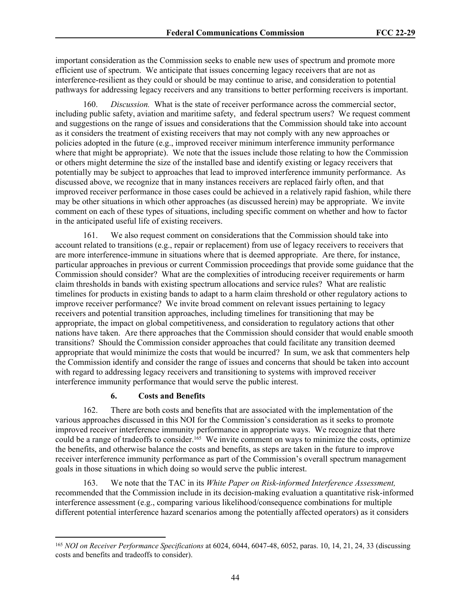important consideration as the Commission seeks to enable new uses of spectrum and promote more efficient use of spectrum. We anticipate that issues concerning legacy receivers that are not as interference-resilient as they could or should be may continue to arise, and consideration to potential pathways for addressing legacy receivers and any transitions to better performing receivers is important.

160. *Discussion.* What is the state of receiver performance across the commercial sector, including public safety, aviation and maritime safety, and federal spectrum users? We request comment and suggestions on the range of issues and considerations that the Commission should take into account as it considers the treatment of existing receivers that may not comply with any new approaches or policies adopted in the future (e.g., improved receiver minimum interference immunity performance where that might be appropriate). We note that the issues include those relating to how the Commission or others might determine the size of the installed base and identify existing or legacy receivers that potentially may be subject to approaches that lead to improved interference immunity performance. As discussed above, we recognize that in many instances receivers are replaced fairly often, and that improved receiver performance in those cases could be achieved in a relatively rapid fashion, while there may be other situations in which other approaches (as discussed herein) may be appropriate. We invite comment on each of these types of situations, including specific comment on whether and how to factor in the anticipated useful life of existing receivers.

161. We also request comment on considerations that the Commission should take into account related to transitions (e.g., repair or replacement) from use of legacy receivers to receivers that are more interference-immune in situations where that is deemed appropriate. Are there, for instance, particular approaches in previous or current Commission proceedings that provide some guidance that the Commission should consider? What are the complexities of introducing receiver requirements or harm claim thresholds in bands with existing spectrum allocations and service rules? What are realistic timelines for products in existing bands to adapt to a harm claim threshold or other regulatory actions to improve receiver performance? We invite broad comment on relevant issues pertaining to legacy receivers and potential transition approaches, including timelines for transitioning that may be appropriate, the impact on global competitiveness, and consideration to regulatory actions that other nations have taken. Are there approaches that the Commission should consider that would enable smooth transitions? Should the Commission consider approaches that could facilitate any transition deemed appropriate that would minimize the costs that would be incurred? In sum, we ask that commenters help the Commission identify and consider the range of issues and concerns that should be taken into account with regard to addressing legacy receivers and transitioning to systems with improved receiver interference immunity performance that would serve the public interest.

### **6. Costs and Benefits**

162. There are both costs and benefits that are associated with the implementation of the various approaches discussed in this NOI for the Commission's consideration as it seeks to promote improved receiver interference immunity performance in appropriate ways. We recognize that there could be a range of tradeoffs to consider.<sup>165</sup> We invite comment on ways to minimize the costs, optimize the benefits, and otherwise balance the costs and benefits, as steps are taken in the future to improve receiver interference immunity performance as part of the Commission's overall spectrum management goals in those situations in which doing so would serve the public interest.

163. We note that the TAC in its *White Paper on Risk-informed Interference Assessment,* recommended that the Commission include in its decision-making evaluation a quantitative risk-informed interference assessment (e.g., comparing various likelihood/consequence combinations for multiple different potential interference hazard scenarios among the potentially affected operators) as it considers

<sup>165</sup> *NOI on Receiver Performance Specifications* at 6024, 6044, 6047-48, 6052, paras. 10, 14, 21, 24, 33 (discussing costs and benefits and tradeoffs to consider).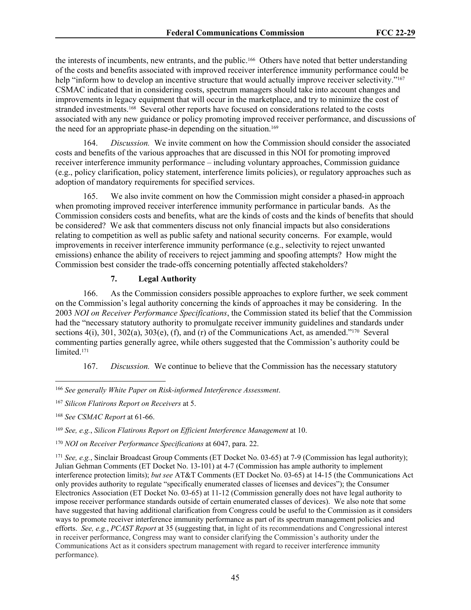the interests of incumbents, new entrants, and the public.166 Others have noted that better understanding of the costs and benefits associated with improved receiver interference immunity performance could be help "inform how to develop an incentive structure that would actually improve receiver selectivity."<sup>167</sup> CSMAC indicated that in considering costs, spectrum managers should take into account changes and improvements in legacy equipment that will occur in the marketplace, and try to minimize the cost of stranded investments.168 Several other reports have focused on considerations related to the costs associated with any new guidance or policy promoting improved receiver performance, and discussions of the need for an appropriate phase-in depending on the situation.<sup>169</sup>

164. *Discussion.* We invite comment on how the Commission should consider the associated costs and benefits of the various approaches that are discussed in this NOI for promoting improved receiver interference immunity performance – including voluntary approaches, Commission guidance (e.g., policy clarification, policy statement, interference limits policies), or regulatory approaches such as adoption of mandatory requirements for specified services.

165. We also invite comment on how the Commission might consider a phased-in approach when promoting improved receiver interference immunity performance in particular bands. As the Commission considers costs and benefits, what are the kinds of costs and the kinds of benefits that should be considered? We ask that commenters discuss not only financial impacts but also considerations relating to competition as well as public safety and national security concerns. For example, would improvements in receiver interference immunity performance (e.g., selectivity to reject unwanted emissions) enhance the ability of receivers to reject jamming and spoofing attempts? How might the Commission best consider the trade-offs concerning potentially affected stakeholders?

### **7. Legal Authority**

166. As the Commission considers possible approaches to explore further, we seek comment on the Commission's legal authority concerning the kinds of approaches it may be considering. In the 2003 *NOI on Receiver Performance Specifications*, the Commission stated its belief that the Commission had the "necessary statutory authority to promulgate receiver immunity guidelines and standards under sections  $4(i)$ ,  $301$ ,  $302(a)$ ,  $303(e)$ ,  $(f)$ , and  $(f)$  of the Communications Act, as amended."<sup>170</sup> Several commenting parties generally agree, while others suggested that the Commission's authority could be limited.<sup>171</sup>

167. *Discussion.* We continue to believe that the Commission has the necessary statutory

<sup>166</sup> *See generally White Paper on Risk-informed Interference Assessment*.

<sup>167</sup> *Silicon Flatirons Report on Receivers* at 5.

<sup>168</sup> *See CSMAC Report* at 61-66.

<sup>169</sup> *See, e.g.*, *Silicon Flatirons Report on Efficient Interference Management* at 10.

<sup>170</sup> *NOI on Receiver Performance Specifications* at 6047, para. 22.

<sup>171</sup> *See, e.g.*, Sinclair Broadcast Group Comments (ET Docket No. 03-65) at 7-9 (Commission has legal authority); Julian Gehman Comments (ET Docket No. 13-101) at 4-7 (Commission has ample authority to implement interference protection limits); *but see* AT&T Comments (ET Docket No. 03-65) at 14-15 (the Communications Act only provides authority to regulate "specifically enumerated classes of licenses and devices"); the Consumer Electronics Association (ET Docket No. 03-65) at 11-12 (Commission generally does not have legal authority to impose receiver performance standards outside of certain enumerated classes of devices). We also note that some have suggested that having additional clarification from Congress could be useful to the Commission as it considers ways to promote receiver interference immunity performance as part of its spectrum management policies and efforts. *See, e.g.*, *PCAST Report* at 35 (suggesting that, in light of its recommendations and Congressional interest in receiver performance, Congress may want to consider clarifying the Commission's authority under the Communications Act as it considers spectrum management with regard to receiver interference immunity performance).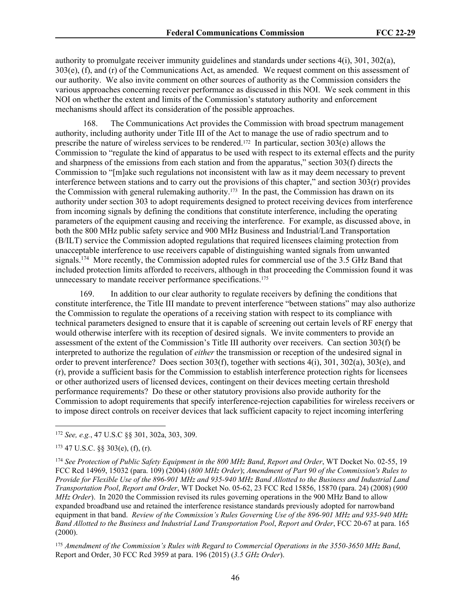authority to promulgate receiver immunity guidelines and standards under sections 4(i), 301, 302(a), 303(e), (f), and (r) of the Communications Act, as amended. We request comment on this assessment of our authority. We also invite comment on other sources of authority as the Commission considers the various approaches concerning receiver performance as discussed in this NOI. We seek comment in this NOI on whether the extent and limits of the Commission's statutory authority and enforcement mechanisms should affect its consideration of the possible approaches.

168. The Communications Act provides the Commission with broad spectrum management authority, including authority under Title III of the Act to manage the use of radio spectrum and to prescribe the nature of wireless services to be rendered.172 In particular, section 303(e) allows the Commission to "regulate the kind of apparatus to be used with respect to its external effects and the purity and sharpness of the emissions from each station and from the apparatus," section 303(f) directs the Commission to "[m]ake such regulations not inconsistent with law as it may deem necessary to prevent interference between stations and to carry out the provisions of this chapter," and section 303(r) provides the Commission with general rulemaking authority.173 In the past, the Commission has drawn on its authority under section 303 to adopt requirements designed to protect receiving devices from interference from incoming signals by defining the conditions that constitute interference, including the operating parameters of the equipment causing and receiving the interference. For example, as discussed above, in both the 800 MHz public safety service and 900 MHz Business and Industrial/Land Transportation (B/ILT) service the Commission adopted regulations that required licensees claiming protection from unacceptable interference to use receivers capable of distinguishing wanted signals from unwanted signals.<sup>174</sup> More recently, the Commission adopted rules for commercial use of the 3.5 GHz Band that included protection limits afforded to receivers, although in that proceeding the Commission found it was unnecessary to mandate receiver performance specifications.<sup>175</sup>

169. In addition to our clear authority to regulate receivers by defining the conditions that constitute interference, the Title III mandate to prevent interference "between stations" may also authorize the Commission to regulate the operations of a receiving station with respect to its compliance with technical parameters designed to ensure that it is capable of screening out certain levels of RF energy that would otherwise interfere with its reception of desired signals. We invite commenters to provide an assessment of the extent of the Commission's Title III authority over receivers. Can section 303(f) be interpreted to authorize the regulation of *either* the transmission or reception of the undesired signal in order to prevent interference? Does section 303(f), together with sections 4(i), 301, 302(a), 303(e), and (r), provide a sufficient basis for the Commission to establish interference protection rights for licensees or other authorized users of licensed devices, contingent on their devices meeting certain threshold performance requirements? Do these or other statutory provisions also provide authority for the Commission to adopt requirements that specify interference-rejection capabilities for wireless receivers or to impose direct controls on receiver devices that lack sufficient capacity to reject incoming interfering

<sup>172</sup> *See, e.g.*, 47 U.S.C §§ 301, 302a, 303, 309.

 $173$  47 U.S.C. §§ 303(e), (f), (r).

<sup>174</sup> *See Protection of Public Safety Equipment in the 800 MHz Band*, *Report and Order*, WT Docket No. 02-55, 19 FCC Rcd 14969, 15032 (para. 109) (2004) (*800 MHz Order*); *Amendment of Part 90 of the Commission's Rules to Provide for Flexible Use of the 896-901 MHz and 935-940 MHz Band Allotted to the Business and Industrial Land Transportation Pool*, *Report and Order*, WT Docket No. 05-62, 23 FCC Rcd 15856, 15870 (para. 24) (2008) (*900 MHz Order*). In 2020 the Commission revised its rules governing operations in the 900 MHz Band to allow expanded broadband use and retained the interference resistance standards previously adopted for narrowband equipment in that band. *Review of the Commission's Rules Governing Use of the 896-901 MHz and 935-940 MHz Band Allotted to the Business and Industrial Land Transportation Pool*, *Report and Order*, FCC 20-67 at para. 165 (2000).

<sup>175</sup> *Amendment of the Commission's Rules with Regard to Commercial Operations in the 3550-3650 MHz Band*, Report and Order, 30 FCC Rcd 3959 at para. 196 (2015) (*3.5 GHz Order*).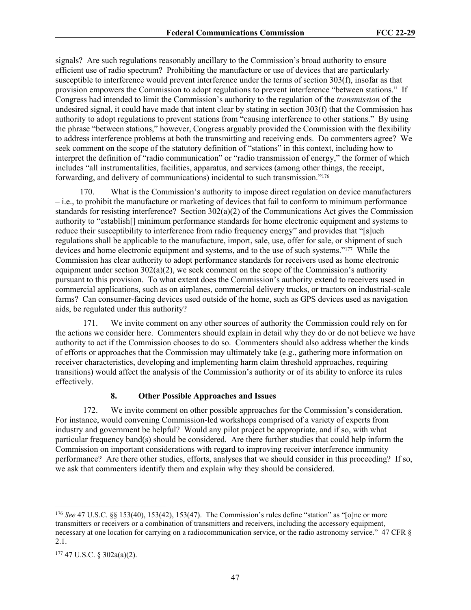signals? Are such regulations reasonably ancillary to the Commission's broad authority to ensure efficient use of radio spectrum? Prohibiting the manufacture or use of devices that are particularly susceptible to interference would prevent interference under the terms of section 303(f), insofar as that provision empowers the Commission to adopt regulations to prevent interference "between stations." If Congress had intended to limit the Commission's authority to the regulation of the *transmission* of the undesired signal, it could have made that intent clear by stating in section 303(f) that the Commission has authority to adopt regulations to prevent stations from "causing interference to other stations." By using the phrase "between stations," however, Congress arguably provided the Commission with the flexibility to address interference problems at both the transmitting and receiving ends. Do commenters agree? We seek comment on the scope of the statutory definition of "stations" in this context, including how to interpret the definition of "radio communication" or "radio transmission of energy," the former of which includes "all instrumentalities, facilities, apparatus, and services (among other things, the receipt, forwarding, and delivery of communications) incidental to such transmission."<sup>176</sup>

170. What is the Commission's authority to impose direct regulation on device manufacturers – i.e., to prohibit the manufacture or marketing of devices that fail to conform to minimum performance standards for resisting interference? Section 302(a)(2) of the Communications Act gives the Commission authority to "establish[] minimum performance standards for home electronic equipment and systems to reduce their susceptibility to interference from radio frequency energy" and provides that "[s]uch regulations shall be applicable to the manufacture, import, sale, use, offer for sale, or shipment of such devices and home electronic equipment and systems, and to the use of such systems."177 While the Commission has clear authority to adopt performance standards for receivers used as home electronic equipment under section  $302(a)(2)$ , we seek comment on the scope of the Commission's authority pursuant to this provision. To what extent does the Commission's authority extend to receivers used in commercial applications, such as on airplanes, commercial delivery trucks, or tractors on industrial-scale farms? Can consumer-facing devices used outside of the home, such as GPS devices used as navigation aids, be regulated under this authority?

171. We invite comment on any other sources of authority the Commission could rely on for the actions we consider here. Commenters should explain in detail why they do or do not believe we have authority to act if the Commission chooses to do so. Commenters should also address whether the kinds of efforts or approaches that the Commission may ultimately take (e.g., gathering more information on receiver characteristics, developing and implementing harm claim threshold approaches, requiring transitions) would affect the analysis of the Commission's authority or of its ability to enforce its rules effectively.

### **8. Other Possible Approaches and Issues**

172. We invite comment on other possible approaches for the Commission's consideration. For instance, would convening Commission-led workshops comprised of a variety of experts from industry and government be helpful? Would any pilot project be appropriate, and if so, with what particular frequency band(s) should be considered. Are there further studies that could help inform the Commission on important considerations with regard to improving receiver interference immunity performance? Are there other studies, efforts, analyses that we should consider in this proceeding? If so, we ask that commenters identify them and explain why they should be considered.

<sup>176</sup> *See* 47 U.S.C. §§ 153(40), 153(42), 153(47). The Commission's rules define "station" as "[o]ne or more transmitters or receivers or a combination of transmitters and receivers, including the accessory equipment, necessary at one location for carrying on a radiocommunication service, or the radio astronomy service." 47 CFR  $\delta$ 2.1.

<sup>177</sup> 47 U.S.C. § 302a(a)(2).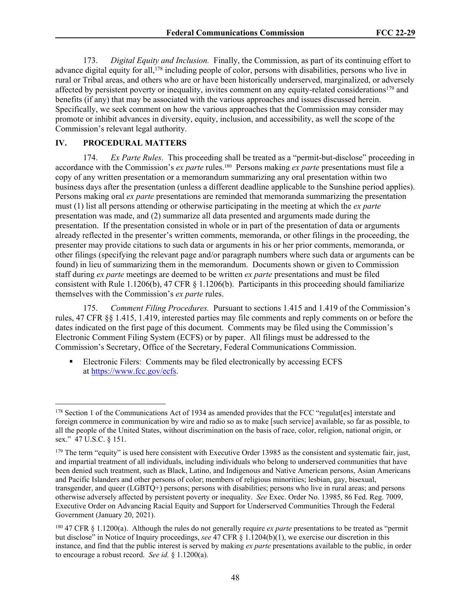173. *Digital Equity and Inclusion.* Finally, the Commission, as part of its continuing effort to advance digital equity for all,<sup>178</sup> including people of color, persons with disabilities, persons who live in rural or Tribal areas, and others who are or have been historically underserved, marginalized, or adversely affected by persistent poverty or inequality, invites comment on any equity-related considerations<sup>179</sup> and benefits (if any) that may be associated with the various approaches and issues discussed herein. Specifically, we seek comment on how the various approaches that the Commission may consider may promote or inhibit advances in diversity, equity, inclusion, and accessibility, as well the scope of the Commission's relevant legal authority.

### **IV. PROCEDURAL MATTERS**

174. *Ex Parte Rules*. This proceeding shall be treated as a "permit-but-disclose" proceeding in accordance with the Commission's *ex parte* rules.180 Persons making *ex parte* presentations must file a copy of any written presentation or a memorandum summarizing any oral presentation within two business days after the presentation (unless a different deadline applicable to the Sunshine period applies). Persons making oral *ex parte* presentations are reminded that memoranda summarizing the presentation must (1) list all persons attending or otherwise participating in the meeting at which the *ex parte*  presentation was made, and (2) summarize all data presented and arguments made during the presentation. If the presentation consisted in whole or in part of the presentation of data or arguments already reflected in the presenter's written comments, memoranda, or other filings in the proceeding, the presenter may provide citations to such data or arguments in his or her prior comments, memoranda, or other filings (specifying the relevant page and/or paragraph numbers where such data or arguments can be found) in lieu of summarizing them in the memorandum. Documents shown or given to Commission staff during *ex parte* meetings are deemed to be written *ex parte* presentations and must be filed consistent with Rule 1.1206(b), 47 CFR § 1.1206(b). Participants in this proceeding should familiarize themselves with the Commission's *ex parte* rules.

175. *Comment Filing Procedures.* Pursuant to sections 1.415 and 1.419 of the Commission's rules, 47 CFR §§ 1.415, 1.419, interested parties may file comments and reply comments on or before the dates indicated on the first page of this document. Comments may be filed using the Commission's Electronic Comment Filing System (ECFS) or by paper. All filings must be addressed to the Commission's Secretary, Office of the Secretary, Federal Communications Commission.

 Electronic Filers: Comments may be filed electronically by accessing ECFS at <https://www.fcc.gov/ecfs>.

<sup>&</sup>lt;sup>178</sup> Section 1 of the Communications Act of 1934 as amended provides that the FCC "regulates] interstate and foreign commerce in communication by wire and radio so as to make [such service] available, so far as possible, to all the people of the United States, without discrimination on the basis of race, color, religion, national origin, or sex." 47 U.S.C. § 151.

 $179$  The term "equity" is used here consistent with Executive Order 13985 as the consistent and systematic fair, just, and impartial treatment of all individuals, including individuals who belong to underserved communities that have been denied such treatment, such as Black, Latino, and Indigenous and Native American persons, Asian Americans and Pacific Islanders and other persons of color; members of religious minorities; lesbian, gay, bisexual, transgender, and queer (LGBTQ+) persons; persons with disabilities; persons who live in rural areas; and persons otherwise adversely affected by persistent poverty or inequality. *See* Exec. Order No. 13985, 86 Fed. Reg. 7009, Executive Order on Advancing Racial Equity and Support for Underserved Communities Through the Federal Government (January 20, 2021).

<sup>180</sup> 47 CFR § 1.1200(a). Although the rules do not generally require *ex parte* presentations to be treated as "permit but disclose" in Notice of Inquiry proceedings, *see* 47 CFR § 1.1204(b)(1), we exercise our discretion in this instance, and find that the public interest is served by making *ex parte* presentations available to the public, in order to encourage a robust record. *See id.* § 1.1200(a).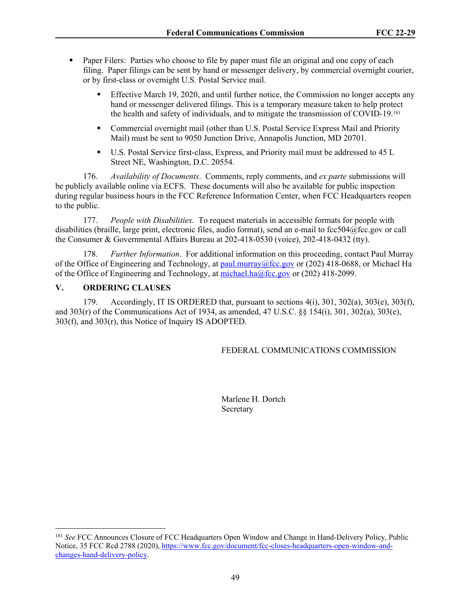- **Paper Filers:** Parties who choose to file by paper must file an original and one copy of each filing. Paper filings can be sent by hand or messenger delivery, by commercial overnight courier, or by first-class or overnight U.S. Postal Service mail.
	- **Effective March 19, 2020, and until further notice, the Commission no longer accepts any** hand or messenger delivered filings. This is a temporary measure taken to help protect the health and safety of individuals, and to mitigate the transmission of COVID-19.<sup>181</sup>
	- Commercial overnight mail (other than U.S. Postal Service Express Mail and Priority Mail) must be sent to 9050 Junction Drive, Annapolis Junction, MD 20701.
	- U.S. Postal Service first-class, Express, and Priority mail must be addressed to 45 L Street NE, Washington, D.C. 20554.

176. *Availability of Documents*. Comments, reply comments, and *ex parte* submissions will be publicly available online via ECFS. These documents will also be available for public inspection during regular business hours in the FCC Reference Information Center, when FCC Headquarters reopen to the public.

177. *People with Disabilities*. To request materials in accessible formats for people with disabilities (braille, large print, electronic files, audio format), send an e-mail to fcc504@fcc.gov or call the Consumer & Governmental Affairs Bureau at 202-418-0530 (voice), 202-418-0432 (tty).

178. *Further Information*. For additional information on this proceeding, contact Paul Murray of the Office of Engineering and Technology, at [paul.murray@fcc.gov](mailto:paul.murray@fcc.gov) or (202) 418-0688, or Michael Ha of the Office of Engineering and Technology, at [michael.ha@fcc.gov](mailto:michael.ha@fcc.gov) or (202) 418-2099.

### **V. ORDERING CLAUSES**

179. Accordingly, IT IS ORDERED that, pursuant to sections  $4(i)$ ,  $301$ ,  $302(a)$ ,  $303(e)$ ,  $303(f)$ , and 303(r) of the Communications Act of 1934, as amended, 47 U.S.C. §§ 154(i), 301, 302(a), 303(e), 303(f), and 303(r), this Notice of Inquiry IS ADOPTED.

### FEDERAL COMMUNICATIONS COMMISSION

Marlene H. Dortch Secretary

<sup>181</sup> *See* FCC Announces Closure of FCC Headquarters Open Window and Change in Hand-Delivery Policy, Public Notice, 35 FCC Rcd 2788 (2020), [https://www.fcc.gov/document/fcc-closes-headquarters-open-window-and](https://www.fcc.gov/document/fcc-closes-headquarters-open-window-and-changes-hand-delivery-policy)[changes-hand-delivery-policy](https://www.fcc.gov/document/fcc-closes-headquarters-open-window-and-changes-hand-delivery-policy).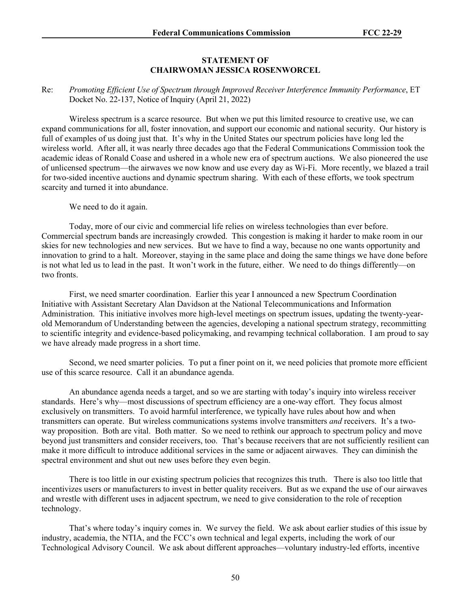#### **STATEMENT OF CHAIRWOMAN JESSICA ROSENWORCEL**

#### Re: *Promoting Efficient Use of Spectrum through Improved Receiver Interference Immunity Performance*, ET Docket No. 22-137, Notice of Inquiry (April 21, 2022)

Wireless spectrum is a scarce resource. But when we put this limited resource to creative use, we can expand communications for all, foster innovation, and support our economic and national security. Our history is full of examples of us doing just that. It's why in the United States our spectrum policies have long led the wireless world. After all, it was nearly three decades ago that the Federal Communications Commission took the academic ideas of Ronald Coase and ushered in a whole new era of spectrum auctions. We also pioneered the use of unlicensed spectrum—the airwaves we now know and use every day as Wi-Fi. More recently, we blazed a trail for two-sided incentive auctions and dynamic spectrum sharing. With each of these efforts, we took spectrum scarcity and turned it into abundance.

We need to do it again.

Today, more of our civic and commercial life relies on wireless technologies than ever before. Commercial spectrum bands are increasingly crowded. This congestion is making it harder to make room in our skies for new technologies and new services. But we have to find a way, because no one wants opportunity and innovation to grind to a halt. Moreover, staying in the same place and doing the same things we have done before is not what led us to lead in the past. It won't work in the future, either. We need to do things differently—on two fronts.

First, we need smarter coordination. Earlier this year I announced a new Spectrum Coordination Initiative with Assistant Secretary Alan Davidson at the National Telecommunications and Information Administration. This initiative involves more high-level meetings on spectrum issues, updating the twenty-yearold Memorandum of Understanding between the agencies, developing a national spectrum strategy, recommitting to scientific integrity and evidence-based policymaking, and revamping technical collaboration. I am proud to say we have already made progress in a short time.

Second, we need smarter policies. To put a finer point on it, we need policies that promote more efficient use of this scarce resource. Call it an abundance agenda.

An abundance agenda needs a target, and so we are starting with today's inquiry into wireless receiver standards. Here's why—most discussions of spectrum efficiency are a one-way effort. They focus almost exclusively on transmitters. To avoid harmful interference, we typically have rules about how and when transmitters can operate. But wireless communications systems involve transmitters *and* receivers. It's a twoway proposition. Both are vital. Both matter. So we need to rethink our approach to spectrum policy and move beyond just transmitters and consider receivers, too. That's because receivers that are not sufficiently resilient can make it more difficult to introduce additional services in the same or adjacent airwaves. They can diminish the spectral environment and shut out new uses before they even begin.

There is too little in our existing spectrum policies that recognizes this truth. There is also too little that incentivizes users or manufacturers to invest in better quality receivers. But as we expand the use of our airwaves and wrestle with different uses in adjacent spectrum, we need to give consideration to the role of reception technology.

That's where today's inquiry comes in. We survey the field. We ask about earlier studies of this issue by industry, academia, the NTIA, and the FCC's own technical and legal experts, including the work of our Technological Advisory Council. We ask about different approaches—voluntary industry-led efforts, incentive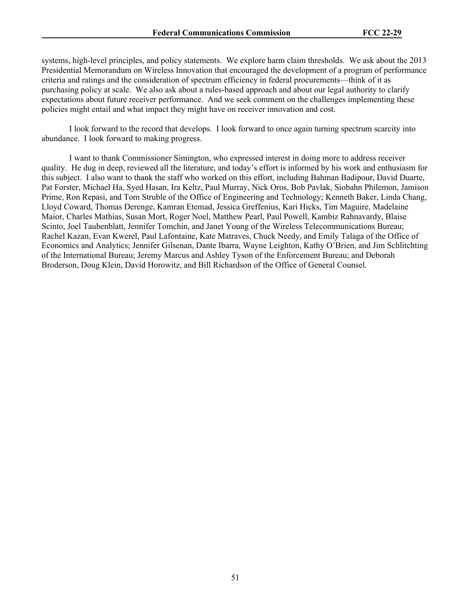systems, high-level principles, and policy statements. We explore harm claim thresholds. We ask about the 2013 Presidential Memorandum on Wireless Innovation that encouraged the development of a program of performance criteria and ratings and the consideration of spectrum efficiency in federal procurements—think of it as purchasing policy at scale. We also ask about a rules-based approach and about our legal authority to clarify expectations about future receiver performance. And we seek comment on the challenges implementing these policies might entail and what impact they might have on receiver innovation and cost.

I look forward to the record that develops. I look forward to once again turning spectrum scarcity into abundance. I look forward to making progress.

I want to thank Commissioner Simington, who expressed interest in doing more to address receiver quality. He dug in deep, reviewed all the literature, and today's effort is informed by his work and enthusiasm for this subject. I also want to thank the staff who worked on this effort, including Bahman Badipour, David Duarte, Pat Forster, Michael Ha, Syed Hasan, Ira Keltz, Paul Murray, Nick Oros, Bob Pavlak, Siobahn Philemon, Jamison Prime, Ron Repasi, and Tom Struble of the Office of Engineering and Technology; Kenneth Baker, Linda Chang, Lloyd Coward, Thomas Derenge, Kamran Etemad, Jessica Greffenius, Kari Hicks, Tim Maguire, Madelaine Maior, Charles Mathias, Susan Mort, Roger Noel, Matthew Pearl, Paul Powell, Kambiz Rahnavardy, Blaise Scinto, Joel Taubenblatt, Jennifer Tomchin, and Janet Young of the Wireless Telecommunications Bureau; Rachel Kazan, Evan Kwerel, Paul Lafontaine, Kate Matraves, Chuck Needy, and Emily Talaga of the Office of Economics and Analytics; Jennifer Gilsenan, Dante Ibarra, Wayne Leighton, Kathy O'Brien, and Jim Schlitchting of the International Bureau; Jeremy Marcus and Ashley Tyson of the Enforcement Bureau; and Deborah Broderson, Doug Klein, David Horowitz, and Bill Richardson of the Office of General Counsel.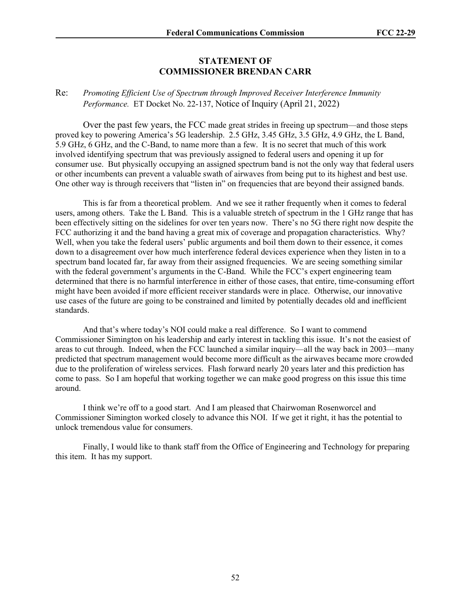### **STATEMENT OF COMMISSIONER BRENDAN CARR**

### Re: *Promoting Efficient Use of Spectrum through Improved Receiver Interference Immunity Performance.* ET Docket No. 22-137, Notice of Inquiry (April 21, 2022)

Over the past few years, the FCC made great strides in freeing up spectrum—and those steps proved key to powering America's 5G leadership. 2.5 GHz, 3.45 GHz, 3.5 GHz, 4.9 GHz, the L Band, 5.9 GHz, 6 GHz, and the C-Band, to name more than a few. It is no secret that much of this work involved identifying spectrum that was previously assigned to federal users and opening it up for consumer use. But physically occupying an assigned spectrum band is not the only way that federal users or other incumbents can prevent a valuable swath of airwaves from being put to its highest and best use. One other way is through receivers that "listen in" on frequencies that are beyond their assigned bands.

This is far from a theoretical problem. And we see it rather frequently when it comes to federal users, among others. Take the L Band. This is a valuable stretch of spectrum in the 1 GHz range that has been effectively sitting on the sidelines for over ten years now. There's no 5G there right now despite the FCC authorizing it and the band having a great mix of coverage and propagation characteristics. Why? Well, when you take the federal users' public arguments and boil them down to their essence, it comes down to a disagreement over how much interference federal devices experience when they listen in to a spectrum band located far, far away from their assigned frequencies. We are seeing something similar with the federal government's arguments in the C-Band. While the FCC's expert engineering team determined that there is no harmful interference in either of those cases, that entire, time-consuming effort might have been avoided if more efficient receiver standards were in place. Otherwise, our innovative use cases of the future are going to be constrained and limited by potentially decades old and inefficient standards.

And that's where today's NOI could make a real difference. So I want to commend Commissioner Simington on his leadership and early interest in tackling this issue. It's not the easiest of areas to cut through. Indeed, when the FCC launched a similar inquiry—all the way back in 2003—many predicted that spectrum management would become more difficult as the airwaves became more crowded due to the proliferation of wireless services. Flash forward nearly 20 years later and this prediction has come to pass. So I am hopeful that working together we can make good progress on this issue this time around.

I think we're off to a good start. And I am pleased that Chairwoman Rosenworcel and Commissioner Simington worked closely to advance this NOI. If we get it right, it has the potential to unlock tremendous value for consumers.

Finally, I would like to thank staff from the Office of Engineering and Technology for preparing this item. It has my support.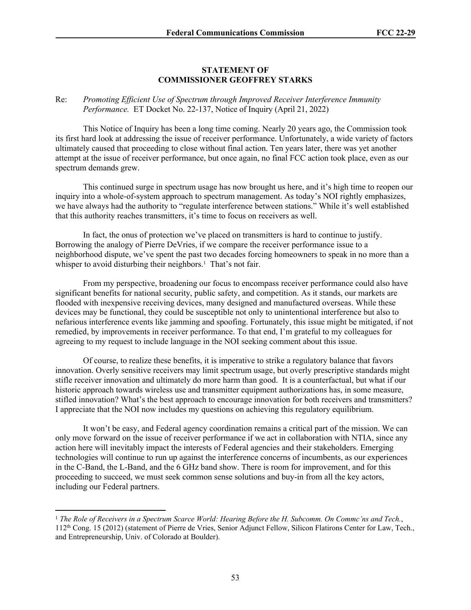#### **STATEMENT OF COMMISSIONER GEOFFREY STARKS**

#### Re: *Promoting Efficient Use of Spectrum through Improved Receiver Interference Immunity Performance.* ET Docket No. 22-137, Notice of Inquiry (April 21, 2022)

This Notice of Inquiry has been a long time coming. Nearly 20 years ago, the Commission took its first hard look at addressing the issue of receiver performance. Unfortunately, a wide variety of factors ultimately caused that proceeding to close without final action. Ten years later, there was yet another attempt at the issue of receiver performance, but once again, no final FCC action took place, even as our spectrum demands grew.

This continued surge in spectrum usage has now brought us here, and it's high time to reopen our inquiry into a whole-of-system approach to spectrum management. As today's NOI rightly emphasizes, we have always had the authority to "regulate interference between stations." While it's well established that this authority reaches transmitters, it's time to focus on receivers as well.

In fact, the onus of protection we've placed on transmitters is hard to continue to justify. Borrowing the analogy of Pierre DeVries, if we compare the receiver performance issue to a neighborhood dispute, we've spent the past two decades forcing homeowners to speak in no more than a whisper to avoid disturbing their neighbors.<sup>1</sup> That's not fair.

From my perspective, broadening our focus to encompass receiver performance could also have significant benefits for national security, public safety, and competition. As it stands, our markets are flooded with inexpensive receiving devices, many designed and manufactured overseas. While these devices may be functional, they could be susceptible not only to unintentional interference but also to nefarious interference events like jamming and spoofing. Fortunately, this issue might be mitigated, if not remedied, by improvements in receiver performance. To that end, I'm grateful to my colleagues for agreeing to my request to include language in the NOI seeking comment about this issue.

Of course, to realize these benefits, it is imperative to strike a regulatory balance that favors innovation. Overly sensitive receivers may limit spectrum usage, but overly prescriptive standards might stifle receiver innovation and ultimately do more harm than good. It is a counterfactual, but what if our historic approach towards wireless use and transmitter equipment authorizations has, in some measure, stifled innovation? What's the best approach to encourage innovation for both receivers and transmitters? I appreciate that the NOI now includes my questions on achieving this regulatory equilibrium.

It won't be easy, and Federal agency coordination remains a critical part of the mission. We can only move forward on the issue of receiver performance if we act in collaboration with NTIA, since any action here will inevitably impact the interests of Federal agencies and their stakeholders. Emerging technologies will continue to run up against the interference concerns of incumbents, as our experiences in the C-Band, the L-Band, and the 6 GHz band show. There is room for improvement, and for this proceeding to succeed, we must seek common sense solutions and buy-in from all the key actors, including our Federal partners.

<sup>1</sup> *The Role of Receivers in a Spectrum Scarce World: Hearing Before the H. Subcomm. On Commc'ns and Tech.*, 112th Cong. 15 (2012) (statement of Pierre de Vries, Senior Adjunct Fellow, Silicon Flatirons Center for Law, Tech., and Entrepreneurship, Univ. of Colorado at Boulder).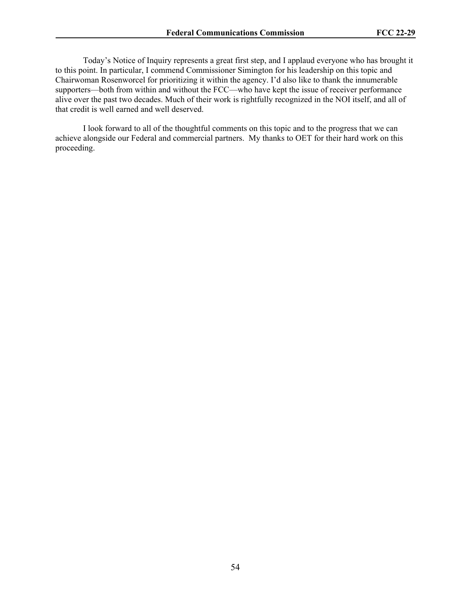Today's Notice of Inquiry represents a great first step, and I applaud everyone who has brought it to this point. In particular, I commend Commissioner Simington for his leadership on this topic and Chairwoman Rosenworcel for prioritizing it within the agency. I'd also like to thank the innumerable supporters—both from within and without the FCC—who have kept the issue of receiver performance alive over the past two decades. Much of their work is rightfully recognized in the NOI itself, and all of that credit is well earned and well deserved.

I look forward to all of the thoughtful comments on this topic and to the progress that we can achieve alongside our Federal and commercial partners. My thanks to OET for their hard work on this proceeding.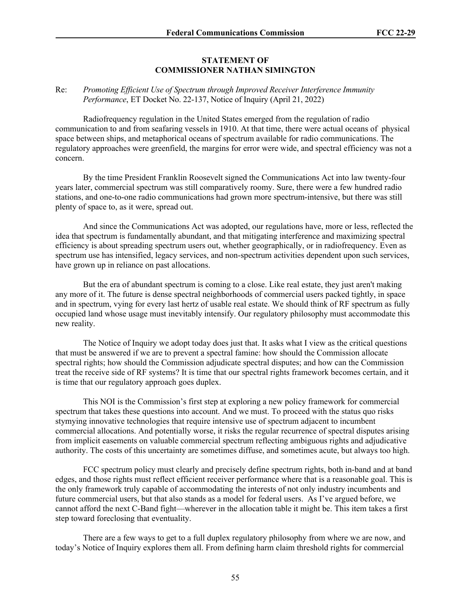### **STATEMENT OF COMMISSIONER NATHAN SIMINGTON**

### Re: *Promoting Efficient Use of Spectrum through Improved Receiver Interference Immunity Performance*, ET Docket No. 22-137, Notice of Inquiry (April 21, 2022)

Radiofrequency regulation in the United States emerged from the regulation of radio communication to and from seafaring vessels in 1910. At that time, there were actual oceans of physical space between ships, and metaphorical oceans of spectrum available for radio communications. The regulatory approaches were greenfield, the margins for error were wide, and spectral efficiency was not a concern.

By the time President Franklin Roosevelt signed the Communications Act into law twenty-four years later, commercial spectrum was still comparatively roomy. Sure, there were a few hundred radio stations, and one-to-one radio communications had grown more spectrum-intensive, but there was still plenty of space to, as it were, spread out.

And since the Communications Act was adopted, our regulations have, more or less, reflected the idea that spectrum is fundamentally abundant, and that mitigating interference and maximizing spectral efficiency is about spreading spectrum users out, whether geographically, or in radiofrequency. Even as spectrum use has intensified, legacy services, and non-spectrum activities dependent upon such services, have grown up in reliance on past allocations.

But the era of abundant spectrum is coming to a close. Like real estate, they just aren't making any more of it. The future is dense spectral neighborhoods of commercial users packed tightly, in space and in spectrum, vying for every last hertz of usable real estate. We should think of RF spectrum as fully occupied land whose usage must inevitably intensify. Our regulatory philosophy must accommodate this new reality.

The Notice of Inquiry we adopt today does just that. It asks what I view as the critical questions that must be answered if we are to prevent a spectral famine: how should the Commission allocate spectral rights; how should the Commission adjudicate spectral disputes; and how can the Commission treat the receive side of RF systems? It is time that our spectral rights framework becomes certain, and it is time that our regulatory approach goes duplex.

This NOI is the Commission's first step at exploring a new policy framework for commercial spectrum that takes these questions into account. And we must. To proceed with the status quo risks stymying innovative technologies that require intensive use of spectrum adjacent to incumbent commercial allocations. And potentially worse, it risks the regular recurrence of spectral disputes arising from implicit easements on valuable commercial spectrum reflecting ambiguous rights and adjudicative authority. The costs of this uncertainty are sometimes diffuse, and sometimes acute, but always too high.

FCC spectrum policy must clearly and precisely define spectrum rights, both in-band and at band edges, and those rights must reflect efficient receiver performance where that is a reasonable goal. This is the only framework truly capable of accommodating the interests of not only industry incumbents and future commercial users, but that also stands as a model for federal users. As I've argued before, we cannot afford the next C-Band fight—wherever in the allocation table it might be. This item takes a first step toward foreclosing that eventuality.

There are a few ways to get to a full duplex regulatory philosophy from where we are now, and today's Notice of Inquiry explores them all. From defining harm claim threshold rights for commercial